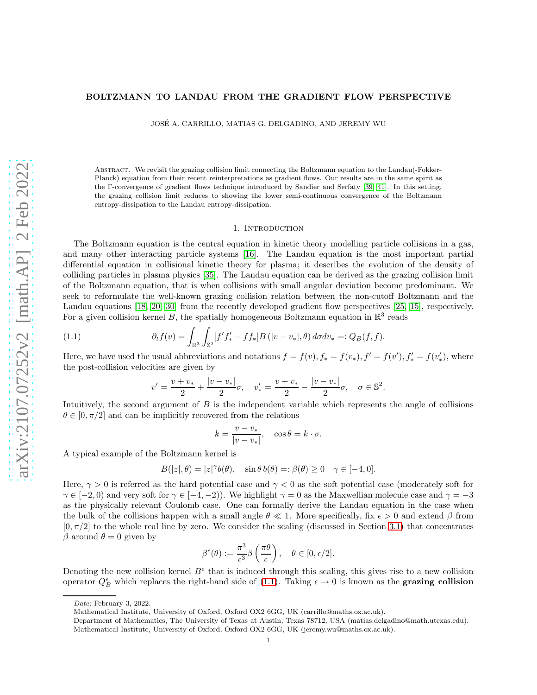# <span id="page-0-2"></span>BOLTZMANN TO LANDAU FROM THE GRADIENT FLOW PERSPECTIVE

JOSE A. CARRILLO, MATIAS G. DELGADINO, AND JEREMY WU ´

Abstract. We revisit the grazing collision limit connecting the Boltzmann equation to the Landau(-Fokker-Planck) equation from their recent reinterpretations as gradient flows. Our results are in the same spirit as the Γ-convergence of gradient flows technique introduced by Sandier and Serfaty [\[39,](#page-41-0) [41\]](#page-41-1). In this setting, the grazing collision limit reduces to showing the lower semi-continuous convergence of the Boltzmann entropy-dissipation to the Landau entropy-dissipation.

### 1. Introduction

<span id="page-0-1"></span>The Boltzmann equation is the central equation in kinetic theory modelling particle collisions in a gas, and many other interacting particle systems [\[16\]](#page-40-0). The Landau equation is the most important partial differential equation in collisional kinetic theory for plasma; it describes the evolution of the density of colliding particles in plasma physics [\[35\]](#page-41-2). The Landau equation can be derived as the grazing collision limit of the Boltzmann equation, that is when collisions with small angular deviation become predominant. We seek to reformulate the well-known grazing collision relation between the non-cutoff Boltzmann and the Landau equations [\[18,](#page-40-1) [20,](#page-40-2) [30\]](#page-41-3) from the recently developed gradient flow perspectives [\[25,](#page-41-4) [15\]](#page-40-3), respectively. For a given collision kernel B, the spatially homogeneous Boltzmann equation in  $\mathbb{R}^3$  reads

(1.1) 
$$
\partial_t f(v) = \int_{\mathbb{R}^3} \int_{\mathbb{S}^2} [f' f'_* - f f_*] B(v - v_*|, \theta) d\sigma dv_* =: Q_B(f, f).
$$

Here, we have used the usual abbreviations and notations  $f = f(v)$ ,  $f_* = f(v_*)$ ,  $f' = f(v')$ ,  $f'_* = f(v'_*)$ , where the post-collision velocities are given by

<span id="page-0-0"></span>
$$
v' = \frac{v + v_*}{2} + \frac{|v - v_*|}{2}\sigma, \quad v'_* = \frac{v + v_*}{2} - \frac{|v - v_*|}{2}\sigma, \quad \sigma \in \mathbb{S}^2.
$$

Intuitively, the second argument of B is the independent variable which represents the angle of collisions  $\theta \in [0, \pi/2]$  and can be implicitly recovered from the relations

$$
k = \frac{v - v_*}{|v - v_*|}, \quad \cos \theta = k \cdot \sigma.
$$

A typical example of the Boltzmann kernel is

$$
B(|z|, \theta) = |z|^\gamma b(\theta), \quad \sin \theta \, b(\theta) =: \beta(\theta) \ge 0 \quad \gamma \in [-4, 0].
$$

Here,  $\gamma > 0$  is referred as the hard potential case and  $\gamma < 0$  as the soft potential case (moderately soft for  $\gamma \in [-2, 0)$  and very soft for  $\gamma \in [-4, -2)$ ). We highlight  $\gamma = 0$  as the Maxwellian molecule case and  $\gamma = -3$ as the physically relevant Coulomb case. One can formally derive the Landau equation in the case when the bulk of the collisions happen with a small angle  $\theta \ll 1$ . More specifically, fix  $\epsilon > 0$  and extend  $\beta$  from  $[0, \pi/2]$  to the whole real line by zero. We consider the scaling (discussed in Section [3.1\)](#page-7-0) that concentrates β around  $θ = 0$  given by

$$
\beta^{\epsilon}(\theta) := \frac{\pi^3}{\epsilon^3} \beta \left( \frac{\pi \theta}{\epsilon} \right), \quad \theta \in [0, \epsilon/2].
$$

Denoting the new collision kernel  $B^{\epsilon}$  that is induced through this scaling, this gives rise to a new collision operator  $Q_B^{\epsilon}$  which replaces the right-hand side of [\(1.1\)](#page-0-0). Taking  $\epsilon \to 0$  is known as the **grazing collision** 

Date: February 3, 2022.

Mathematical Institute, University of Oxford, Oxford OX2 6GG, UK (carrillo@maths.ox.ac.uk).

Department of Mathematics, The University of Texas at Austin, Texas 78712, USA (matias.delgadino@math.utexas.edu). Mathematical Institute, University of Oxford, Oxford OX2 6GG, UK (jeremy.wu@maths.ox.ac.uk).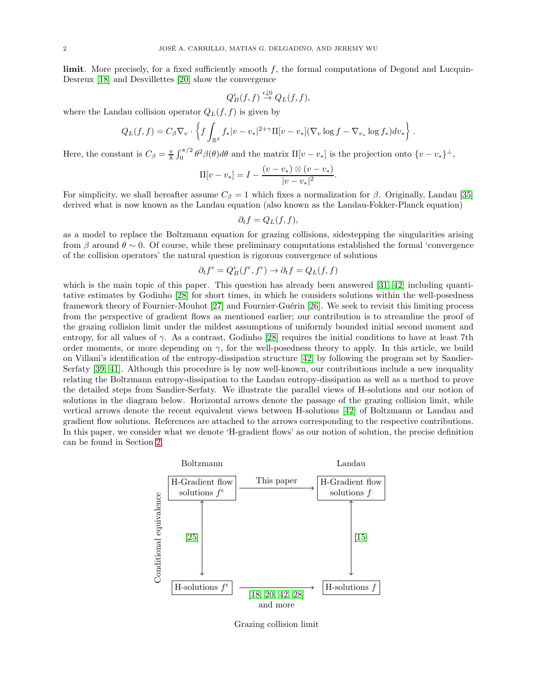<span id="page-1-0"></span>limit. More precisely, for a fixed sufficiently smooth f, the formal computations of Degond and Lucquin-Desreux [\[18\]](#page-40-1) and Desvillettes [\[20\]](#page-40-2) show the convergence

$$
Q_B^{\epsilon}(f,f) \stackrel{\epsilon \downarrow 0}{\rightarrow} Q_L(f,f),
$$

where the Landau collision operator  $Q_L(f, f)$  is given by

$$
Q_L(f, f) = C_{\beta} \nabla_v \cdot \left\{ f \int_{\mathbb{R}^3} f_* |v - v_*|^{2+\gamma} \Pi[v - v_*](\nabla_v \log f - \nabla_{v_*} \log f_*) dv_* \right\}.
$$

Here, the constant is  $C_{\beta} = \frac{\pi}{8} \int_0^{\pi/2} \theta^2 \beta(\theta) d\theta$  and the matrix  $\Pi[v - v_*]$  is the projection onto  $\{v - v_*\}^{\perp}$ ,

$$
\Pi[v - v_*] = I - \frac{(v - v_*) \otimes (v - v_*)}{|v - v_*|^2}.
$$

For simplicity, we shall hereafter assume  $C_\beta = 1$  which fixes a normalization for  $\beta$ . Originally, Landau [\[35\]](#page-41-2) derived what is now known as the Landau equation (also known as the Landau-Fokker-Planck equation)

$$
\partial_t f = Q_L(f, f),
$$

as a model to replace the Boltzmann equation for grazing collisions, sidestepping the singularities arising from β around  $\theta \sim 0$ . Of course, while these preliminary computations established the formal 'convergence of the collision operators' the natural question is rigorous convergence of solutions

$$
\partial_t f^\epsilon = Q^\epsilon_B(f^\epsilon, f^\epsilon) \to \partial_t f = Q_L(f,f)
$$

which is the main topic of this paper. This question has already been answered [\[31,](#page-41-5) [42\]](#page-41-6) including quantitative estimates by Godinho [\[28\]](#page-41-7) for short times, in which he considers solutions within the well-posedness framework theory of Fournier-Mouhot [\[27\]](#page-41-8) and Fournier-Guérin [\[26\]](#page-41-9). We seek to revisit this limiting process from the perspective of gradient flows as mentioned earlier; our contribution is to streamline the proof of the grazing collision limit under the mildest assumptions of uniformly bounded initial second moment and entropy, for all values of  $\gamma$ . As a contrast, Godinho [\[28\]](#page-41-7) requires the initial conditions to have at least 7th order moments, or more depending on  $\gamma$ , for the well-posedness theory to apply. In this article, we build on Villani's identification of the entropy-dissipation structure [\[42\]](#page-41-6) by following the program set by Sandier-Serfaty [\[39,](#page-41-0) [41\]](#page-41-1). Although this procedure is by now well-known, our contributions include a new inequality relating the Boltzmann entropy-dissipation to the Landau entropy-dissipation as well as a method to prove the detailed steps from Sandier-Serfaty. We illustrate the parallel views of H-solutions and our notion of solutions in the diagram below. Horizontal arrows denote the passage of the grazing collision limit, while vertical arrows denote the recent equivalent views between H-solutions [\[42\]](#page-41-6) of Boltzmann or Landau and gradient flow solutions. References are attached to the arrows corresponding to the respective contributions. In this paper, we consider what we denote 'H-gradient flows' as our notion of solution, the precise definition can be found in Section [2.](#page-3-0)



Grazing collision limit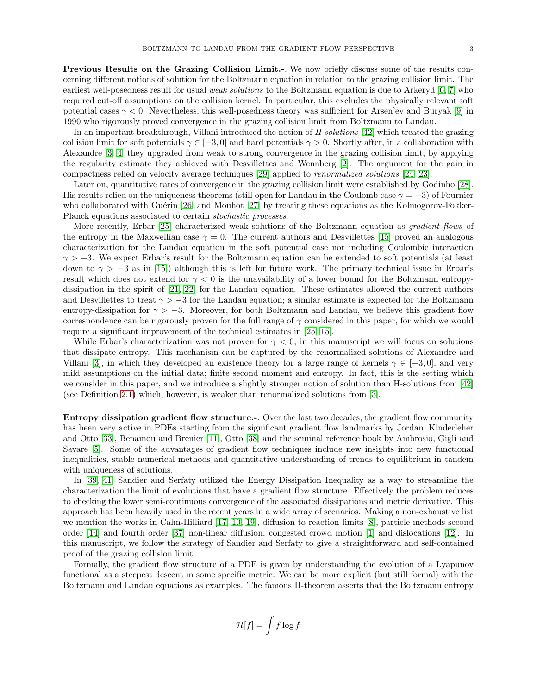<span id="page-2-0"></span>Previous Results on the Grazing Collision Limit.-. We now briefly discuss some of the results concerning different notions of solution for the Boltzmann equation in relation to the grazing collision limit. The earliest well-posedness result for usual *weak solutions* to the Boltzmann equation is due to Arkeryd [\[6,](#page-40-4) [7\]](#page-40-5) who required cut-off assumptions on the collision kernel. In particular, this excludes the physically relevant soft potential cases  $\gamma$  < 0. Nevertheless, this well-posedness theory was sufficient for Arsen'ev and Buryak [\[9\]](#page-40-6) in 1990 who rigorously proved convergence in the grazing collision limit from Boltzmann to Landau.

In an important breakthrough, Villani introduced the notion of H-solutions [\[42\]](#page-41-6) which treated the grazing collision limit for soft potentials  $\gamma \in [-3, 0]$  and hard potentials  $\gamma > 0$ . Shortly after, in a collaboration with Alexandre [\[3,](#page-40-7) [4\]](#page-40-8) they upgraded from weak to strong convergence in the grazing collision limit, by applying the regularity estimate they achieved with Desvillettes and Wennberg [\[2\]](#page-40-9). The argument for the gain in compactness relied on velocity average techniques [\[29\]](#page-41-10) applied to renormalized solutions [\[24,](#page-41-11) [23\]](#page-41-12).

Later on, quantitative rates of convergence in the grazing collision limit were established by Godinho [\[28\]](#page-41-7). His results relied on the uniqueness theorems (still open for Landau in the Coulomb case  $\gamma = -3$ ) of Fournier who collaborated with Guérin  $[26]$  and Mouhot  $[27]$  by treating these equations as the Kolmogorov-Fokker-Planck equations associated to certain stochastic processes.

More recently, Erbar [\[25\]](#page-41-4) characterized weak solutions of the Boltzmann equation as *gradient flows* of the entropy in the Maxwellian case  $\gamma = 0$ . The current authors and Desvillettes [\[15\]](#page-40-3) proved an analogous characterization for the Landau equation in the soft potential case not including Coulombic interaction  $\gamma > -3$ . We expect Erbar's result for the Boltzmann equation can be extended to soft potentials (at least down to  $\gamma > -3$  as in [\[15\]](#page-40-3)) although this is left for future work. The primary technical issue in Erbar's result which does not extend for  $\gamma < 0$  is the unavailability of a lower bound for the Boltzmann entropydissipation in the spirit of [\[21,](#page-40-10) [22\]](#page-40-11) for the Landau equation. These estimates allowed the current authors and Desvillettes to treat  $\gamma > -3$  for the Landau equation; a similar estimate is expected for the Boltzmann entropy-dissipation for  $\gamma > -3$ . Moreover, for both Boltzmann and Landau, we believe this gradient flow correspondence can be rigorously proven for the full range of  $\gamma$  considered in this paper, for which we would require a significant improvement of the technical estimates in [\[25,](#page-41-4) [15\]](#page-40-3).

While Erbar's characterization was not proven for  $\gamma < 0$ , in this manuscript we will focus on solutions that dissipate entropy. This mechanism can be captured by the renormalized solutions of Alexandre and Villani [\[3\]](#page-40-7), in which they developed an existence theory for a large range of kernels  $\gamma \in [-3, 0]$ , and very mild assumptions on the initial data; finite second moment and entropy. In fact, this is the setting which we consider in this paper, and we introduce a slightly stronger notion of solution than H-solutions from [\[42\]](#page-41-6) (see Definition [2.1\)](#page-3-1) which, however, is weaker than renormalized solutions from [\[3\]](#page-40-7).

Entropy dissipation gradient flow structure.-. Over the last two decades, the gradient flow community has been very active in PDEs starting from the significant gradient flow landmarks by Jordan, Kinderleher and Otto [\[33\]](#page-41-13), Benamou and Brenier [\[11\]](#page-40-12), Otto [\[38\]](#page-41-14) and the seminal reference book by Ambrosio, Gigli and Savare [\[5\]](#page-40-13). Some of the advantages of gradient flow techniques include new insights into new functional inequalities, stable numerical methods and quantitative understanding of trends to equilibrium in tandem with uniqueness of solutions.

In [\[39,](#page-41-0) [41\]](#page-41-1) Sandier and Serfaty utilized the Energy Dissipation Inequality as a way to streamline the characterization the limit of evolutions that have a gradient flow structure. Effectively the problem reduces to checking the lower semi-continuous convergence of the associated dissipations and metric derivative. This approach has been heavily used in the recent years in a wide array of scenarios. Making a non-exhaustive list we mention the works in Cahn-Hilliard [\[17,](#page-40-14) [10,](#page-40-15) [19\]](#page-40-16), diffusion to reaction limits [\[8\]](#page-40-17), particle methods second order [\[14\]](#page-40-18) and fourth order [\[37\]](#page-41-15) non-linear diffusion, congested crowd motion [\[1\]](#page-40-19) and dislocations [\[12\]](#page-40-20). In this manuscript, we follow the strategy of Sandier and Serfaty to give a straightforward and self-contained proof of the grazing collision limit.

Formally, the gradient flow structure of a PDE is given by understanding the evolution of a Lyapunov functional as a steepest descent in some specific metric. We can be more explicit (but still formal) with the Boltzmann and Landau equations as examples. The famous H-theorem asserts that the Boltzmann entropy

$$
\mathcal{H}[f]=\int f\log f
$$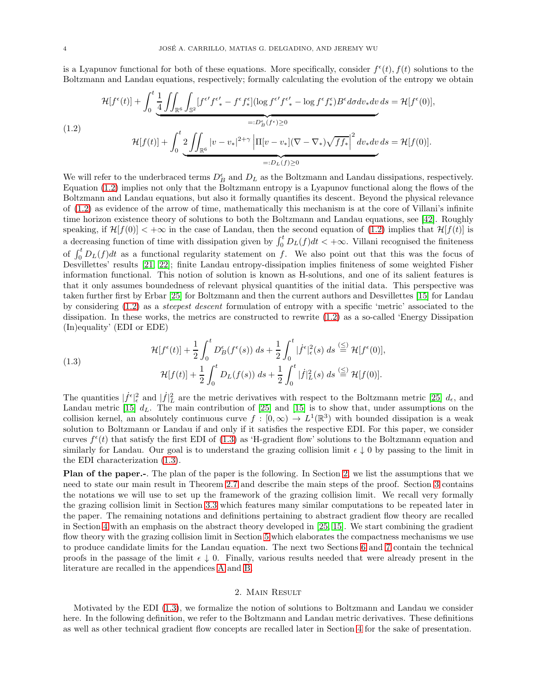<span id="page-3-4"></span>is a Lyapunov functional for both of these equations. More specifically, consider  $f^{\epsilon}(t)$ ,  $f(t)$  solutions to the Boltzmann and Landau equations, respectively; formally calculating the evolution of the entropy we obtain

<span id="page-3-2"></span>
$$
\mathcal{H}[f^{\epsilon}(t)] + \int_{0}^{t} \underbrace{\frac{1}{4} \iint_{\mathbb{R}^{6}} \int_{\mathbb{S}^{2}} [f^{\epsilon'} f^{\epsilon'}_{*} - f^{\epsilon} f^{\epsilon}_{*}](\log f^{\epsilon'} f^{\epsilon'}_{*} - \log f^{\epsilon} f^{\epsilon}_{*}) B^{\epsilon} d\sigma dv_{*} dv}_{=:D_{B}^{\epsilon}(f^{\epsilon}) \ge 0}
$$
\n
$$
\mathcal{H}[f(t)] + \int_{0}^{t} \underbrace{2 \iint_{\mathbb{R}^{6}} |v - v_{*}|^{2+\gamma} |\Pi[v - v_{*}](\nabla - \nabla_{*}) \sqrt{f f_{*}}|^{2} dv_{*} dv ds}_{=:D_{L}(f) \ge 0} =:D_{L}(f) \ge 0
$$

We will refer to the underbraced terms  $D_B^{\epsilon}$  and  $D_L$  as the Boltzmann and Landau dissipations, respectively. Equation [\(1.2\)](#page-3-2) implies not only that the Boltzmann entropy is a Lyapunov functional along the flows of the Boltzmann and Landau equations, but also it formally quantifies its descent. Beyond the physical relevance of [\(1.2\)](#page-3-2) as evidence of the arrow of time, mathematically this mechanism is at the core of Villani's infinite time horizon existence theory of solutions to both the Boltzmann and Landau equations, see [\[42\]](#page-41-6). Roughly speaking, if  $\mathcal{H}[f(0)] < +\infty$  in the case of Landau, then the second equation of [\(1.2\)](#page-3-2) implies that  $\mathcal{H}[f(t)]$  is a decreasing function of time with dissipation given by  $\int_0^t D_L(f)dt < +\infty$ . Villani recognised the finiteness of  $\int_0^t D_L(f)dt$  as a functional regularity statement on f. We also point out that this was the focus of Desvillettes' results [\[21,](#page-40-10) [22\]](#page-40-11); finite Landau entropy-dissipation implies finiteness of some weighted Fisher information functional. This notion of solution is known as H-solutions, and one of its salient features is that it only assumes boundedness of relevant physical quantities of the initial data. This perspective was taken further first by Erbar [\[25\]](#page-41-4) for Boltzmann and then the current authors and Desvillettes [\[15\]](#page-40-3) for Landau by considering [\(1.2\)](#page-3-2) as a steepest descent formulation of entropy with a specific 'metric' associated to the dissipation. In these works, the metrics are constructed to rewrite [\(1.2\)](#page-3-2) as a so-called 'Energy Dissipation (In)equality' (EDI or EDE)

<span id="page-3-3"></span>(1.3)  

$$
\mathcal{H}[f^{\epsilon}(t)] + \frac{1}{2} \int_0^t D_B^{\epsilon}(f^{\epsilon}(s)) ds + \frac{1}{2} \int_0^t |\dot{f}^{\epsilon}|_{\epsilon}^2(s) ds \stackrel{\text{(S)}}{=} \mathcal{H}[f^{\epsilon}(0)],
$$

$$
\mathcal{H}[f(t)] + \frac{1}{2} \int_0^t D_L(f(s)) ds + \frac{1}{2} \int_0^t |\dot{f}|_{L}^2(s) ds \stackrel{\text{(S)}}{=} \mathcal{H}[f(0)].
$$

The quantities  $|f^{\epsilon}|_{\epsilon}^2$  and  $|f|_{L}^2$  are the metric derivatives with respect to the Boltzmann metric [\[25\]](#page-41-4)  $d_{\epsilon}$ , and Landau metric [\[15\]](#page-40-3)  $d_L$ . The main contribution of [\[25\]](#page-41-4) and [15] is to show that, under assumptions on the collision kernel, an absolutely continuous curve  $f : [0, \infty) \to L^1(\mathbb{R}^3)$  with bounded dissipation is a weak solution to Boltzmann or Landau if and only if it satisfies the respective EDI. For this paper, we consider curves  $f^{\epsilon}(t)$  that satisfy the first EDI of [\(1.3\)](#page-3-3) as 'H-gradient flow' solutions to the Boltzmann equation and similarly for Landau. Our goal is to understand the grazing collision limit  $\epsilon \downarrow 0$  by passing to the limit in the EDI characterization [\(1.3\)](#page-3-3).

Plan of the paper.-. The plan of the paper is the following. In Section [2,](#page-3-0) we list the assumptions that we need to state our main result in Theorem [2.7](#page-5-0) and describe the main steps of the proof. Section [3](#page-7-1) contains the notations we will use to set up the framework of the grazing collision limit. We recall very formally the grazing collision limit in Section [3.3](#page-10-0) which features many similar computations to be repeated later in the paper. The remaining notations and definitions pertaining to abstract gradient flow theory are recalled in Section [4](#page-15-0) with an emphasis on the abstract theory developed in [\[25,](#page-41-4) [15\]](#page-40-3). We start combining the gradient flow theory with the grazing collision limit in Section [5](#page-18-0) which elaborates the compactness mechanisms we use to produce candidate limits for the Landau equation. The next two Sections [6](#page-23-0) and [7](#page-29-0) contain the technical proofs in the passage of the limit  $\epsilon \downarrow 0$ . Finally, various results needed that were already present in the literature are recalled in the appendices [A](#page-32-0) and [B.](#page-34-0)

### 2. Main Result

<span id="page-3-1"></span><span id="page-3-0"></span>Motivated by the EDI [\(1.3\)](#page-3-3), we formalize the notion of solutions to Boltzmann and Landau we consider here. In the following definition, we refer to the Boltzmann and Landau metric derivatives. These definitions as well as other technical gradient flow concepts are recalled later in Section [4](#page-15-0) for the sake of presentation.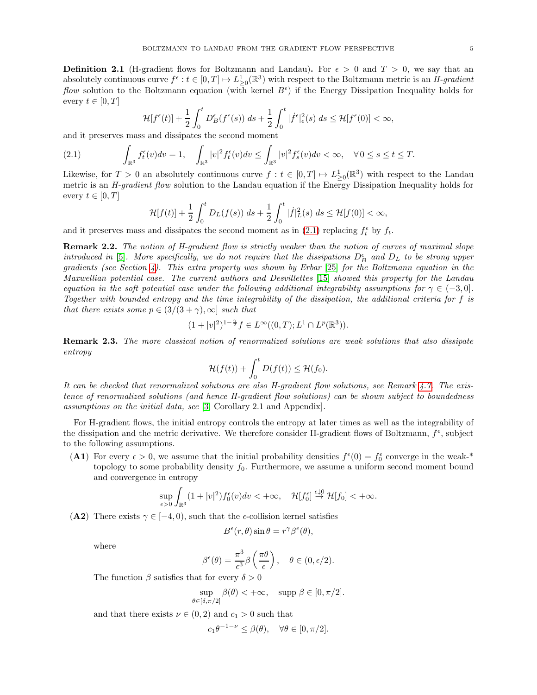<span id="page-4-5"></span>**Definition 2.1** (H-gradient flows for Boltzmann and Landau). For  $\epsilon > 0$  and  $T > 0$ , we say that an absolutely continuous curve  $f^{\epsilon}: t \in [0,T] \mapsto L^1_{\geq 0}(\mathbb{R}^3)$  with respect to the Boltzmann metric is an H-gradient *flow* solution to the Boltzmann equation (with kernel  $B^{\epsilon}$ ) if the Energy Dissipation Inequality holds for every  $t \in [0, T]$ 

<span id="page-4-0"></span>
$$
\mathcal{H}[f^{\epsilon}(t)] + \frac{1}{2} \int_0^t D^{\epsilon}_B(f^{\epsilon}(s)) ds + \frac{1}{2} \int_0^t |\dot{f}^{\epsilon}|^2_{\epsilon}(s) ds \leq \mathcal{H}[f^{\epsilon}(0)] < \infty,
$$

and it preserves mass and dissipates the second moment

$$
(2.1) \qquad \int_{\mathbb{R}^3} f_t^{\epsilon}(v) dv = 1, \quad \int_{\mathbb{R}^3} |v|^2 f_t^{\epsilon}(v) dv \le \int_{\mathbb{R}^3} |v|^2 f_s^{\epsilon}(v) dv < \infty, \quad \forall \, 0 \le s \le t \le T.
$$

Likewise, for  $T > 0$  an absolutely continuous curve  $f : t \in [0, T] \mapsto L^1_{\geq 0}(\mathbb{R}^3)$  with respect to the Landau metric is an *H-gradient flow* solution to the Landau equation if the Energy Dissipation Inequality holds for every  $t \in [0, T]$ 

$$
\mathcal{H}[f(t)] + \frac{1}{2} \int_0^t D_L(f(s)) \ ds + \frac{1}{2} \int_0^t |\dot{f}|_L^2(s) \ ds \leq \mathcal{H}[f(0)] < \infty,
$$

<span id="page-4-3"></span>and it preserves mass and dissipates the second moment as in [\(2.1\)](#page-4-0) replacing  $f_t^{\epsilon}$  by  $f_t$ .

Remark 2.2. The notion of H-gradient flow is strictly weaker than the notion of curves of maximal slope introduced in [\[5\]](#page-40-13). More specifically, we do not require that the dissipations  $D_B^{\epsilon}$  and  $D_L$  to be strong upper gradients (see Section [4\)](#page-15-0). This extra property was shown by Erbar [\[25\]](#page-41-4) for the Boltzmann equation in the Maxwellian potential case. The current authors and Desvillettes [\[15\]](#page-40-3) showed this property for the Landau equation in the soft potential case under the following additional integrability assumptions for  $\gamma \in (-3, 0]$ . Together with bounded entropy and the time integrability of the dissipation, the additional criteria for f is that there exists some  $p \in (3/(3+\gamma), \infty]$  such that

$$
(1+|v|^2)^{1-\frac{\gamma}{2}}f \in L^{\infty}((0,T);L^1\cap L^p(\mathbb{R}^3)).
$$

<span id="page-4-4"></span>Remark 2.3. The more classical notion of renormalized solutions are weak solutions that also dissipate entropy

$$
\mathcal{H}(f(t)) + \int_0^t D(f(t)) \leq \mathcal{H}(f_0).
$$

It can be checked that renormalized solutions are also H-gradient flow solutions, see Remark [4.7.](#page-17-0) The existence of renormalized solutions (and hence H-gradient flow solutions) can be shown subject to boundedness assumptions on the initial data, see [\[3,](#page-40-7) Corollary 2.1 and Appendix].

For H-gradient flows, the initial entropy controls the entropy at later times as well as the integrability of the dissipation and the metric derivative. We therefore consider H-gradient flows of Boltzmann,  $f^{\epsilon}$ , subject to the following assumptions.

<span id="page-4-2"></span>(A1) For every  $\epsilon > 0$ , we assume that the initial probability densities  $f^{\epsilon}(0) = f_0^{\epsilon}$  converge in the weak-\* topology to some probability density  $f_0$ . Furthermore, we assume a uniform second moment bound and convergence in entropy

$$
\sup_{\epsilon>0}\int_{\mathbb{R}^3}(1+|v|^2)f_0^{\epsilon}(v)dv<+\infty,\quad \mathcal{H}[f_0^{\epsilon}]\stackrel{\epsilon\downarrow 0}{\to}\mathcal{H}[f_0]<+\infty.
$$

<span id="page-4-1"></span>(A2) There exists  $\gamma \in [-4, 0)$ , such that the  $\epsilon$ -collision kernel satisfies

$$
B^{\epsilon}(r,\theta)\sin\theta = r^{\gamma}\beta^{\epsilon}(\theta),
$$

where

$$
\beta^{\epsilon}(\theta) = \frac{\pi^3}{\epsilon^3} \beta\left(\frac{\pi\theta}{\epsilon}\right), \quad \theta \in (0, \epsilon/2).
$$

The function  $\beta$  satisfies that for every  $\delta > 0$ 

$$
\sup_{\theta \in [\delta, \pi/2]} \beta(\theta) < +\infty, \quad \text{supp } \beta \in [0, \pi/2].
$$

and that there exists  $\nu \in (0, 2)$  and  $c_1 > 0$  such that

$$
c_1 \theta^{-1-\nu} \le \beta(\theta), \quad \forall \theta \in [0, \pi/2].
$$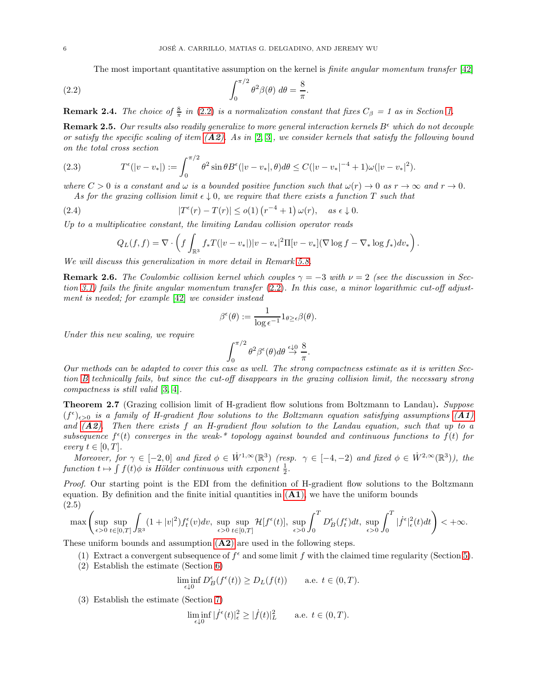<span id="page-5-1"></span>The most important quantitative assumption on the kernel is *finite angular momentum transfer* [\[42\]](#page-41-6)

<span id="page-5-8"></span>(2.2) 
$$
\int_0^{\pi/2} \theta^2 \beta(\theta) d\theta = \frac{8}{\pi}.
$$

<span id="page-5-5"></span>**Remark 2.4.** The choice of  $\frac{8}{\pi}$  in [\(2.2\)](#page-5-1) is a normalization constant that fixes  $C_{\beta} = 1$  as in Section [1.](#page-0-1)

**Remark 2.5.** Our results also readily generalize to more general interaction kernels  $B^{\epsilon}$  which do not decouple or satisfy the specific scaling of item  $(A2)$  $(A2)$  $(A2)$ . As in [\[2,](#page-40-9) [3\]](#page-40-7), we consider kernels that satisfy the following bound on the total cross section

<span id="page-5-6"></span>(2.3) 
$$
T^{\epsilon}(|v-v_*|) := \int_0^{\pi/2} \theta^2 \sin \theta B^{\epsilon}(|v-v_*|, \theta) d\theta \le C(|v-v_*|^{-4} + 1)\omega(|v-v_*|^2).
$$

where  $C > 0$  is a constant and  $\omega$  is a bounded positive function such that  $\omega(r) \to 0$  as  $r \to \infty$  and  $r \to 0$ . As for the grazing collision limit  $\epsilon \downarrow 0$ , we require that there exists a function T such that

(2.4) 
$$
|T^{\epsilon}(r) - T(r)| \leq o(1) (r^{-4} + 1) \omega(r), \quad \text{as } \epsilon \downarrow 0.
$$

Up to a multiplicative constant, the limiting Landau collision operator reads

<span id="page-5-7"></span>
$$
Q_L(f, f) = \nabla \cdot \left( f \int_{\mathbb{R}^3} f_* T(|v - v_*|) |v - v_*|^2 \Pi[v - v_*] (\nabla \log f - \nabla_* \log f_*) dv_* \right).
$$

We will discuss this generalization in more detail in Remark [5.8.](#page-22-0)

**Remark 2.6.** The Coulombic collision kernel which couples  $\gamma = -3$  with  $\nu = 2$  (see the discussion in Section [3.1\)](#page-7-0) fails the finite angular momentum transfer [\(2.2\)](#page-5-1). In this case, a minor logarithmic cut-off adjustment is needed; for example [\[42\]](#page-41-6) we consider instead

$$
\beta^{\epsilon}(\theta) := \frac{1}{\log \epsilon^{-1}} 1_{\theta \geq \epsilon} \beta(\theta).
$$

Under this new scaling, we require

$$
\int_0^{\pi/2} \theta^2 \beta^{\epsilon}(\theta) d\theta \stackrel{\epsilon \downarrow 0}{\rightarrow} \frac{8}{\pi}.
$$

Our methods can be adapted to cover this case as well. The strong compactness estimate as it is written Section [B](#page-34-0) technically fails, but since the cut-off disappears in the grazing collision limit, the necessary strong compactness is still valid [\[3,](#page-40-7) [4\]](#page-40-8).

<span id="page-5-0"></span>**Theorem 2.7** (Grazing collision limit of H-gradient flow solutions from Boltzmann to Landau). Suppose  $(f^{\epsilon})_{\epsilon>0}$  is a family of H-gradient flow solutions to the Boltzmann equation satisfying assumptions  $(A1)$  $(A1)$  $(A1)$ and  $(A2)$  $(A2)$  $(A2)$ . Then there exists f an H-gradient flow solution to the Landau equation, such that up to a subsequence  $f^{\epsilon}(t)$  converges in the weak-\* topology against bounded and continuous functions to  $f(t)$  for every  $t \in [0, T]$ .

Moreover, for  $\gamma \in [-2,0]$  and fixed  $\phi \in W^{1,\infty}(\mathbb{R}^3)$  (resp.  $\gamma \in [-4,-2)$  and fixed  $\phi \in W^{2,\infty}(\mathbb{R}^3)$ ), the function  $t \mapsto \int f(t) \phi$  is Hölder continuous with exponent  $\frac{1}{2}$ .

Proof. Our starting point is the EDI from the definition of H-gradient flow solutions to the Boltzmann equation. By definition and the finite initial quantities in  $(A1)$  $(A1)$  $(A1)$ , we have the uniform bounds (2.5)

<span id="page-5-4"></span>
$$
\max\left(\sup_{\epsilon>0}\sup_{t\in[0,T]}\int_{\mathbb{R}^3}(1+|v|^2)f^\epsilon_t(v)dv,\sup_{\epsilon>0}\sup_{t\in[0,T]}\mathcal{H}[f^\epsilon(t)],\sup_{\epsilon>0}\int_0^T D^\epsilon_B(f^\epsilon_t)dt,\sup_{\epsilon>0}\int_0^T|\dot{f}^\epsilon|^2_\epsilon(t)dt\right)<+\infty.
$$

<span id="page-5-2"></span>These uniform bounds and assumption  $(A2)$  $(A2)$  $(A2)$  are used in the following steps.

- (1) Extract a convergent subsequence of  $f^{\epsilon}$  and some limit f with the claimed time regularity (Section [5\)](#page-18-0).
- (2) Establish the estimate (Section [6\)](#page-23-0)

$$
\liminf_{\epsilon \downarrow 0} D_B^{\epsilon}(f^{\epsilon}(t)) \ge D_L(f(t)) \quad \text{a.e. } t \in (0, T).
$$

<span id="page-5-3"></span>(3) Establish the estimate (Section [7\)](#page-29-0)

$$
\liminf_{\epsilon \downarrow 0} |\dot{f}^{\epsilon}(t)|_{\epsilon}^2 \ge |\dot{f}(t)|_{L}^2 \quad \text{a.e. } t \in (0, T).
$$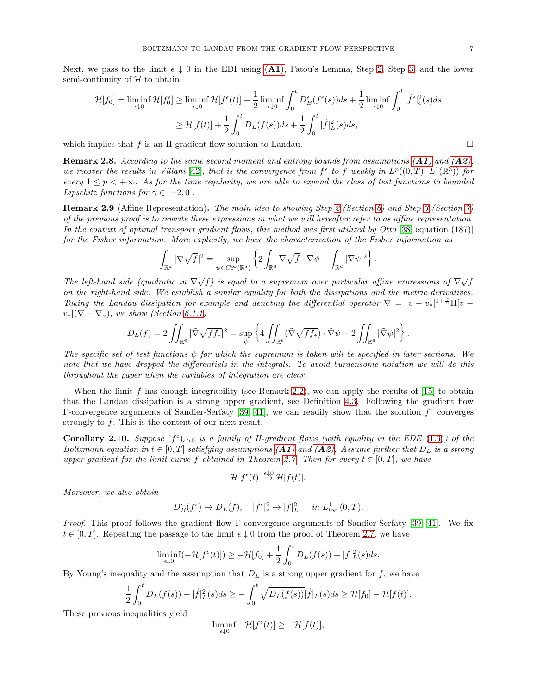<span id="page-6-0"></span>Next, we pass to the limit  $\epsilon \downarrow 0$  in the EDI using ([A1](#page-4-2)), Fatou's Lemma, Step [2,](#page-5-2) Step [3,](#page-5-3) and the lower semi-continuity of  $H$  to obtain

$$
\mathcal{H}[f_0] = \liminf_{\epsilon \downarrow 0} \mathcal{H}[f_0^{\epsilon}] \ge \liminf_{\epsilon \downarrow 0} \mathcal{H}[f^{\epsilon}(t)] + \frac{1}{2} \liminf_{\epsilon \downarrow 0} \int_0^t D_B^{\epsilon}(f^{\epsilon}(s))ds + \frac{1}{2} \liminf_{\epsilon \downarrow 0} \int_0^t |\dot{f}^{\epsilon}|_{\epsilon}^2(s)ds
$$
  

$$
\ge \mathcal{H}[f(t)] + \frac{1}{2} \int_0^t D_L(f(s))ds + \frac{1}{2} \int_0^t |\dot{f}|_L^2(s)ds,
$$

which implies that f is an H-gradient flow solution to Landau.  $\Box$ 

**Remark 2.8.** According to the same second moment and entropy bounds from assumptions  $(A1)$  $(A1)$  $(A1)$  and  $(A2)$  $(A2)$  $(A2)$ , we recover the results in Villani [\[42\]](#page-41-6), that is the convergence from  $f^{\epsilon}$  to f weakly in  $L^p((0,T); L^1(\mathbb{R}^3))$  for every  $1 \leq p \leq +\infty$ . As for the time regularity, we are able to expand the class of test functions to bounded Lipschitz functions for  $\gamma \in [-2,0]$ .

**Remark [2](#page-5-2).9** (Affine Representation). The main idea to showing Step 2 (Section [6\)](#page-23-0) and Step [3](#page-5-3) (Section [7\)](#page-29-0) of the previous proof is to rewrite these expressions in what we will hereafter refer to as affine representation. In the context of optimal transport gradient flows, this method was first utilized by Otto [\[38,](#page-41-14) equation (187)] for the Fisher information. More explicitly, we have the characterization of the Fisher information as

$$
\int_{\mathbb{R}^d} |\nabla \sqrt{f}|^2 = \sup_{\psi \in C_c^{\infty}(\mathbb{R}^d)} \left\{ 2 \int_{\mathbb{R}^d} \nabla \sqrt{f} \cdot \nabla \psi - \int_{\mathbb{R}^d} |\nabla \psi|^2 \right\}.
$$

The left-hand side (quadratic in  $\nabla \sqrt{f}$ ) is equal to a supremum over particular affine expressions of  $\nabla \sqrt{f}$ on the right-hand side. We establish a similar equality for both the dissipations and the metric derivatives. Taking the Landau dissipation for example and denoting the differential operator  $\tilde{\nabla} = |v - v_*|^{1 + \frac{\gamma}{2}} \Pi[v - v_*]$  $v_*$ ]( $\nabla - \nabla_*$ ), we show (Section [6.1.1\)](#page-24-0)

$$
D_L(f) = 2 \iint_{\mathbb{R}^6} |\tilde{\nabla} \sqrt{f f_*}|^2 = \sup_{\psi} \left\{ 4 \iint_{\mathbb{R}^6} (\tilde{\nabla} \sqrt{f f_*}) \cdot \tilde{\nabla} \psi - 2 \iint_{\mathbb{R}^6} |\tilde{\nabla} \psi|^2 \right\}.
$$

The specific set of test functions  $\psi$  for which the supremum is taken will be specified in later sections. We note that we have dropped the differentials in the integrals. To avoid burdensome notation we will do this throughout the paper when the variables of integration are clear.

When the limit f has enough integrability (see Remark [2.2\)](#page-4-3), we can apply the results of  $[15]$  to obtain that the Landau dissipation is a strong upper gradient, see Definition [4.3.](#page-15-1) Following the gradient flow  $\Gamma$ -convergence arguments of Sandier-Serfaty [\[39,](#page-41-0) [41\]](#page-41-1), we can readily show that the solution  $f^{\epsilon}$  converges strongly to  $f$ . This is the content of our next result.

**Corollary 2.10.** Suppose  $(f^{\epsilon})_{\epsilon>0}$  is a family of H-gradient flows (with equality in the EDE [\(1.3\)](#page-3-3)) of the Boltzmann equation in  $t \in [0,T]$  satisfying assumptions  $(A1)$  $(A1)$  $(A1)$  and  $(A2)$  $(A2)$  $(A2)$ . Assume further that  $D_L$  is a strong upper gradient for the limit curve f obtained in Theorem [2.7.](#page-5-0) Then for every  $t \in [0, T]$ , we have

$$
\mathcal{H}[f^{\epsilon}(t)] \stackrel{\epsilon \downarrow 0}{\rightarrow} \mathcal{H}[f(t)].
$$

Moreover, we also obtain

$$
D_B^{\epsilon}(f^{\epsilon}) \to D_L(f), \quad |\dot{f}^{\epsilon}|_{\epsilon}^2 \to |\dot{f}|_L^2, \quad \text{in } L^1_{loc.}(0,T).
$$

Proof. This proof follows the gradient flow Γ-convergence arguments of Sandier-Serfaty [\[39,](#page-41-0) [41\]](#page-41-1). We fix  $t \in [0, T]$ . Repeating the passage to the limit  $\epsilon \downarrow 0$  from the proof of Theorem [2.7,](#page-5-0) we have

$$
\liminf_{\epsilon \downarrow 0} (-\mathcal{H}[f^{\epsilon}(t)]) \ge -\mathcal{H}[f_0] + \frac{1}{2} \int_0^t D_L(f(s)) + |\dot{f}|_L^2(s) ds.
$$

By Young's inequality and the assumption that  $D<sub>L</sub>$  is a strong upper gradient for f, we have

$$
\frac{1}{2} \int_0^t D_L(f(s)) + |\dot{f}|_L^2(s) ds \geq - \int_0^t \sqrt{D_L(f(s))} |\dot{f}|_L(s) ds \geq \mathcal{H}[f_0] - \mathcal{H}[f(t)].
$$

These previous inequalities yield

$$
\liminf_{\epsilon \downarrow 0} -\mathcal{H}[f^{\epsilon}(t)] \geq -\mathcal{H}[f(t)],
$$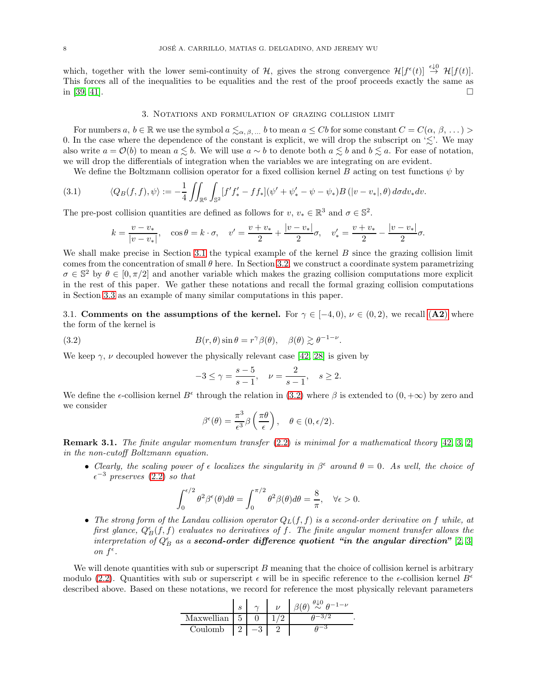<span id="page-7-4"></span>which, together with the lower semi-continuity of  $\mathcal{H}$ , gives the strong convergence  $\mathcal{H}[f^{\epsilon}(t)] \stackrel{\epsilon \downarrow 0}{\rightarrow} \mathcal{H}[f(t)]$ . This forces all of the inequalities to be equalities and the rest of the proof proceeds exactly the same as in [\[39,](#page-41-0) [41\]](#page-41-1).  $\Box$ 

### 3. Notations and formulation of grazing collision limit

<span id="page-7-1"></span>For numbers  $a, b \in \mathbb{R}$  we use the symbol  $a \leq_{\alpha,\beta,\dots} b$  to mean  $a \leq Cb$  for some constant  $C = C(\alpha, \beta, \dots)$ 0. In the case where the dependence of the constant is explicit, we will drop the subscript on ' $\lesssim$ '. We may also write  $a = \mathcal{O}(b)$  to mean  $a \leq b$ . We will use  $a \sim b$  to denote both  $a \leq b$  and  $b \leq a$ . For ease of notation, we will drop the differentials of integration when the variables we are integrating on are evident.

We define the Boltzmann collision operator for a fixed collision kernel B acting on test functions  $\psi$  by

(3.1) 
$$
\langle Q_B(f,f), \psi \rangle := -\frac{1}{4} \iint_{\mathbb{R}^6} \int_{\mathbb{S}^2} [f' f'_* - f f_*] (\psi' + \psi'_* - \psi - \psi_*) B (|v - v_*|, \theta) d\sigma dv_* dv.
$$

The pre-post collision quantities are defined as follows for  $v, v_* \in \mathbb{R}^3$  and  $\sigma \in \mathbb{S}^2$ .

<span id="page-7-3"></span>
$$
k = \frac{v - v_*}{|v - v_*|}, \quad \cos \theta = k \cdot \sigma, \quad v' = \frac{v + v_*}{2} + \frac{|v - v_*|}{2} \sigma, \quad v'_* = \frac{v + v_*}{2} - \frac{|v - v_*|}{2} \sigma.
$$

We shall make precise in Section [3.1](#page-7-0) the typical example of the kernel B since the grazing collision limit comes from the concentration of small  $\theta$  here. In Section [3.2,](#page-8-0) we construct a coordinate system parametrizing  $\sigma \in \mathbb{S}^2$  by  $\theta \in [0, \pi/2]$  and another variable which makes the grazing collision computations more explicit in the rest of this paper. We gather these notations and recall the formal grazing collision computations in Section [3.3](#page-10-0) as an example of many similar computations in this paper.

<span id="page-7-0"></span>3.1. Comments on the assumptions of the kernel. For  $\gamma \in [-4,0), \nu \in (0,2)$ , we recall  $(A2)$  $(A2)$  $(A2)$  where the form of the kernel is

(3.2) 
$$
B(r,\theta)\sin\theta = r^{\gamma}\beta(\theta), \quad \beta(\theta) \gtrsim \theta^{-1-\nu}.
$$

We keep  $\gamma$ ,  $\nu$  decoupled however the physically relevant case [\[42,](#page-41-6) [28\]](#page-41-7) is given by

<span id="page-7-2"></span>
$$
-3 \le \gamma = \frac{s-5}{s-1}, \quad \nu = \frac{2}{s-1}, \quad s \ge 2.
$$

We define the  $\epsilon$ -collision kernel  $B^{\epsilon}$  through the relation in [\(3.2\)](#page-7-2) where  $\beta$  is extended to  $(0, +\infty)$  by zero and we consider

$$
\beta^{\epsilon}(\theta) = \frac{\pi^3}{\epsilon^3} \beta\left(\frac{\pi\theta}{\epsilon}\right), \quad \theta \in (0, \epsilon/2).
$$

**Remark 3.1.** The finite angular momentum transfer  $(2.2)$  is minimal for a mathematical theory  $[42, 3, 2]$  $[42, 3, 2]$  $[42, 3, 2]$ in the non-cutoff Boltzmann equation.

• Clearly, the scaling power of  $\epsilon$  localizes the singularity in  $\beta^{\epsilon}$  around  $\theta = 0$ . As well, the choice of  $\epsilon^{-3}$  preserves [\(2.2\)](#page-5-1) so that

$$
\int_0^{\epsilon/2} \theta^2 \beta^{\epsilon}(\theta) d\theta = \int_0^{\pi/2} \theta^2 \beta(\theta) d\theta = \frac{8}{\pi}, \quad \forall \epsilon > 0.
$$

• The strong form of the Landau collision operator  $Q_L(f, f)$  is a second-order derivative on f while, at first glance,  $Q_{B}^{\epsilon}(f, f)$  evaluates no derivatives of f. The finite angular moment transfer allows the interpretation of  $Q_B^{\epsilon}$  as a **second-order difference quotient "in the angular direction"** [\[2,](#page-40-9) [3\]](#page-40-7) on  $f^{\epsilon}$ .

We will denote quantities with sub or superscript  $B$  meaning that the choice of collision kernel is arbitrary modulo [\(2.2\)](#page-5-1). Quantities with sub or superscript  $\epsilon$  will be in specific reference to the  $\epsilon$ -collision kernel  $B^{\epsilon}$ described above. Based on these notations, we record for reference the most physically relevant parameters

|            |   |  | $(\theta) \stackrel{\theta \downarrow 0}{\sim} \theta^{-1-\nu}$ |
|------------|---|--|-----------------------------------------------------------------|
| Maxwellian | 5 |  |                                                                 |
| Coulomb    |   |  |                                                                 |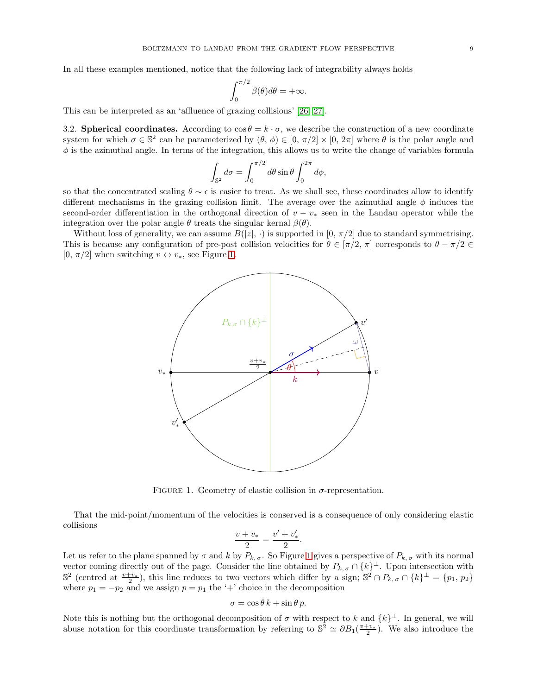<span id="page-8-2"></span>In all these examples mentioned, notice that the following lack of integrability always holds

$$
\int_0^{\pi/2} \beta(\theta) d\theta = +\infty.
$$

<span id="page-8-0"></span>This can be interpreted as an 'affluence of grazing collisions' [\[26,](#page-41-9) [27\]](#page-41-8).

3.2. Spherical coordinates. According to  $\cos \theta = k \cdot \sigma$ , we describe the construction of a new coordinate system for which  $\sigma \in \mathbb{S}^2$  can be parameterized by  $(\theta, \phi) \in [0, \pi/2] \times [0, 2\pi]$  where  $\theta$  is the polar angle and  $\phi$  is the azimuthal angle. In terms of the integration, this allows us to write the change of variables formula

$$
\int_{\mathbb{S}^2} d\sigma = \int_0^{\pi/2} d\theta \sin \theta \int_0^{2\pi} d\phi,
$$

so that the concentrated scaling  $\theta \sim \epsilon$  is easier to treat. As we shall see, these coordinates allow to identify different mechanisms in the grazing collision limit. The average over the azimuthal angle  $\phi$  induces the second-order differentiation in the orthogonal direction of  $v - v_*$  seen in the Landau operator while the integration over the polar angle  $\theta$  treats the singular kernal  $\beta(\theta)$ .

Without loss of generality, we can assume  $B(|z|, \cdot)$  is supported in  $[0, \pi/2]$  due to standard symmetrising. This is because any configuration of pre-post collision velocities for  $\theta \in [\pi/2, \pi]$  corresponds to  $\theta - \pi/2 \in$ [0,  $\pi/2$ ] when switching  $v \leftrightarrow v_*$ , see Figure [1.](#page-8-1)



<span id="page-8-1"></span>FIGURE 1. Geometry of elastic collision in  $\sigma$ -representation.

That the mid-point/momentum of the velocities is conserved is a consequence of only considering elastic collisions

$$
\frac{v + v_*}{2} = \frac{v' + v'_*}{2}.
$$

Let us refer to the plane spanned by  $\sigma$  and k by  $P_{k, \sigma}$ . So Figure [1](#page-8-1) gives a perspective of  $P_{k, \sigma}$  with its normal vector coming directly out of the page. Consider the line obtained by  $P_{k,\sigma} \cap \{k\}^{\perp}$ . Upon intersection with  $\mathbb{S}^2$  (centred at  $\frac{v+v_*}{2}$ ), this line reduces to two vectors which differ by a sign;  $\mathbb{S}^2 \cap P_{k,\sigma} \cap \{k\}^{\perp} = \{p_1, p_2\}$ where  $p_1 = -p_2$  and we assign  $p = p_1$  the '+' choice in the decomposition

$$
\sigma = \cos \theta \, k + \sin \theta \, p.
$$

Note this is nothing but the orthogonal decomposition of  $\sigma$  with respect to k and  $\{k\}^{\perp}$ . In general, we will abuse notation for this coordinate transformation by referring to  $\mathbb{S}^2 \simeq \partial B_1(\frac{v+v_*}{2})$ . We also introduce the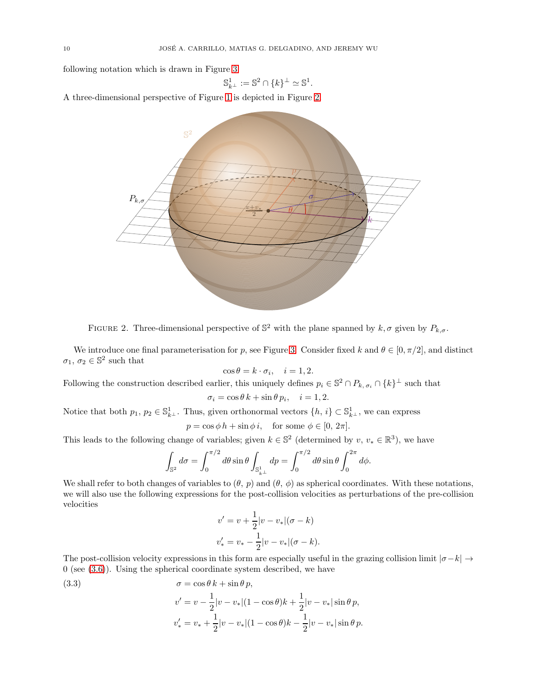following notation which is drawn in Figure [3](#page-10-1)

$$
\mathbb{S}_{k^{\perp}}^{1} := \mathbb{S}^{2} \cap \{k\}^{\perp} \simeq \mathbb{S}^{1}.
$$

A three-dimensional perspective of Figure [1](#page-8-1) is depicted in Figure [2.](#page-9-0)



<span id="page-9-0"></span>FIGURE 2. Three-dimensional perspective of  $\mathbb{S}^2$  with the plane spanned by  $k, \sigma$  given by  $P_{k,\sigma}$ .

We introduce one final parameterisation for p, see Figure [3.](#page-10-1) Consider fixed k and  $\theta \in [0, \pi/2]$ , and distinct  $\sigma_1, \sigma_2 \in \mathbb{S}^2$  such that

$$
\cos \theta = k \cdot \sigma_i, \quad i = 1, 2.
$$

Following the construction described earlier, this uniquely defines  $p_i \in \mathbb{S}^2 \cap P_{k, \sigma_i} \cap \{k\}^{\perp}$  such that

$$
\sigma_i = \cos \theta \, k + \sin \theta \, p_i, \quad i = 1, 2.
$$

Notice that both  $p_1, p_2 \in \mathbb{S}_{k^{\perp}}^1$ . Thus, given orthonormal vectors  $\{h, i\} \subset \mathbb{S}_{k^{\perp}}^1$ , we can express  $p = \cos \phi h + \sin \phi i$ , for some  $\phi \in [0, 2\pi]$ .

This leads to the following change of variables; given  $k \in \mathbb{S}^2$  (determined by  $v, v_* \in \mathbb{R}^3$ ), we have

$$
\int_{\mathbb{S}^2} d\sigma = \int_0^{\pi/2} d\theta \sin \theta \int_{\mathbb{S}^1_{k\perp}} dp = \int_0^{\pi/2} d\theta \sin \theta \int_0^{2\pi} d\phi.
$$

We shall refer to both changes of variables to  $(\theta, p)$  and  $(\theta, \phi)$  as spherical coordinates. With these notations, we will also use the following expressions for the post-collision velocities as perturbations of the pre-collision velocities

$$
v' = v + \frac{1}{2}|v - v_*|(\sigma - k)
$$
  

$$
v'_* = v_* - \frac{1}{2}|v - v_*|(\sigma - k).
$$

The post-collision velocity expressions in this form are especially useful in the grazing collision limit  $|\sigma-k| \to$  $0$  (see  $(3.6)$ ). Using the spherical coordinate system described, we have

<span id="page-9-1"></span>(3.3) 
$$
\sigma = \cos \theta k + \sin \theta p,
$$

$$
v' = v - \frac{1}{2} |v - v_*| (1 - \cos \theta) k + \frac{1}{2} |v - v_*| \sin \theta p,
$$

$$
v'_* = v_* + \frac{1}{2} |v - v_*| (1 - \cos \theta) k - \frac{1}{2} |v - v_*| \sin \theta p.
$$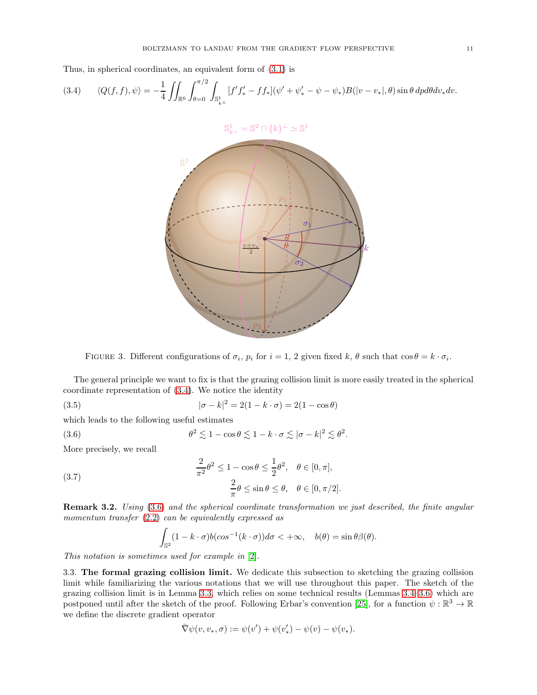<span id="page-10-6"></span>Thus, in spherical coordinates, an equivalent form of [\(3.1\)](#page-7-3) is

<span id="page-10-3"></span>
$$
(3.4) \qquad \langle Q(f,f),\psi\rangle = -\frac{1}{4} \iint_{\mathbb{R}^6} \int_{\theta=0}^{\pi/2} \int_{\mathbb{S}_{k\perp}^1} [f'f'_* - ff_*](\psi' + \psi'_* - \psi - \psi_*) B(|v - v_*|, \theta) \sin \theta \, dp d\theta dv_* dv.
$$



<span id="page-10-4"></span><span id="page-10-1"></span>FIGURE 3. Different configurations of  $\sigma_i$ ,  $p_i$  for  $i = 1, 2$  given fixed  $k, \theta$  such that  $\cos \theta = k \cdot \sigma_i$ .

The general principle we want to fix is that the grazing collision limit is more easily treated in the spherical coordinate representation of [\(3.4\)](#page-10-3). We notice the identity

(3.5) 
$$
|\sigma - k|^2 = 2(1 - k \cdot \sigma) = 2(1 - \cos \theta)
$$

which leads to the following useful estimates

(3.6) 
$$
\theta^2 \lesssim 1 - \cos \theta \lesssim 1 - k \cdot \sigma \lesssim |\sigma - k|^2 \lesssim \theta^2.
$$

More precisely, we recall

<span id="page-10-5"></span>(3.7) 
$$
\frac{2}{\pi^2} \theta^2 \le 1 - \cos \theta \le \frac{1}{2} \theta^2, \quad \theta \in [0, \pi],
$$

$$
\frac{2}{\pi} \theta \le \sin \theta \le \theta, \quad \theta \in [0, \pi/2].
$$

Remark 3.2. Using [\(3.6\)](#page-10-2) and the spherical coordinate transformation we just described, the finite angular momentum transfer  $(2.2)$  can be equivalently expressed as

<span id="page-10-2"></span>
$$
\int_{\mathbb{S}^2} (1 - k \cdot \sigma) b(\cos^{-1}(k \cdot \sigma)) d\sigma < +\infty, \quad b(\theta) = \sin \theta \beta(\theta).
$$

<span id="page-10-0"></span>This notation is sometimes used for example in [\[2\]](#page-40-9).

3.3. The formal grazing collision limit. We dedicate this subsection to sketching the grazing collision limit while familiarizing the various notations that we will use throughout this paper. The sketch of the grazing collision limit is in Lemma [3.3,](#page-11-0) which relies on some technical results (Lemmas [3.4–](#page-12-0)[3.6\)](#page-14-0) which are postponed until after the sketch of the proof. Following Erbar's convention [\[25\]](#page-41-4), for a function  $\psi : \mathbb{R}^3 \to \mathbb{R}$ we define the discrete gradient operator

$$
\bar{\nabla}\psi(v, v_*, \sigma) := \psi(v') + \psi(v'_*) - \psi(v) - \psi(v_*).
$$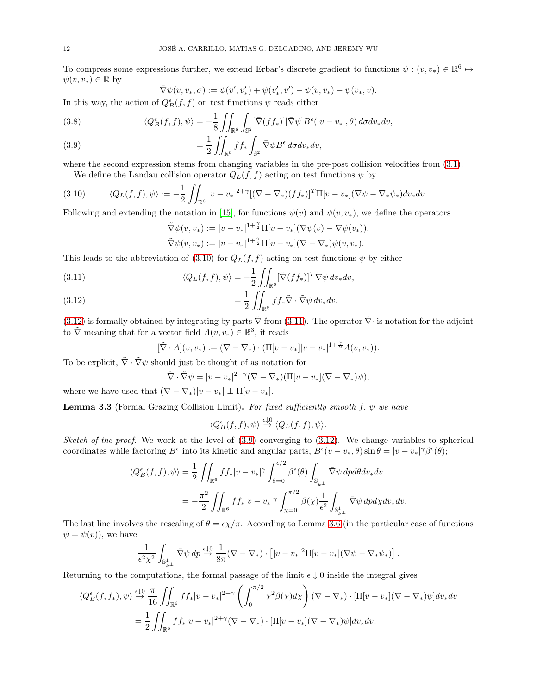<span id="page-11-6"></span>To compress some expressions further, we extend Erbar's discrete gradient to functions  $\psi : (v, v_*) \in \mathbb{R}^6 \mapsto$  $\psi(v, v_*) \in \mathbb{R}$  by

$$
\nabla \psi(v, v_*, \sigma) := \psi(v', v'_*) + \psi(v'_*, v') - \psi(v, v_*) - \psi(v_*, v).
$$

In this way, the action of  $Q^\epsilon_B(f,f)$  on test functions  $\psi$  reads either

<span id="page-11-5"></span>(3.8) 
$$
\langle Q_B^{\epsilon}(f,f),\psi\rangle = -\frac{1}{8} \iint_{\mathbb{R}^6} \int_{\mathbb{S}^2} [\bar{\nabla}(f f_*)][\bar{\nabla}\psi] B^{\epsilon}(|v-v_*|,\theta) d\sigma dv_* dv,
$$

<span id="page-11-4"></span>(3.9) 
$$
= \frac{1}{2} \iint_{\mathbb{R}^6} f f_* \int_{\mathbb{S}^2} \bar{\nabla} \psi B^{\epsilon} d\sigma dv_* dv,
$$

where the second expression stems from changing variables in the pre-post collision velocities from  $(3.1)$ . We define the Landau collision operator  $Q_L(f, f)$  acting on test functions  $\psi$  by

<span id="page-11-1"></span>
$$
(3.10) \qquad \langle Q_L(f,f),\psi\rangle := -\frac{1}{2}\iint_{\mathbb{R}^6} |v-v_*|^{2+\gamma} [(\nabla - \nabla_*)(ff_*)]^T \Pi[v-v_*](\nabla \psi - \nabla_* \psi_*) dv_* dv.
$$

Following and extending the notation in [\[15\]](#page-40-3), for functions  $\psi(v)$  and  $\psi(v, v_*)$ , we define the operators

$$
\tilde{\nabla}\psi(v,v_*) := |v - v_*|^{1+\frac{\gamma}{2}} \Pi[v - v_*] (\nabla \psi(v) - \nabla \psi(v_*)),
$$
  

$$
\tilde{\nabla}\psi(v,v_*) := |v - v_*|^{1+\frac{\gamma}{2}} \Pi[v - v_*] (\nabla - \nabla_*) \psi(v,v_*).
$$

This leads to the abbreviation of [\(3.10\)](#page-11-1) for  $Q_L(f, f)$  acting on test functions  $\psi$  by either

<span id="page-11-3"></span>(3.11) 
$$
\langle Q_L(f,f), \psi \rangle = -\frac{1}{2} \iint_{\mathbb{R}^6} [\tilde{\nabla}(f f_*)]^T \tilde{\nabla} \psi \, dv_* dv,
$$

<span id="page-11-2"></span>(3.12) 
$$
= \frac{1}{2} \iint_{\mathbb{R}^6} f f_* \tilde{\nabla} \cdot \tilde{\nabla} \psi \, dv_* dv.
$$

[\(3.12\)](#page-11-2) is formally obtained by integrating by parts  $\tilde{\nabla}$  from [\(3.11\)](#page-11-3). The operator  $\tilde{\nabla}$  is notation for the adjoint to  $\tilde{\nabla}$  meaning that for a vector field  $A(v, v_*) \in \mathbb{R}^3$ , it reads

$$
[\tilde{\nabla} \cdot A](v, v_*) := (\nabla - \nabla_*) \cdot (\Pi[v - v_*]|v - v_*|^{1 + \frac{\gamma}{2}} A(v, v_*)).
$$

To be explicit,  $\tilde{\nabla} \cdot \tilde{\nabla} \psi$  should just be thought of as notation for

$$
\tilde{\nabla} \cdot \tilde{\nabla} \psi = |v - v_*|^{2+\gamma} (\nabla - \nabla_*)(\Pi[v - v_*](\nabla - \nabla_*)\psi),
$$

<span id="page-11-0"></span>where we have used that  $(\nabla - \nabla_*)|v - v_*| \perp \Pi[v - v_*].$ 

**Lemma 3.3** (Formal Grazing Collision Limit). For fixed sufficiently smooth f,  $\psi$  we have

$$
\langle Q_B^{\epsilon}(f,f),\psi\rangle \stackrel{\epsilon \downarrow 0}{\rightarrow} \langle Q_L(f,f),\psi\rangle.
$$

Sketch of the proof. We work at the level of  $(3.9)$  converging to  $(3.12)$ . We change variables to spherical coordinates while factoring  $B^{\epsilon}$  into its kinetic and angular parts,  $B^{\epsilon}(v-v_*,\theta) \sin \theta = |v-v_*|^{\gamma} \beta^{\epsilon}(\theta);$ 

$$
\langle Q_E^{\epsilon}(f,f),\psi\rangle = \frac{1}{2} \iint_{\mathbb{R}^6} f f_* |v - v_*|^{\gamma} \int_{\theta=0}^{\epsilon/2} \beta^{\epsilon}(\theta) \int_{\mathbb{S}^1_{k\perp}} \bar{\nabla}\psi \, dp d\theta dv_* dv
$$
  
= 
$$
-\frac{\pi^2}{2} \iint_{\mathbb{R}^6} f f_* |v - v_*|^{\gamma} \int_{\chi=0}^{\pi/2} \beta(\chi) \frac{1}{\epsilon^2} \int_{\mathbb{S}^1_{k\perp}} \bar{\nabla}\psi \, dp d\chi dv_* dv.
$$

The last line involves the rescaling of  $\theta = \epsilon \chi/\pi$ . According to Lemma [3.6](#page-14-0) (in the particular case of functions  $\psi = \psi(v)$ , we have

$$
\frac{1}{\epsilon^2 \chi^2} \int_{\mathbb{S}^1_{k\perp}} \bar{\nabla} \psi \, dp \stackrel{\epsilon \downarrow 0}{\rightarrow} \frac{1}{8\pi} (\nabla - \nabla_*) \cdot \left[ |v - v_*|^2 \Pi [v - v_*] (\nabla \psi - \nabla_* \psi_*) \right].
$$

Returning to the computations, the formal passage of the limit  $\epsilon \downarrow 0$  inside the integral gives

$$
\langle Q_B^{\epsilon}(f, f_*) , \psi \rangle \stackrel{\epsilon \downarrow 0}{\rightarrow} \frac{\pi}{16} \iint_{\mathbb{R}^6} f f_* |v - v_*|^{2+\gamma} \left( \int_0^{\pi/2} \chi^2 \beta(\chi) d\chi \right) (\nabla - \nabla_*) \cdot [\Pi[v - v_*](\nabla - \nabla_*) \psi] dv_* dv
$$
  
= 
$$
\frac{1}{2} \iint_{\mathbb{R}^6} f f_* |v - v_*|^{2+\gamma} (\nabla - \nabla_*) \cdot [\Pi[v - v_*](\nabla - \nabla_*) \psi] dv_* dv,
$$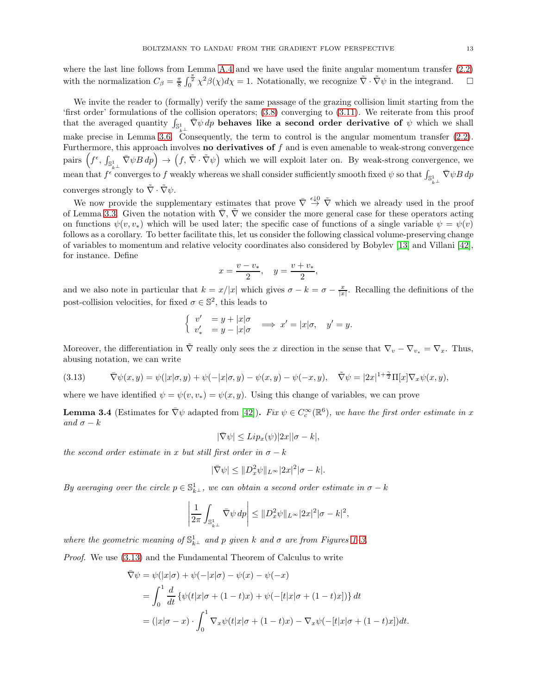<span id="page-12-2"></span>where the last line follows from Lemma [A.4](#page-32-1) and we have used the finite angular momentum transfer [\(2.2\)](#page-5-1) with the normalization  $C_{\beta} = \frac{\pi}{8} \int_0^{\frac{\pi}{2}} \chi^2 \beta(\chi) d\chi = 1$ . Notationally, we recognize  $\tilde{\nabla} \cdot \tilde{\nabla} \psi$  in the integrand.

We invite the reader to (formally) verify the same passage of the grazing collision limit starting from the 'first order' formulations of the collision operators; [\(3.8\)](#page-11-5) converging to [\(3.11\)](#page-11-3). We reiterate from this proof that the averaged quantity  $\int_{S^1_{k^\perp}} \bar{\nabla} \psi \, dp$  behaves like a second order derivative of  $\psi$  which we shall make precise in Lemma [3.6.](#page-14-0) Consequently, the term to control is the angular momentum transfer  $(2.2)$ . Furthermore, this approach involves **no derivatives of**  $f$  and is even amenable to weak-strong convergence pairs  $(f^{\epsilon}, \int_{\mathbb{S}^1_{+}} \bar{\nabla} \psi B \, dp) \rightarrow (f, \tilde{\nabla} \cdot \tilde{\nabla} \psi)$  which we will exploit later on. By weak-strong convergence, we mean that  $f^{\epsilon}$  converges to f weakly whereas we shall consider sufficiently smooth fixed  $\psi$  so that  $\int_{\mathbb{S}^1_{k^\perp}} \bar{\nabla} \psi B \, dp$ converges strongly to  $\tilde{\nabla} \cdot \tilde{\nabla} \psi$ .

We now provide the supplementary estimates that prove  $\overline{\nabla} \stackrel{\epsilon \downarrow 0}{\rightarrow} \overline{\nabla}$  which we already used in the proof of Lemma [3.3.](#page-11-0) Given the notation with  $\overline{\nabla}$ ,  $\tilde{\nabla}$  we consider the more general case for these operators acting on functions  $\psi(v, v_*)$  which will be used later; the specific case of functions of a single variable  $\psi = \psi(v)$ follows as a corollary. To better facilitate this, let us consider the following classical volume-preserving change of variables to momentum and relative velocity coordinates also considered by Bobylev [\[13\]](#page-40-21) and Villani [\[42\]](#page-41-6), for instance. Define

$$
x = \frac{v - v_*}{2}, \quad y = \frac{v + v_*}{2},
$$

and we also note in particular that  $k = x/|x|$  which gives  $\sigma - k = \sigma - \frac{x}{|x|}$ . Recalling the definitions of the post-collision velocities, for fixed  $\sigma \in \mathbb{S}^2$ , this leads to

$$
\begin{cases}\nv' &= y + |x|\sigma \\
v'_* &= y - |x|\sigma\n\end{cases} \implies x' = |x|\sigma, \quad y' = y.
$$

Moreover, the differentiation in  $\tilde{\nabla}$  really only sees the x direction in the sense that  $\nabla_v - \nabla_{v_*} = \nabla_x$ . Thus, abusing notation, we can write

<span id="page-12-1"></span>(3.13) 
$$
\overline{\nabla}\psi(x,y) = \psi(|x|\sigma,y) + \psi(-|x|\sigma,y) - \psi(x,y) - \psi(-x,y), \quad \widetilde{\nabla}\psi = |2x|^{1+\frac{\gamma}{2}}\Pi[x]\nabla_x\psi(x,y),
$$

<span id="page-12-0"></span>where we have identified  $\psi = \psi(v, v_*) = \psi(x, y)$ . Using this change of variables, we can prove

**Lemma 3.4** (Estimates for  $\overline{\nabla}\psi$  adapted from [\[42\]](#page-41-6)). Fix  $\psi \in C_c^{\infty}(\mathbb{R}^6)$ , we have the first order estimate in x and  $\sigma - k$ 

$$
|\bar{\nabla}\psi| \leq Lip_x(\psi)|2x||\sigma - k|,
$$

the second order estimate in x but still first order in  $\sigma - k$ 

$$
|\bar{\nabla}\psi| \leq \|D_x^2\psi\|_{L^\infty} |2x|^2 |\sigma - k|.
$$

By averaging over the circle  $p \in \mathbb{S}^1_{k^{\perp}}$ , we can obtain a second order estimate in  $\sigma - k$ 

$$
\left|\frac{1}{2\pi}\int_{\mathbb{S}^1_{k\perp}} \bar{\nabla}\psi \, dp\right| \leq \|D_x^2\psi\|_{L^\infty} |2x|^2 |\sigma - k|^2,
$$

where the geometric meaning of  $\mathbb{S}^1_{k^{\perp}}$  and p given k and  $\sigma$  are from Figures [1](#page-8-1)-3.

Proof. We use [\(3.13\)](#page-12-1) and the Fundamental Theorem of Calculus to write

$$
\begin{aligned} \nabla \psi &= \psi(|x|\sigma) + \psi(-|x|\sigma) - \psi(x) - \psi(-x) \\ \n&= \int_0^1 \frac{d}{dt} \left\{ \psi(t|x|\sigma + (1-t)x) + \psi(-[t|x|\sigma + (1-t)x]) \right\} dt \\ \n&= (|x|\sigma - x) \cdot \int_0^1 \nabla_x \psi(t|x|\sigma + (1-t)x) - \nabla_x \psi(-[t|x|\sigma + (1-t)x]) dt. \n\end{aligned}
$$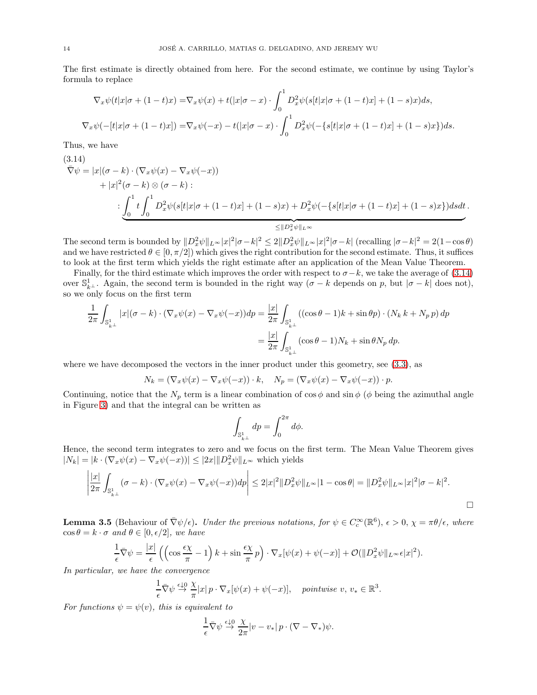The first estimate is directly obtained from here. For the second estimate, we continue by using Taylor's formula to replace

$$
\nabla_x \psi(t|x|\sigma + (1-t)x) = \nabla_x \psi(x) + t(|x|\sigma - x) \cdot \int_0^1 D_x^2 \psi(s[t|x|\sigma + (1-t)x] + (1-s)x)ds,
$$
  

$$
\nabla_x \psi(-[t|x|\sigma + (1-t)x]) = \nabla_x \psi(-x) - t(|x|\sigma - x) \cdot \int_0^1 D_x^2 \psi(-\{s[t|x|\sigma + (1-t)x] + (1-s)x\})ds.
$$

Thus, we have

<span id="page-13-0"></span>
$$
(\mathbf{3.14})
$$
\n
$$
\nabla \psi = |x|(\sigma - k) \cdot (\nabla_x \psi(x) - \nabla_x \psi(-x))
$$
\n
$$
+ |x|^2 (\sigma - k) \otimes (\sigma - k):
$$
\n
$$
\vdots \underbrace{\int_0^1 t \int_0^1 D_x^2 \psi(s[t|x|\sigma + (1-t)x] + (1-s)x) + D_x^2 \psi(-\{s[t|x|\sigma + (1-t)x] + (1-s)x\}) ds dt}_{\leq ||D_x^2 \psi||_{L^{\infty}}}
$$

The second term is bounded by  $||D_x^2 \psi||_{L^\infty} |x|^2 |\sigma - k|^2 \leq 2||D_x^2 \psi||_{L^\infty} |x|^2 |\sigma - k|$  (recalling  $|\sigma - k|^2 = 2(1 - \cos \theta)$ ) and we have restricted  $\theta \in [0, \pi/2]$  which gives the right contribution for the second estimate. Thus, it suffices to look at the first term which yields the right estimate after an application of the Mean Value Theorem.

Finally, for the third estimate which improves the order with respect to  $\sigma - k$ , we take the average of [\(3.14\)](#page-13-0) over  $\mathbb{S}_{k^{\perp}}^1$ . Again, the second term is bounded in the right way ( $\sigma - k$  depends on p, but  $|\sigma - k|$  does not), so we only focus on the first term

$$
\frac{1}{2\pi} \int_{\mathbb{S}^1_{k^\perp}} |x| (\sigma - k) \cdot (\nabla_x \psi(x) - \nabla_x \psi(-x)) dp = \frac{|x|}{2\pi} \int_{\mathbb{S}^1_{k^\perp}} ((\cos \theta - 1)k + \sin \theta p) \cdot (N_k k + N_p p) dp
$$

$$
= \frac{|x|}{2\pi} \int_{\mathbb{S}^1_{k^\perp}} (\cos \theta - 1) N_k + \sin \theta N_p dp.
$$

where we have decomposed the vectors in the inner product under this geometry, see  $(3.3)$ , as

$$
N_k = (\nabla_x \psi(x) - \nabla_x \psi(-x)) \cdot k, \quad N_p = (\nabla_x \psi(x) - \nabla_x \psi(-x)) \cdot p.
$$

Continuing, notice that the  $N_p$  term is a linear combination of cos  $\phi$  and sin  $\phi$  ( $\phi$  being the azimuthal angle in Figure [3\)](#page-10-1) and that the integral can be written as

$$
\int_{\mathbb{S}^1_{k^\perp}} dp = \int_0^{2\pi} d\phi.
$$

Hence, the second term integrates to zero and we focus on the first term. The Mean Value Theorem gives  $|N_k| = |k \cdot (\nabla_x \psi(x) - \nabla_x \psi(-x))| \leq |2x| \|D_x^2 \psi\|_{L^\infty}$  which yields

$$
\left| \frac{|x|}{2\pi} \int_{\mathbb{S}_{k\perp}^1} (\sigma - k) \cdot (\nabla_x \psi(x) - \nabla_x \psi(-x)) dp \right| \leq 2|x|^2 \| D_x^2 \psi \|_{L^\infty} |1 - \cos \theta| = \| D_x^2 \psi \|_{L^\infty} |x|^2 |\sigma - k|^2.
$$

<span id="page-13-1"></span>**Lemma 3.5** (Behaviour of  $\bar{\nabla}\psi/\epsilon$ ). Under the previous notations, for  $\psi \in C_c^{\infty}(\mathbb{R}^6)$ ,  $\epsilon > 0$ ,  $\chi = \pi\theta/\epsilon$ , where  $\cos \theta = k \cdot \sigma$  and  $\theta \in [0, \epsilon/2]$ , we have

$$
\frac{1}{\epsilon}\bar{\nabla}\psi = \frac{|x|}{\epsilon}\left(\left(\cos\frac{\epsilon\chi}{\pi} - 1\right)k + \sin\frac{\epsilon\chi}{\pi}p\right)\cdot\nabla_x[\psi(x) + \psi(-x)] + \mathcal{O}(\|D_x^2\psi\|_{L^\infty}\epsilon|x|^2).
$$

In particular, we have the convergence

$$
\frac{1}{\epsilon} \bar{\nabla} \psi \stackrel{\epsilon \downarrow 0}{\to} \frac{\chi}{\pi} |x| p \cdot \nabla_x [\psi(x) + \psi(-x)], \quad \text{pointwise } v, v_* \in \mathbb{R}^3.
$$

For functions  $\psi = \psi(v)$ , this is equivalent to

$$
\frac{1}{\epsilon} \bar{\nabla} \psi \stackrel{\epsilon \downarrow 0}{\rightarrow} \frac{\chi}{2\pi} |v - v_*| \, p \cdot (\nabla - \nabla_*) \psi.
$$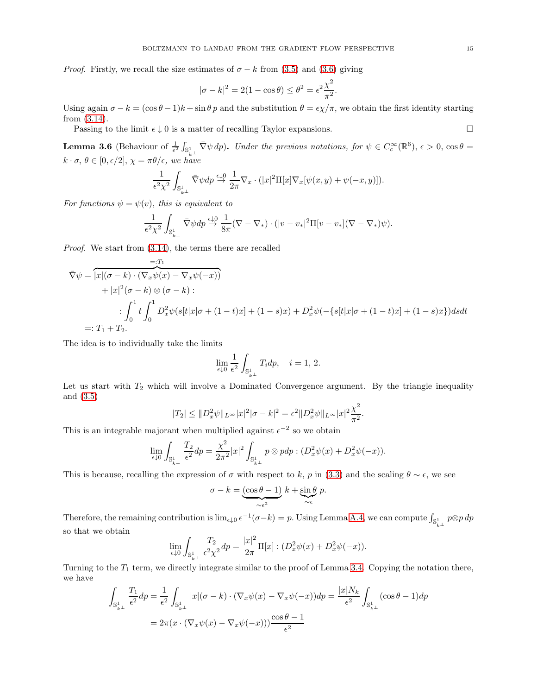*Proof.* Firstly, we recall the size estimates of  $\sigma - k$  from [\(3.5\)](#page-10-4) and [\(3.6\)](#page-10-2) giving

$$
|\sigma - k|^2 = 2(1 - \cos \theta) \le \theta^2 = \epsilon^2 \frac{\chi^2}{\pi^2}.
$$

Using again  $\sigma - k = (\cos \theta - 1)k + \sin \theta p$  and the substitution  $\theta = \epsilon \chi/\pi$ , we obtain the first identity starting from [\(3.14\)](#page-13-0).

Passing to the limit  $\epsilon \downarrow 0$  is a matter of recalling Taylor expansions.

<span id="page-14-0"></span>**Lemma 3.6** (Behaviour of  $\frac{1}{\epsilon^2} \int_{\mathbb{S}^1_{k_\perp}} \bar{\nabla} \psi \, dp$ ). Under the previous notations, for  $\psi \in C_c^\infty(\mathbb{R}^6)$ ,  $\epsilon > 0$ ,  $\cos \theta =$  $k \cdot \sigma$ ,  $\theta \in [0, \epsilon/2], \chi = \pi \theta / \epsilon$ , we have

$$
\frac{1}{\epsilon^2\chi^2}\int_{\mathbb{S}^1_{k^\perp}} \bar{\nabla}\psi dp \stackrel{\epsilon \downarrow 0}{\rightarrow} \frac{1}{2\pi} \nabla_x \cdot (|x|^2\Pi[x]\nabla_x[\psi(x,y)+\psi(-x,y)]).
$$

For functions  $\psi = \psi(v)$ , this is equivalent to

$$
\frac{1}{\epsilon^2 \chi^2} \int_{\mathbb{S}^1_{k^\perp}} \bar{\nabla} \psi dp \stackrel{\epsilon \downarrow 0}{\to} \frac{1}{8\pi} (\nabla - \nabla_*) \cdot (|v - v_*|^2 \Pi [v - v_*] (\nabla - \nabla_*) \psi).
$$

Proof. We start from [\(3.14\)](#page-13-0), the terms there are recalled

$$
\begin{aligned}\n&=: &\mathcal{T}_1 \\
\nabla \psi &= \overline{|x|(\sigma - k) \cdot (\nabla_x \psi(x) - \nabla_x \psi(-x))} \\
&+ |x|^2(\sigma - k) \otimes (\sigma - k) : \\
&\vdots \\
&\int_0^1 t \int_0^1 D_x^2 \psi(s[t|x|\sigma + (1-t)x] + (1-s)x) + D_x^2 \psi(-\{s[t|x|\sigma + (1-t)x] + (1-s)x\}) ds dt \\
&=: &\mathcal{T}_1 + \mathcal{T}_2.\n\end{aligned}
$$

The idea is to individually take the limits

$$
\lim_{\epsilon\downarrow 0}\frac{1}{\epsilon^2}\int_{\mathbb{S}^1_{k^\perp}}T_idp,\quad i=1,\,2.
$$

Let us start with  $T_2$  which will involve a Dominated Convergence argument. By the triangle inequality and [\(3.5\)](#page-10-4)

$$
|T_2| \leq ||D_x^2 \psi||_{L^{\infty}} |x|^2 |\sigma - k|^2 = \epsilon^2 ||D_x^2 \psi||_{L^{\infty}} |x|^2 \frac{\chi^2}{\pi^2}.
$$

This is an integrable majorant when multiplied against  $\epsilon^{-2}$  so we obtain

$$
\lim_{\epsilon \downarrow 0} \int_{\mathbb{S}^1_{k^\perp}} \frac{T_2}{\epsilon^2} dp = \frac{\chi^2}{2\pi^2} |x|^2 \int_{\mathbb{S}^1_{k^\perp}} p \otimes p dp : (D_x^2 \psi(x) + D_x^2 \psi(-x)).
$$

This is because, recalling the expression of  $\sigma$  with respect to k, p in [\(3.3\)](#page-9-1) and the scaling  $\theta \sim \epsilon$ , we see

$$
\sigma - k = \underbrace{(\cos \theta - 1)}_{\sim \epsilon^2} k + \underbrace{\sin \theta}_{\sim \epsilon} p.
$$

Therefore, the remaining contribution is  $\lim_{\epsilon \downarrow 0} \epsilon^{-1}(\sigma - k) = p$ . Using Lemma [A.4,](#page-32-1) we can compute  $\int_{\mathbb{S}^1_{k} \perp} p \otimes p \, dp$ so that we obtain

$$
\lim_{\epsilon \downarrow 0} \int_{\mathbb{S}^1_{k\perp}} \frac{T_2}{\epsilon^2 \chi^2} dp = \frac{|x|^2}{2\pi} \Pi[x] : (D_x^2 \psi(x) + D_x^2 \psi(-x)).
$$

Turning to the  $T_1$  term, we directly integrate similar to the proof of Lemma [3.4.](#page-12-0) Copying the notation there, we have

$$
\int_{\mathbb{S}^1_{k\perp}} \frac{T_1}{\epsilon^2} dp = \frac{1}{\epsilon^2} \int_{\mathbb{S}^1_{k\perp}} |x| (\sigma - k) \cdot (\nabla_x \psi(x) - \nabla_x \psi(-x)) dp = \frac{|x| N_k}{\epsilon^2} \int_{\mathbb{S}^1_{k\perp}} (\cos \theta - 1) dp
$$

$$
= 2\pi (x \cdot (\nabla_x \psi(x) - \nabla_x \psi(-x))) \frac{\cos \theta - 1}{\epsilon^2}
$$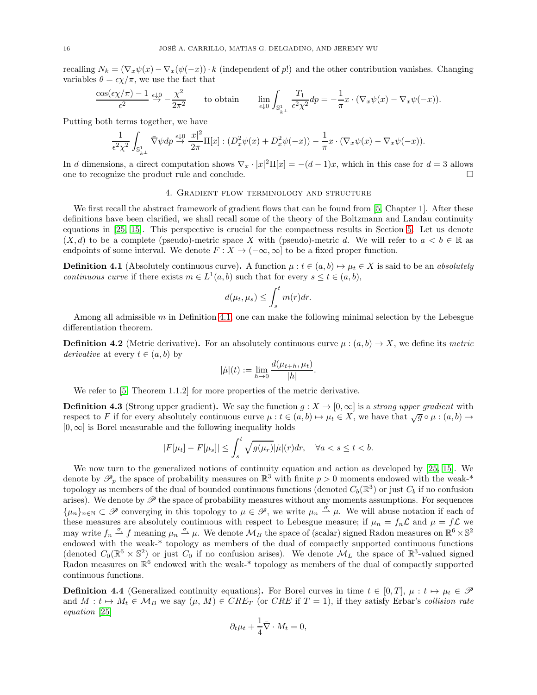<span id="page-15-3"></span>recalling  $N_k = (\nabla_x \psi(x) - \nabla_x (\psi(-x)) \cdot k$  (independent of p!) and the other contribution vanishes. Changing variables  $\theta = \epsilon \chi / \pi$ , we use the fact that

$$
\frac{\cos(\epsilon \chi/\pi) - 1}{\epsilon^2} \xrightarrow{\epsilon \downarrow 0} -\frac{\chi^2}{2\pi^2} \qquad \text{to obtain} \qquad \lim_{\epsilon \downarrow 0} \int_{\mathbb{S}^1_{k\perp}} \frac{T_1}{\epsilon^2 \chi^2} dp = -\frac{1}{\pi} x \cdot (\nabla_x \psi(x) - \nabla_x \psi(-x)).
$$

Putting both terms together, we have

$$
\frac{1}{\epsilon^2 \chi^2} \int_{\mathbb{S}^1_{k\perp}} \bar{\nabla} \psi dp \stackrel{\epsilon \downarrow 0}{\to} \frac{|x|^2}{2\pi} \Pi[x] : (D_x^2 \psi(x) + D_x^2 \psi(-x)) - \frac{1}{\pi} x \cdot (\nabla_x \psi(x) - \nabla_x \psi(-x)).
$$

<span id="page-15-0"></span>In d dimensions, a direct computation shows  $\nabla_x \cdot |x|^2 \Pi[x] = -(d-1)x$ , which in this case for  $d=3$  allows one to recognize the product rule and conclude.

# 4. Gradient flow terminology and structure

We first recall the abstract framework of gradient flows that can be found from [\[5,](#page-40-13) Chapter 1]. After these definitions have been clarified, we shall recall some of the theory of the Boltzmann and Landau continuity equations in [\[25,](#page-41-4) [15\]](#page-40-3). This perspective is crucial for the compactness results in Section [5.](#page-18-0) Let us denote  $(X, d)$  to be a complete (pseudo)-metric space X with (pseudo)-metric d. We will refer to  $a < b \in \mathbb{R}$  as endpoints of some interval. We denote  $F : X \to (-\infty, \infty]$  to be a fixed proper function.

<span id="page-15-2"></span>**Definition 4.1** (Absolutely continuous curve). A function  $\mu : t \in (a, b) \mapsto \mu_t \in X$  is said to be an absolutely continuous curve if there exists  $m \in L^1(a, b)$  such that for every  $s \le t \in (a, b)$ ,

$$
d(\mu_t, \mu_s) \le \int_s^t m(r) dr.
$$

Among all admissible  $m$  in Definition [4.1,](#page-15-2) one can make the following minimal selection by the Lebesgue differentiation theorem.

**Definition 4.2** (Metric derivative). For an absolutely continuous curve  $\mu$  :  $(a, b) \rightarrow X$ , we define its metric derivative at every  $t \in (a, b)$  by

$$
|\dot{\mu}|(t) := \lim_{h \to 0} \frac{d(\mu_{t+h}, \mu_t)}{|h|}.
$$

<span id="page-15-1"></span>We refer to [\[5,](#page-40-13) Theorem 1.1.2] for more properties of the metric derivative.

**Definition 4.3** (Strong upper gradient). We say the function  $q : X \to [0, \infty]$  is a *strong upper gradient* with respect to F if for every absolutely continuous curve  $\mu : t \in (a, b) \mapsto \mu_t \in X$ , we have that  $\sqrt{g} \circ \mu : (a, b) \rightarrow$  $[0, \infty]$  is Borel measurable and the following inequality holds

$$
|F[\mu_t]-F[\mu_s]| \leq \int_s^t \sqrt{g(\mu_r)} |\dot{\mu}|(r) dr, \quad \forall a < s \leq t < b.
$$

We now turn to the generalized notions of continuity equation and action as developed by [\[25,](#page-41-4) [15\]](#page-40-3). We denote by  $\mathscr{P}_p$  the space of probability measures on  $\mathbb{R}^3$  with finite  $p > 0$  moments endowed with the weak-\* topology as members of the dual of bounded continuous functions (denoted  $C_b(\mathbb{R}^3)$  or just  $C_b$  if no confusion arises). We denote by  $\mathscr P$  the space of probability measures without any moments assumptions. For sequences  $\{\mu_n\}_{n\in\mathbb{N}}\subset\mathscr{P}$  converging in this topology to  $\mu\in\mathscr{P}$ , we write  $\mu_n\stackrel{\sigma}{\rightharpoonup}\mu$ . We will abuse notation if each of these measures are absolutely continuous with respect to Lebesgue measure; if  $\mu_n = f_n \mathcal{L}$  and  $\mu = f \mathcal{L}$  we may write  $f_n \stackrel{\sigma}{\rightharpoonup} f$  meaning  $\mu_n \stackrel{\sigma}{\rightharpoonup} \mu$ . We denote  $\mathcal{M}_B$  the space of (scalar) signed Radon measures on  $\mathbb{R}^6 \times \mathbb{S}^2$ endowed with the weak-\* topology as members of the dual of compactly supported continuous functions (denoted  $C_0(\mathbb{R}^6 \times \mathbb{S}^2)$  or just  $C_0$  if no confusion arises). We denote  $\mathcal{M}_L$  the space of  $\mathbb{R}^3$ -valued signed Radon measures on  $\mathbb{R}^6$  endowed with the weak-\* topology as members of the dual of compactly supported continuous functions.

**Definition 4.4** (Generalized continuity equations). For Borel curves in time  $t \in [0, T]$ ,  $\mu : t \mapsto \mu_t \in \mathcal{P}$ and  $M: t \mapsto M_t \in \mathcal{M}_B$  we say  $(\mu, M) \in CRE_T$  (or CRE if  $T = 1$ ), if they satisfy Erbar's collision rate equation [\[25\]](#page-41-4)

$$
\partial_t \mu_t + \frac{1}{4} \bar{\nabla} \cdot M_t = 0,
$$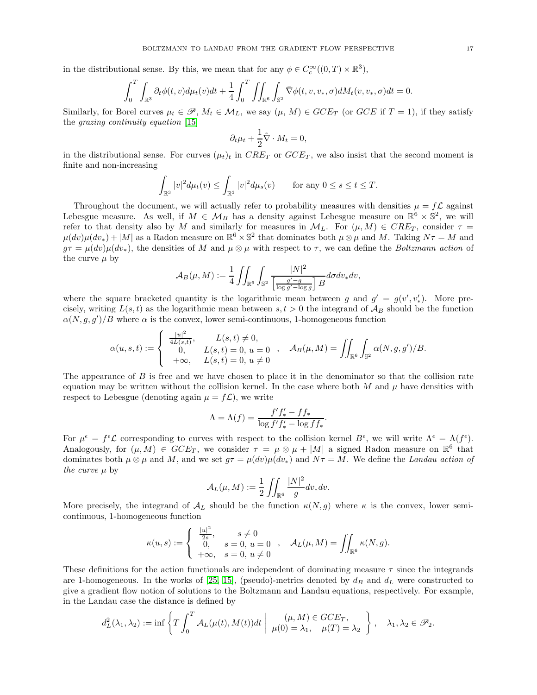<span id="page-16-0"></span>in the distributional sense. By this, we mean that for any  $\phi \in C_c^{\infty}((0,T) \times \mathbb{R}^3)$ ,

$$
\int_0^T \int_{\mathbb{R}^3} \partial_t \phi(t, v) d\mu_t(v) dt + \frac{1}{4} \int_0^T \iint_{\mathbb{R}^6} \int_{\mathbb{S}^2} \overline{\nabla} \phi(t, v, v_*, \sigma) dM_t(v, v_*, \sigma) dt = 0.
$$

Similarly, for Borel curves  $\mu_t \in \mathcal{P}, M_t \in \mathcal{M}_L$ , we say  $(\mu, M) \in GCE_T$  (or  $GCE$  if  $T = 1$ ), if they satisfy the grazing continuity equation [\[15\]](#page-40-3)

$$
\partial_t \mu_t + \frac{1}{2} \tilde{\nabla} \cdot M_t = 0,
$$

in the distributional sense. For curves  $(\mu_t)_t$  in  $CRE_T$  or  $GCE_T$ , we also insist that the second moment is finite and non-increasing

$$
\int_{\mathbb{R}^3} |v|^2 d\mu_t(v) \le \int_{\mathbb{R}^3} |v|^2 d\mu_s(v) \quad \text{for any } 0 \le s \le t \le T.
$$

Throughout the document, we will actually refer to probability measures with densities  $\mu = f\mathcal{L}$  against Lebesgue measure. As well, if  $M \in \mathcal{M}_B$  has a density against Lebesgue measure on  $\mathbb{R}^6 \times \mathbb{S}^2$ , we will refer to that density also by M and similarly for measures in  $\mathcal{M}_L$ . For  $(\mu, M) \in CRE_T$ , consider  $\tau =$  $\mu(dv)\mu(dv_*) + |M|$  as a Radon measure on  $\mathbb{R}^6 \times \mathbb{S}^2$  that dominates both  $\mu \otimes \mu$  and M. Taking  $N\tau = M$  and  $q\tau = \mu(dv)\mu(dv_*)$ , the densities of M and  $\mu \otimes \mu$  with respect to  $\tau$ , we can define the Boltzmann action of the curve  $\mu$  by

$$
\mathcal{A}_B(\mu,M):=\frac{1}{4}\iint_{\mathbb{R}^6}\int_{\mathbb{S}^2}\frac{|N|^2}{\left[\frac{g'-g}{\log g'-\log g}\right]B}d\sigma dv_*dv,
$$

where the square bracketed quantity is the logarithmic mean between g and  $g' = g(v', v'_*)$ . More precisely, writing  $L(s,t)$  as the logarithmic mean between  $s, t > 0$  the integrand of  $\mathcal{A}_B$  should be the function  $\alpha(N, g, g')/B$  where  $\alpha$  is the convex, lower semi-continuous, 1-homogeneous function

$$
\alpha(u,s,t) := \begin{cases} \frac{|u|^2}{4L(s,t)}, & L(s,t) \neq 0, \\ 0, & L(s,t) = 0, u = 0 \\ +\infty, & L(s,t) = 0, u \neq 0 \end{cases}, \quad \mathcal{A}_B(\mu,M) = \iint_{\mathbb{R}^6} \int_{\mathbb{S}^2} \alpha(N,g,g')/B.
$$

The appearance of B is free and we have chosen to place it in the denominator so that the collision rate equation may be written without the collision kernel. In the case where both  $M$  and  $\mu$  have densities with respect to Lebesgue (denoting again  $\mu = f\mathcal{L}$ ), we write

$$
\Lambda = \Lambda(f) = \frac{f'f'_* - ff_*}{\log f'f'_* - \log ff_*}.
$$

For  $\mu^{\epsilon} = f^{\epsilon} \mathcal{L}$  corresponding to curves with respect to the collision kernel  $B^{\epsilon}$ , we will write  $\Lambda^{\epsilon} = \Lambda(f^{\epsilon})$ . Analogously, for  $(\mu, M) \in GCE_T$ , we consider  $\tau = \mu \otimes \mu + |M|$  a signed Radon measure on  $\mathbb{R}^6$  that dominates both  $\mu \otimes \mu$  and M, and we set  $g\tau = \mu(dv)\mu(dv_*)$  and  $N\tau = M$ . We define the Landau action of the curve  $\mu$  by

$$
\mathcal{A}_L(\mu, M) := \frac{1}{2} \iint_{\mathbb{R}^6} \frac{|N|^2}{g} dv_* dv.
$$

More precisely, the integrand of  $\mathcal{A}_L$  should be the function  $\kappa(N,g)$  where  $\kappa$  is the convex, lower semicontinuous, 1-homogeneous function

$$
\kappa(u,s):=\left\{\begin{array}{ll} \frac{|u|^2}{2s},& s\neq 0\\ 0,& s=0,\,u=0\\ +\infty,& s=0,\,u\neq 0 \end{array}\right.,\quad \mathcal{A}_L(\mu,M)=\iint_{\mathbb{R}^6}\kappa(N,g).
$$

These definitions for the action functionals are independent of dominating measure  $\tau$  since the integrands are 1-homogeneous. In the works of [\[25,](#page-41-4) [15\]](#page-40-3), (pseudo)-metrics denoted by  $d_B$  and  $d_L$  were constructed to give a gradient flow notion of solutions to the Boltzmann and Landau equations, respectively. For example, in the Landau case the distance is defined by

$$
d_L^2(\lambda_1, \lambda_2) := \inf \left\{ T \int_0^T \mathcal{A}_L(\mu(t), M(t)) dt \middle| \mu(0) = \lambda_1, \mu(T) = \lambda_2 \right\}, \lambda_1, \lambda_2 \in \mathscr{P}_2.
$$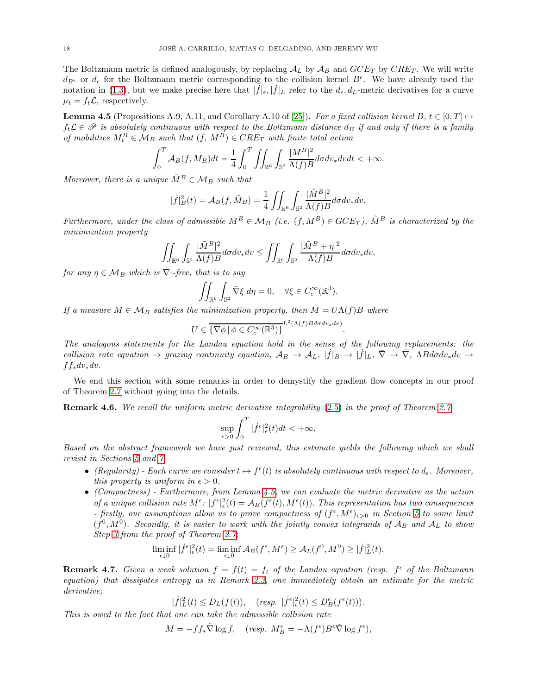<span id="page-17-2"></span>The Boltzmann metric is defined analogously, by replacing  $A_L$  by  $A_B$  and  $GCE_T$  by  $CRE_T$ . We will write  $d_{B^{\epsilon}}$  or  $d_{\epsilon}$  for the Boltzmann metric corresponding to the collision kernel  $B^{\epsilon}$ . We have already used the notation in [\(1.3\)](#page-3-3), but we make precise here that  $|\tilde{f}|_{\epsilon}, |\dot{f}|_{L}$  refer to the  $d_{\epsilon}, d_{L}$ -metric derivatives for a curve  $\mu_t = f_t \mathcal{L}$ , respectively.

<span id="page-17-1"></span>**Lemma 4.5** (Propositions A.9, A.11, and Corollary A.10 of [\[25\]](#page-41-4)). For a fixed collision kernel B,  $t \in [0, T] \mapsto$  $f_t\mathcal{L} \in \mathscr{P}$  is absolutely continuous with respect to the Boltzmann distance  $d_B$  if and only if there is a family of mobilities  $M_t^B \in \mathcal{M}_B$  such that  $(f, M^B) \in CRE_T$  with finite total action

$$
\int_0^T \mathcal{A}_B(f, M_B) dt = \frac{1}{4} \int_0^T \iint_{\mathbb{R}^6} \int_{\mathbb{S}^2} \frac{|M^B|^2}{\Lambda(f)B} d\sigma dv_* dv dt < +\infty.
$$

Moreover, there is a unique  $\tilde{M}^B \in \mathcal{M}_B$  such that

$$
|\dot{f}|_B^2(t) = \mathcal{A}_B(f, \tilde{M}_B) = \frac{1}{4} \iint_{\mathbb{R}^6} \int_{\mathbb{S}^2} \frac{|\tilde{M}^B|^2}{\Lambda(f)B} d\sigma dv_* dv.
$$

Furthermore, under the class of admissible  $M^B \in \mathcal{M}_B$  (i.e.  $(f, M^B) \in GCE_T$ ),  $\tilde{M}^B$  is characterized by the minimization property

$$
\iint_{\mathbb{R}^6}\int_{\mathbb{S}^2}\frac{|\tilde{M}^B|^2}{\Lambda(f)B}d\sigma dv_*dv\leq \iint_{\mathbb{R}^6}\int_{\mathbb{S}^2}\frac{|\tilde{M}^B+\eta|^2}{\Lambda(f)B}d\sigma dv_*dv.
$$

for any  $\eta \in M_B$  which is  $\overline{\nabla}$ -free, that is to say

$$
\iint_{\mathbb{R}^6} \int_{\mathbb{S}^2} \bar{\nabla} \xi \, d\eta = 0, \quad \forall \xi \in C_c^{\infty}(\mathbb{R}^3).
$$

If a measure  $M \in \mathcal{M}_B$  satisfies the minimization property, then  $M = U\Lambda(f)B$  where

$$
U \in \overline{\{\nabla \phi \, | \, \phi \in C_c^{\infty}(\mathbb{R}^3)\}}^{L^2(\Lambda(f)Bd\sigma dv_*dv)}.
$$

The analogous statements for the Landau equation hold in the sense of the following replacements: the collision rate equation  $\rightarrow$  grazing continuity equation,  $A_B \rightarrow A_L$ ,  $|\dot{f}|_B \rightarrow |\dot{f}|_L$ ,  $\bar{\nabla} \rightarrow \tilde{\nabla}$ ,  $\Lambda B d\sigma dv_* dv \rightarrow$  $f f_* dv_* dv$ .

We end this section with some remarks in order to demystify the gradient flow concepts in our proof of Theorem [2.7](#page-5-0) without going into the details.

Remark 4.6. We recall the uniform metric derivative integrability [\(2.5\)](#page-5-4) in the proof of Theorem [2.7](#page-5-0)

$$
\sup_{\epsilon>0}\int_0^T|\dot{f}^\epsilon|_\epsilon^2(t)dt<+\infty.
$$

Based on the abstract framework we have just reviewed, this estimate yields the following which we shall revisit in Sections [5](#page-18-0) and [7.](#page-29-0)

- (Regularity) Each curve we consider  $t \mapsto f^{\epsilon}(t)$  is absolutely continuous with respect to  $d_{\epsilon}$ . Moreover, this property is uniform in  $\epsilon > 0$ .
- (Compactness) Furthermore, from Lemma [4.5,](#page-17-1) we can evaluate the metric derivative as the action of a unique collision rate  $M^{\epsilon}$ :  $|f^{\epsilon}|_{\epsilon}^{2}(t) = A_{B}(f^{\epsilon}(t), M^{\epsilon}(t))$ . This representation has two consequences - firstly, our assumptions allow us to prove compactness of  $(f^{\epsilon}, M^{\epsilon})_{\epsilon>0}$  in Section [5](#page-18-0) to some limit  $(f^0, M^0)$ . Secondly, it is easier to work with the jointly convex integrands of  $\mathcal{A}_B$  and  $\mathcal{A}_L$  to show Step [3](#page-5-3) from the proof of Theorem [2.7;](#page-5-0)

$$
\liminf_{\epsilon \downarrow 0} |\dot{f}^{\epsilon}|_{\epsilon}^2(t) = \liminf_{\epsilon \downarrow 0} \mathcal{A}_B(f^{\epsilon}, M^{\epsilon}) \ge \mathcal{A}_L(f^0, M^0) \ge |\dot{f}|_L^2(t).
$$

<span id="page-17-0"></span>**Remark 4.7.** Given a weak solution  $f = f(t) = f_t$  of the Landau equation (resp.  $f^{\epsilon}$  of the Boltzmann equation) that dissipates entropy as in Remark [2.3,](#page-4-4) one immediately obtain an estimate for the metric derivative;

$$
|\dot{f}|_L^2(t) \le D_L(f(t)), \quad (resp. \ |\dot{f}^{\epsilon}|_{\epsilon}^2(t) \le D_B^{\epsilon}(f^{\epsilon}(t))).
$$

This is owed to the fact that one can take the admissible collision rate

 $M = -ff_*\tilde{\nabla} \log f$ ,  $(resp. M_B^{\epsilon} = -\Lambda(f^{\epsilon})B^{\epsilon}\bar{\nabla} \log f^{\epsilon}$ ),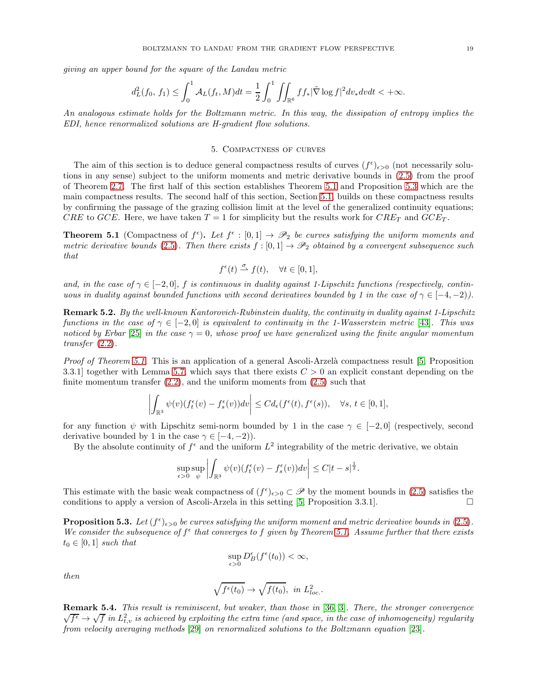<span id="page-18-3"></span>giving an upper bound for the square of the Landau metric

$$
d_L^2(f_0, f_1) \le \int_0^1 \mathcal{A}_L(f_t, M)dt = \frac{1}{2} \int_0^1 \iint_{\mathbb{R}^6} f f_* |\tilde{\nabla} \log f|^2 dv_* dv dt < +\infty.
$$

<span id="page-18-0"></span>An analogous estimate holds for the Boltzmann metric. In this way, the dissipation of entropy implies the EDI, hence renormalized solutions are H-gradient flow solutions.

## 5. Compactness of curves

The aim of this section is to deduce general compactness results of curves  $(f^{\epsilon})_{\epsilon>0}$  (not necessarily solutions in any sense) subject to the uniform moments and metric derivative bounds in [\(2.5\)](#page-5-4) from the proof of Theorem [2.7.](#page-5-0) The first half of this section establishes Theorem [5.1](#page-18-1) and Proposition [5.3](#page-18-2) which are the main compactness results. The second half of this section, Section [5.1,](#page-21-0) builds on these compactness results by confirming the passage of the grazing collision limit at the level of the generalized continuity equations; CRE to GCE. Here, we have taken  $T = 1$  for simplicity but the results work for  $CRE_T$  and  $GCE_T$ .

<span id="page-18-1"></span>**Theorem 5.1** (Compactness of  $f^{\epsilon}$ ). Let  $f^{\epsilon} : [0,1] \rightarrow \mathscr{P}_2$  be curves satisfying the uniform moments and metric derivative bounds [\(2.5\)](#page-5-4). Then there exists  $f : [0,1] \to \mathscr{P}_2$  obtained by a convergent subsequence such that

$$
f^{\epsilon}(t) \stackrel{\sigma}{\rightharpoonup} f(t), \quad \forall t \in [0,1],
$$

and, in the case of  $\gamma \in [-2,0],$  f is continuous in duality against 1-Lipschitz functions (respectively, continuous in duality against bounded functions with second derivatives bounded by 1 in the case of  $\gamma \in [-4, -2)$ .

Remark 5.2. By the well-known Kantorovich-Rubinstein duality, the continuity in duality against 1-Lipschitz functions in the case of  $\gamma \in [-2,0]$  is equivalent to continuity in the 1-Wasserstein metric [\[43\]](#page-41-16). This was noticed by Erbar [\[25\]](#page-41-4) in the case  $\gamma = 0$ , whose proof we have generalized using the finite angular momentum transfer [\(2.2\)](#page-5-1).

Proof of Theorem [5.1.](#page-18-1) This is an application of a general Ascoli-Arzelà compactness result [\[5,](#page-40-13) Proposition 3.3.1] together with Lemma [5.7,](#page-20-0) which says that there exists  $C > 0$  an explicit constant depending on the finite momentum transfer  $(2.2)$ , and the uniform moments from  $(2.5)$  such that

$$
\left| \int_{\mathbb{R}^3} \psi(v) (f_t^{\epsilon}(v) - f_s^{\epsilon}(v)) dv \right| \leq C d_{\epsilon}(f^{\epsilon}(t), f^{\epsilon}(s)), \quad \forall s, t \in [0, 1],
$$

for any function  $\psi$  with Lipschitz semi-norm bounded by 1 in the case  $\gamma \in [-2,0]$  (respectively, second derivative bounded by 1 in the case  $\gamma \in [-4, -2)$ ).

By the absolute continuity of  $f^{\epsilon}$  and the uniform  $L^2$  integrability of the metric derivative, we obtain

$$
\sup_{\epsilon>0}\sup_{\psi}\left|\int_{\mathbb{R}^3}\psi(v)(f_t^{\epsilon}(v)-f_s^{\epsilon}(v))dv\right|\leq C|t-s|^{\frac{1}{2}}.
$$

This estimate with the basic weak compactness of  $(f^{\epsilon})_{\epsilon>0} \subset \mathscr{P}$  by the moment bounds in [\(2.5\)](#page-5-4) satisfies the conditions to apply a version of Ascoli-Arzela in this setting [\[5,](#page-40-13) Proposition 3.3.1].

<span id="page-18-2"></span>**Proposition 5.3.** Let  $(f^{\epsilon})_{\epsilon>0}$  be curves satisfying the uniform moment and metric derivative bounds in [\(2.5\)](#page-5-4). We consider the subsequence of  $f^{\epsilon}$  that converges to f given by Theorem [5.1.](#page-18-1) Assume further that there exists  $t_0 \in [0,1]$  such that

$$
\sup_{\epsilon>0} D_B^{\epsilon}(f^{\epsilon}(t_0)) < \infty,
$$

then

$$
\sqrt{f^{\epsilon}(t_0)} \to \sqrt{f(t_0)}, \ \ in \ L^2_{loc.}.
$$

Remark 5.4. This result is reminiscent, but weaker, than those in [\[36,](#page-41-17) [3\]](#page-40-7). There, the stronger convergence  $\sqrt{f^{\epsilon}} \to \sqrt{f}$  in  $L^2_{t,v}$  is achieved by exploiting the extra time (and space, in the case of inhomogeneity) regularity from velocity averaging methods [\[29\]](#page-41-10) on renormalized solutions to the Boltzmann equation [\[23\]](#page-41-12).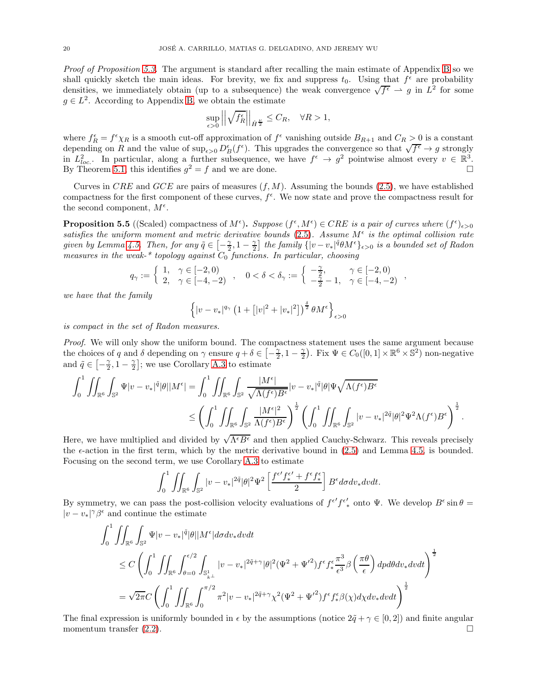Proof of Proposition [5.3.](#page-18-2) The argument is standard after recalling the main estimate of Appendix [B](#page-34-0) so we shall quickly sketch the main ideas. For brevity, we fix and suppress  $t_0$ . Using that  $f^{\epsilon}$  are probability densities, we immediately obtain (up to a subsequence) the weak convergence  $\sqrt{f^{\epsilon}} \to g$  in  $L^2$  for some  $g \in L^2$ . According to Appendix [B,](#page-34-0) we obtain the estimate

$$
\sup_{\epsilon>0} \left| \left| \sqrt{f_R^{\epsilon}} \right| \right|_{\dot{H}^{\frac{\nu}{2}}} \leq C_R, \quad \forall R > 1,
$$

where  $f_R^{\epsilon} = f^{\epsilon} \chi_R$  is a smooth cut-off approximation of  $f^{\epsilon}$  vanishing outside  $B_{R+1}$  and  $C_R > 0$  is a constant depending on R and the value of  $\sup_{\epsilon>0} D_B^{\epsilon}(f^{\epsilon})$ . This upgrades the convergence so that  $\sqrt{f^{\epsilon}} \to g$  strongly in  $L^2_{loc}$ . In particular, along a further subsequence, we have  $f^{\epsilon} \to g^2$  pointwise almost every  $v \in \mathbb{R}^3$ . By Theorem [5.1,](#page-18-1) this identifies  $g^2 = f$  and we are done.

Curves in CRE and GCE are pairs of measures  $(f, M)$ . Assuming the bounds [\(2.5\)](#page-5-4), we have established compactness for the first component of these curves,  $f^{\epsilon}$ . We now state and prove the compactness result for the second component,  $M^{\epsilon}$ .

<span id="page-19-0"></span>**Proposition 5.5** ((Scaled) compactness of  $M^{\epsilon}$ ). Suppose  $(f^{\epsilon}, M^{\epsilon}) \in CRE$  is a pair of curves where  $(f^{\epsilon})_{\epsilon>0}$ satisfies the uniform moment and metric derivative bounds  $(2.5)$ . Assume  $M^{\epsilon}$  is the optimal collision rate given by Lemma [4.5.](#page-17-1) Then, for any  $\tilde{q} \in \left[-\frac{\gamma}{2}, 1-\frac{\gamma}{2}\right]$  the family  $\{|v-v_*|^\tilde{q}\theta M^\epsilon\}_{\epsilon>0}$  is a bounded set of Radon measures in the weak-\* topology against  $C_0$  functions. In particular, choosing

$$
q_{\gamma} := \left\{ \begin{array}{ll} 1, & \gamma \in [-2,0) \\ 2, & \gamma \in [-4,-2) \end{array} \right. , \quad 0 < \delta < \delta_{\gamma} := \left\{ \begin{array}{ll} -\frac{\gamma}{2}, & \gamma \in [-2,0) \\ -\frac{\gamma}{2} - 1, & \gamma \in [-4,-2) \end{array} \right. ,
$$

we have that the family

$$
\left\{|v-v_*|^{q_\gamma}\left(1+\left[|v|^2+|v_*|^2\right]\right)^{\frac{\delta}{2}}\theta M^\epsilon\right\}_{\epsilon>0}
$$

is compact in the set of Radon measures.

Proof. We will only show the uniform bound. The compactness statement uses the same argument because the choices of q and  $\delta$  depending on  $\gamma$  ensure  $q + \delta \in \left[ -\frac{\gamma}{2}, 1 - \frac{\gamma}{2} \right)$ . Fix  $\Psi \in C_0([0,1] \times \mathbb{R}^6 \times \mathbb{S}^2)$  non-negative and  $\tilde{q} \in \left[ -\frac{\gamma}{2}, 1 - \frac{\gamma}{2} \right]$ ; we use Corollary [A.3](#page-32-2) to estimate

$$
\int_0^1 \iint_{\mathbb{R}^6} \int_{\mathbb{S}^2} \Psi |v - v_*|^\tilde{q} |\theta| |M^{\epsilon}| = \int_0^1 \iint_{\mathbb{R}^6} \int_{\mathbb{S}^2} \frac{|M^{\epsilon}|}{\sqrt{\Lambda(f^{\epsilon})B^{\epsilon}}} |v - v_*|^\tilde{q} |\theta| \Psi \sqrt{\Lambda(f^{\epsilon})B^{\epsilon}} \n\leq \left( \int_0^1 \iint_{\mathbb{R}^6} \int_{\mathbb{S}^2} \frac{|M^{\epsilon}|^2}{\Lambda(f^{\epsilon})B^{\epsilon}} \right)^{\frac{1}{2}} \left( \int_0^1 \iint_{\mathbb{R}^6} \int_{\mathbb{S}^2} |v - v_*|^{2\tilde{q}} |\theta|^2 \Psi^2 \Lambda(f^{\epsilon})B^{\epsilon} \right)^{\frac{1}{2}}.
$$

Here, we have multiplied and divided by  $\sqrt{\Lambda^{\epsilon}B^{\epsilon}}$  and then applied Cauchy-Schwarz. This reveals precisely the  $\epsilon$ -action in the first term, which by the metric derivative bound in  $(2.5)$  and Lemma [4.5,](#page-17-1) is bounded. Focusing on the second term, we use Corollary [A.3](#page-32-2) to estimate

$$
\int_0^1 \iint_{\mathbb{R}^6} \int_{\mathbb{S}^2} |v - v_*|^{2\tilde{q}} |\theta|^2 \Psi^2 \left[ \frac{f^{\epsilon'} f_*^{\epsilon'} + f^{\epsilon} f_*^{\epsilon}}{2} \right] B^{\epsilon} d\sigma dv_* dv dt.
$$

By symmetry, we can pass the post-collision velocity evaluations of  $f^{\epsilon'} f^{\epsilon'}_{*}$  onto  $\Psi$ . We develop  $B^{\epsilon} \sin \theta =$  $|v-v_*|^\gamma\beta^\epsilon$  and continue the estimate

$$
\int_{0}^{1} \iint_{\mathbb{R}^{6}} \int_{\mathbb{S}^{2}} \Psi |v - v_{*}|^{\tilde{q}} |\theta| |M^{\epsilon}| d\sigma dv_{*} dvdt
$$
\n
$$
\leq C \left( \int_{0}^{1} \iint_{\mathbb{R}^{6}} \int_{\theta=0}^{\epsilon/2} \int_{\mathbb{S}_{k}^{1}} |v - v_{*}|^{2\tilde{q} + \gamma} |\theta|^{2} (\Psi^{2} + \Psi'^{2}) f^{\epsilon} f_{*}^{\epsilon} \frac{\pi^{3}}{\epsilon^{3}} \beta \left( \frac{\pi \theta}{\epsilon} \right) dp d\theta dv_{*} dvdt \right)^{\frac{1}{2}}
$$
\n
$$
= \sqrt{2\pi} C \left( \int_{0}^{1} \iint_{\mathbb{R}^{6}} \int_{0}^{\pi/2} \pi^{2} |v - v_{*}|^{2\tilde{q} + \gamma} \chi^{2} (\Psi^{2} + \Psi'^{2}) f^{\epsilon} f_{*}^{\epsilon} \beta(\chi) d\chi dv_{*} dvdt \right)^{\frac{1}{2}}
$$

The final expression is uniformly bounded in  $\epsilon$  by the assumptions (notice  $2\tilde{q} + \gamma \in [0,2]$ ) and finite angular momentum transfer (2.2). momentum transfer  $(2.2)$ .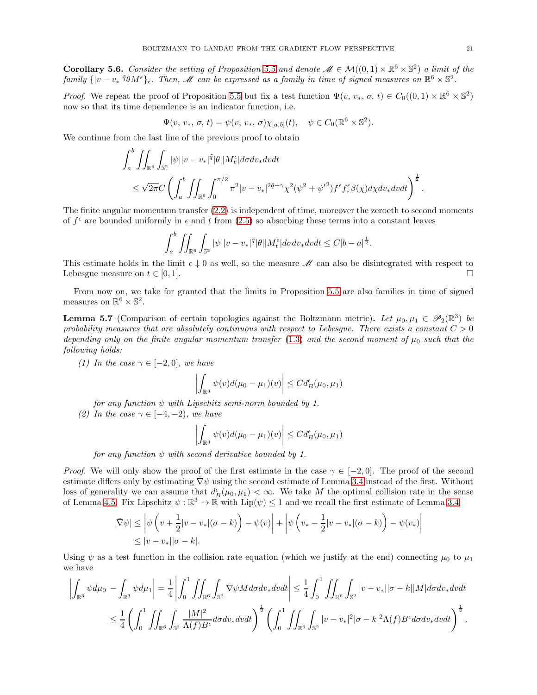**Corollary 5.6.** Consider the setting of Proposition [5.5](#page-19-0) and denote  $\mathcal{M} \in \mathcal{M}((0,1) \times \mathbb{R}^6 \times \mathbb{S}^2)$  a limit of the  $family \{ |v-v_*|^\tilde q \theta M^\epsilon \}_\epsilon.$  Then, M can be expressed as a family in time of signed measures on  $\mathbb{R}^6 \times \mathbb{S}^2$ .

*Proof.* We repeat the proof of Proposition [5.5](#page-19-0) but fix a test function  $\Psi(v, v_*, \sigma, t) \in C_0((0, 1) \times \mathbb{R}^6 \times \mathbb{S}^2)$ now so that its time dependence is an indicator function, i.e.

$$
\Psi(v, v_*, \sigma, t) = \psi(v, v_*, \sigma) \chi_{[a,b]}(t), \quad \psi \in C_0(\mathbb{R}^6 \times \mathbb{S}^2).
$$

We continue from the last line of the previous proof to obtain

$$
\int_{a}^{b} \iint_{\mathbb{R}^{6}} \int_{\mathbb{S}^{2}} |\psi| |v - v_{*}|^{\tilde{q}} |\theta| |M_{t}^{\epsilon}| d\sigma dv_{*} dvdt
$$
\n
$$
\leq \sqrt{2\pi} C \left( \int_{a}^{b} \iint_{\mathbb{R}^{6}} \int_{0}^{\pi/2} \pi^{2} |v - v_{*}|^{2\tilde{q} + \gamma} \chi^{2} (\psi^{2} + {\psi'}^{2}) f^{\epsilon} f_{*}^{\epsilon} \beta(\chi) d\chi dv_{*} dvdt \right)^{\frac{1}{2}}
$$

The finite angular momentum transfer [\(2.2\)](#page-5-1) is independent of time, moreover the zeroeth to second moments of  $f^{\epsilon}$  are bounded uniformly in  $\epsilon$  and t from [\(2.5\)](#page-5-4) so absorbing these terms into a constant leaves

$$
\int_a^b \iint_{\mathbb{R}^6} \int_{\mathbb{S}^2} |\psi| |v - v_*|^\tilde{q} |\theta| |M_t^{\epsilon}| d\sigma dv_* dv dt \leq C|b - a|^{\frac{1}{2}}.
$$

This estimate holds in the limit  $\epsilon \downarrow 0$  as well, so the measure M can also be disintegrated with respect to Lebesgue measure on  $t \in [0, 1]$ Lebesgue measure on  $t \in [0, 1]$ .

<span id="page-20-0"></span>From now on, we take for granted that the limits in Proposition [5.5](#page-19-0) are also families in time of signed measures on  $\mathbb{R}^6 \times \mathbb{S}^2$ .

**Lemma 5.7** (Comparison of certain topologies against the Boltzmann metric). Let  $\mu_0, \mu_1 \in \mathscr{P}_2(\mathbb{R}^3)$  be probability measures that are absolutely continuous with respect to Lebesgue. There exists a constant  $C > 0$ depending only on the finite angular momentum transfer [\(1.3\)](#page-3-3) and the second moment of  $\mu_0$  such that the following holds:

(1) In the case  $\gamma \in [-2,0]$ , we have

$$
\left| \int_{\mathbb{R}^3} \psi(v) d(\mu_0 - \mu_1)(v) \right| \leq C d_B^{\epsilon}(\mu_0, \mu_1)
$$

for any function  $\psi$  with Lipschitz semi-norm bounded by 1.

(2) In the case  $\gamma \in [-4, -2)$ , we have

$$
\left| \int_{\mathbb{R}^3} \psi(v) d(\mu_0 - \mu_1)(v) \right| \leq C d_B^{\epsilon}(\mu_0, \mu_1)
$$

for any function  $\psi$  with second derivative bounded by 1.

*Proof.* We will only show the proof of the first estimate in the case  $\gamma \in [-2,0]$ . The proof of the second estimate differs only by estimating  $\nabla \psi$  using the second estimate of Lemma [3.4](#page-12-0) instead of the first. Without loss of generality we can assume that  $d_B^{\epsilon}(\mu_0, \mu_1) < \infty$ . We take M the optimal collision rate in the sense of Lemma [4.5.](#page-17-1) Fix Lipschitz  $\psi : \mathbb{R}^3 \to \mathbb{R}$  with  $\text{Lip}(\psi) \leq 1$  and we recall the first estimate of Lemma [3.4](#page-12-0)

$$
|\overline{\nabla}\psi| \leq \left|\psi\left(v + \frac{1}{2}|v - v_*|(\sigma - k)\right) - \psi(v)\right| + \left|\psi\left(v_* - \frac{1}{2}|v - v_*|(\sigma - k)\right) - \psi(v_*)\right|
$$
  
\$\leq |v - v\_\*||\sigma - k|.

Using  $\psi$  as a test function in the collision rate equation (which we justify at the end) connecting  $\mu_0$  to  $\mu_1$ we have

$$
\left| \int_{\mathbb{R}^3} \psi d\mu_0 - \int_{\mathbb{R}^3} \psi d\mu_1 \right| = \frac{1}{4} \left| \int_0^1 \iint_{\mathbb{R}^6} \int_{\mathbb{S}^2} \bar{\nabla} \psi M d\sigma dv_* dv dt \right| \leq \frac{1}{4} \int_0^1 \iint_{\mathbb{R}^6} \int_{\mathbb{S}^2} |v - v_*| |\sigma - k| |M| d\sigma dv_* dv dt
$$
  

$$
\leq \frac{1}{4} \left( \int_0^1 \iint_{\mathbb{R}^6} \int_{\mathbb{S}^2} \frac{|M|^2}{\Lambda(f) B^{\epsilon}} d\sigma dv_* dv dt \right)^{\frac{1}{2}} \left( \int_0^1 \iint_{\mathbb{R}^6} \int_{\mathbb{S}^2} |v - v_*|^2 |\sigma - k|^2 \Lambda(f) B^{\epsilon} d\sigma dv_* dv dt \right)^{\frac{1}{2}}.
$$

.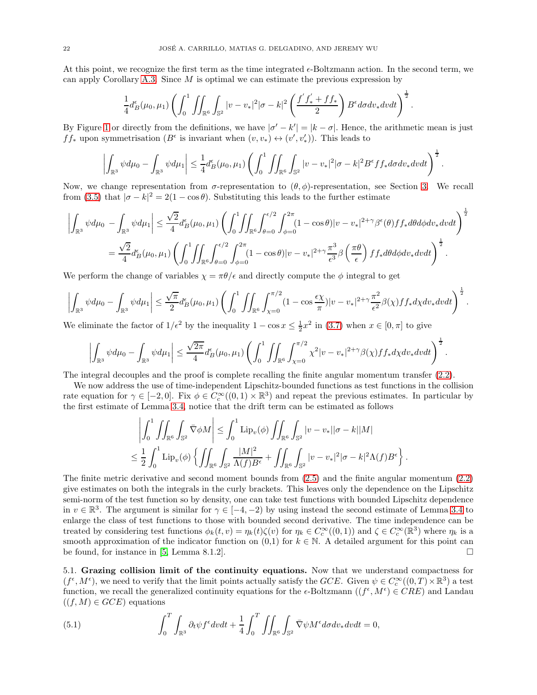<span id="page-21-2"></span>At this point, we recognize the first term as the time integrated  $\epsilon$ -Boltzmann action. In the second term, we can apply Corollary [A.3.](#page-32-2) Since  $M$  is optimal we can estimate the previous expression by

$$
\frac{1}{4}d_B^{\epsilon}(\mu_0,\mu_1)\left(\int_0^1\iint_{\mathbb{R}^6}\int_{\mathbb{S}^2}|v-v_*|^2|\sigma-k|^2\left(\frac{f^{'}f^{'}_*+f f_*}{2}\right)B^{\epsilon}d\sigma dv_*dvdt\right)^{\frac{1}{2}}
$$

.

.

.

By Figure [1](#page-8-1) or directly from the definitions, we have  $|\sigma'-k'| = |k-\sigma|$ . Hence, the arithmetic mean is just  $ff_*$  upon symmetrisation  $(B^{\epsilon}$  is invariant when  $(v, v_*) \leftrightarrow (v', v'_*)$ ). This leads to

$$
\left|\int_{\mathbb{R}^3}\psi d\mu_0-\int_{\mathbb{R}^3}\psi d\mu_1\right|\leq \frac{1}{4}d^\epsilon_B(\mu_0,\mu_1)\left(\int_0^1\iint_{\mathbb{R}^6}\int_{\mathbb{S}^2}|v-v_*|^2|\sigma-k|^2B^\epsilon f f_* d\sigma dv_* dvdt\right)^\frac{1}{2}
$$

Now, we change representation from  $\sigma$ -representation to  $(\theta, \phi)$ -representation, see Section [3.](#page-7-1) We recall from [\(3.5\)](#page-10-4) that  $|\sigma - k|^2 = 2(1 - \cos \theta)$ . Substituting this leads to the further estimate

$$
\left| \int_{\mathbb{R}^3} \psi d\mu_0 - \int_{\mathbb{R}^3} \psi d\mu_1 \right| \leq \frac{\sqrt{2}}{4} d_B^{\epsilon}(\mu_0, \mu_1) \left( \int_0^1 \int \int_{\mathbb{R}^6} \int_{\theta=0}^{\epsilon/2} \int_{\phi=0}^{2\pi} (1 - \cos \theta) |v - v_*|^{2+\gamma} \beta^{\epsilon}(\theta) f f_* d\theta d\phi dv_* dv dt \right)^{\frac{1}{2}}
$$
  
= 
$$
\frac{\sqrt{2}}{4} d_B^{\epsilon}(\mu_0, \mu_1) \left( \int_0^1 \int \int_{\mathbb{R}^6} \int_{\theta=0}^{\epsilon/2} \int_{\phi=0}^{2\pi} (1 - \cos \theta) |v - v_*|^{2+\gamma} \frac{\pi^3}{\epsilon^3} \beta \left( \frac{\pi \theta}{\epsilon} \right) f f_* d\theta d\phi dv_* dv dt \right)^{\frac{1}{2}}.
$$

We perform the change of variables  $\chi = \pi \theta / \epsilon$  and directly compute the  $\phi$  integral to get

$$
\left|\int_{\mathbb{R}^3}\psi d\mu_0-\int_{\mathbb{R}^3}\psi d\mu_1\right|\leq \frac{\sqrt{\pi}}{2}d^\epsilon_B(\mu_0,\mu_1)\left(\int_0^1\iint_{\mathbb{R}^6}\int_{\chi=0}^{\pi/2}(1-\cos\frac{\epsilon\chi}{\pi})|v-v_*|^{2+\gamma}\frac{\pi^2}{\epsilon^2}\beta(\chi)ff_*d\chi dv_*dvdt\right)^{\frac{1}{2}}.
$$

We eliminate the factor of  $1/\epsilon^2$  by the inequality  $1 - \cos x \le \frac{1}{2}x^2$  in [\(3.7\)](#page-10-5) when  $x \in [0, \pi]$  to give

$$
\left| \int_{\mathbb{R}^3} \psi d\mu_0 - \int_{\mathbb{R}^3} \psi d\mu_1 \right| \leq \frac{\sqrt{2\pi}}{4} d^{\epsilon}_B(\mu_0, \mu_1) \left( \int_0^1 \iint_{\mathbb{R}^6} \int_{\chi=0}^{\pi/2} \chi^2 |v - v_*|^{2+\gamma} \beta(\chi) f f_* d\chi dv_* dv dt \right)^{\frac{1}{2}}
$$

The integral decouples and the proof is complete recalling the finite angular momentum transfer [\(2.2\)](#page-5-1).

We now address the use of time-independent Lipschitz-bounded functions as test functions in the collision rate equation for  $\gamma \in [-2,0]$ . Fix  $\phi \in C_c^{\infty}((0,1) \times \mathbb{R}^3)$  and repeat the previous estimates. In particular by the first estimate of Lemma [3.4,](#page-12-0) notice that the drift term can be estimated as follows

$$
\left| \int_0^1 \iint_{\mathbb{R}^6} \int_{\mathbb{S}^2} \bar{\nabla} \phi M \right| \leq \int_0^1 \mathrm{Lip}_v(\phi) \iint_{\mathbb{R}^6} \int_{\mathbb{S}^2} |v - v_*| |\sigma - k| |M|
$$
  

$$
\leq \frac{1}{2} \int_0^1 \mathrm{Lip}_v(\phi) \left\{ \iint_{\mathbb{R}^6} \int_{\mathbb{S}^2} \frac{|M|^2}{\Lambda(f) B^{\epsilon}} + \iint_{\mathbb{R}^6} \int_{\mathbb{S}^2} |v - v_*|^2 |\sigma - k|^2 \Lambda(f) B^{\epsilon} \right\}.
$$

The finite metric derivative and second moment bounds from [\(2.5\)](#page-5-4) and the finite angular momentum [\(2.2\)](#page-5-1) give estimates on both the integrals in the curly brackets. This leaves only the dependence on the Lipschitz semi-norm of the test function so by density, one can take test functions with bounded Lipschitz dependence in  $v \in \mathbb{R}^3$ . The argument is similar for  $\gamma \in [-4, -2)$  by using instead the second estimate of Lemma [3.4](#page-12-0) to enlarge the class of test functions to those with bounded second derivative. The time independence can be treated by considering test functions  $\phi_k(t, v) = \eta_k(t) \zeta(v)$  for  $\eta_k \in C_c^{\infty}((0, 1))$  and  $\zeta \in C_c^{\infty}(\mathbb{R}^3)$  where  $\eta_k$  is a smooth approximation of the indicator function on  $(0,1)$  for  $k \in \mathbb{N}$ . A detailed argument for this point can be found, for instance in [5, Lemma 8.1.2]. be found, for instance in [\[5,](#page-40-13) Lemma 8.1.2].

<span id="page-21-0"></span>5.1. Grazing collision limit of the continuity equations. Now that we understand compactness for  $(f^{\epsilon}, M^{\epsilon})$ , we need to verify that the limit points actually satisfy the GCE. Given  $\psi \in C_c^{\infty}((0,T) \times \mathbb{R}^3)$  a test function, we recall the generalized continuity equations for the  $\epsilon$ -Boltzmann  $((f^{\epsilon}, M^{\epsilon}) \in CRE)$  and Landau  $((f, M) \in GCE)$  equations

<span id="page-21-1"></span>(5.1) 
$$
\int_0^T \int_{\mathbb{R}^3} \partial_t \psi f^{\epsilon} dv dt + \frac{1}{4} \int_0^T \iint_{\mathbb{R}^6} \int_{\mathbb{S}^2} \bar{\nabla} \psi M^{\epsilon} d\sigma dv_* dv dt = 0,
$$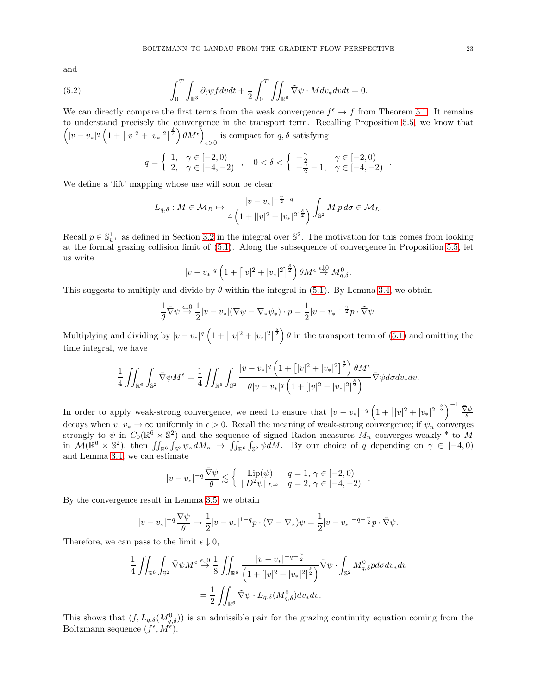and

(5.2) 
$$
\int_0^T \int_{\mathbb{R}^3} \partial_t \psi f dv dt + \frac{1}{2} \int_0^T \iint_{\mathbb{R}^6} \tilde{\nabla} \psi \cdot M dv_* dv dt = 0.
$$

We can directly compare the first terms from the weak convergence  $f^{\epsilon} \to f$  from Theorem [5.1.](#page-18-1) It remains to understand precisely the convergence in the transport term. Recalling Proposition [5.5,](#page-19-0) we know that  $\left(|v-v_*|^q\left(1+\left[|v|^2+|v_*|^2\right]^{\frac{\delta}{2}}\right)\theta M^{\epsilon}\right)$ is compact for  $q, \delta$  satisfying

$$
q = \begin{cases} 1, & \gamma \in [-2, 0) \\ 2, & \gamma \in [-4, -2) \end{cases}, \quad 0 < \delta < \begin{cases} -\frac{\gamma}{2} & \gamma \in [-2, 0) \\ -\frac{\gamma}{2} - 1, & \gamma \in [-4, -2) \end{cases}.
$$

We define a 'lift' mapping whose use will soon be clear

$$
L_{q,\delta}: M \in \mathcal{M}_B \mapsto \frac{|v-v_*|^{-\frac{\gamma}{2}-q}}{4\left(1+[|v|^2+|v_*|^2]^{\frac{\delta}{2}}\right)} \int_{\mathbb{S}^2} M p \, d\sigma \in \mathcal{M}_L.
$$

Recall  $p \in \mathbb{S}_{k}^1$  as defined in Section [3.2](#page-8-0) in the integral over  $\mathbb{S}^2$ . The motivation for this comes from looking at the formal grazing collision limit of [\(5.1\)](#page-21-1). Along the subsequence of convergence in Proposition [5.5,](#page-19-0) let us write

$$
|v - v_*|^q \left(1 + \left[|v|^2 + |v_*|^2\right]^{\frac{\delta}{2}}\right) \theta M^{\epsilon} \stackrel{\epsilon \downarrow 0}{\rightarrow} M_{q,\delta}^0.
$$

This suggests to multiply and divide by  $\theta$  within the integral in [\(5.1\)](#page-21-1). By Lemma [3.4,](#page-12-0) we obtain

$$
\frac{1}{\theta} \bar{\nabla} \psi \stackrel{\epsilon \downarrow 0}{\rightarrow} \frac{1}{2} |v - v_*| (\nabla \psi - \nabla_* \psi_*) \cdot p = \frac{1}{2} |v - v_*|^{-\frac{\gamma}{2}} p \cdot \tilde{\nabla} \psi.
$$

Multiplying and dividing by  $|v - v_*|^q \left(1 + (|v|^2 + |v_*|^2)^{\frac{\delta}{2}}\right) \theta$  in the transport term of [\(5.1\)](#page-21-1) and omitting the time integral, we have

$$
\frac{1}{4} \iint_{\mathbb{R}^6} \int_{\mathbb{S}^2} \bar{\nabla} \psi M^{\epsilon} = \frac{1}{4} \iint_{\mathbb{R}^6} \int_{\mathbb{S}^2} \frac{|v - v_*|^q \left( 1 + \left[ |v|^2 + |v_*|^2 \right]^{\frac{\delta}{2}} \right) \theta M^{\epsilon}}{\theta |v - v_*|^q \left( 1 + \left[ |v|^2 + |v_*|^2 \right]^{\frac{\delta}{2}} \right)} \bar{\nabla} \psi d\sigma dv_* dv.
$$

In order to apply weak-strong convergence, we need to ensure that  $|v - v_*|^{-q} \left(1 + (|v|^2 + |v_*|^2)^{\frac{\delta}{2}}\right)^{-1} \frac{\nabla \psi}{\theta}$ decays when  $v, v_* \to \infty$  uniformly in  $\epsilon > 0$ . Recall the meaning of weak-strong convergence; if  $\psi_n$  converges strongly to  $\psi$  in  $C_0(\mathbb{R}^6 \times \mathbb{S}^2)$  and the sequence of signed Radon measures  $M_n$  converges weakly-\* to M in  $\mathcal{M}(\mathbb{R}^6 \times \mathbb{S}^2)$ , then  $\iint_{\mathbb{R}^6} \int_{\mathbb{S}^2} \psi_n dM_n \to \iint_{\mathbb{R}^6} \int_{\mathbb{S}^2} \psi dM$ . By our choice of q depending on  $\gamma \in [-4, 0)$ and Lemma [3.4,](#page-12-0) we can estimate

$$
|v - v_*|^{-q} \frac{\bar{\nabla}\psi}{\theta} \lesssim \left\{ \begin{array}{cc} \text{Lip}(\psi) & q = 1, \, \gamma \in [-2, 0) \\ \|D^2 \psi\|_{L^\infty} & q = 2, \, \gamma \in [-4, -2) \end{array} \right.
$$

By the convergence result in Lemma [3.5,](#page-13-1) we obtain

$$
|v - v_*|^{-q} \frac{\nabla \psi}{\theta} \to \frac{1}{2} |v - v_*|^{1-q} p \cdot (\nabla - \nabla_*) \psi = \frac{1}{2} |v - v_*|^{-q - \frac{\gamma}{2}} p \cdot \tilde{\nabla} \psi.
$$

Therefore, we can pass to the limit  $\epsilon \downarrow 0$ ,

$$
\frac{1}{4} \iint_{\mathbb{R}^6} \int_{\mathbb{S}^2} \bar{\nabla} \psi M^{\epsilon} \stackrel{\epsilon \downarrow 0}{\rightarrow} \frac{1}{8} \iint_{\mathbb{R}^6} \frac{|v - v_*|^{-q - \frac{\gamma}{2}}}{\left(1 + [|v|^2 + |v_*|^2]^{\frac{\delta}{2}}\right)} \tilde{\nabla} \psi \cdot \int_{\mathbb{S}^2} M_{q, \delta}^0 p d\sigma dv_* dv
$$

$$
= \frac{1}{2} \iint_{\mathbb{R}^6} \tilde{\nabla} \psi \cdot L_{q, \delta}(M_{q, \delta}^0) dv_* dv.
$$

<span id="page-22-0"></span>This shows that  $(f, L_{q,\delta}(M_{q,\delta}^0))$  is an admissible pair for the grazing continuity equation coming from the Boltzmann sequence  $(f^{\epsilon}, M^{\tilde{\epsilon}})$ .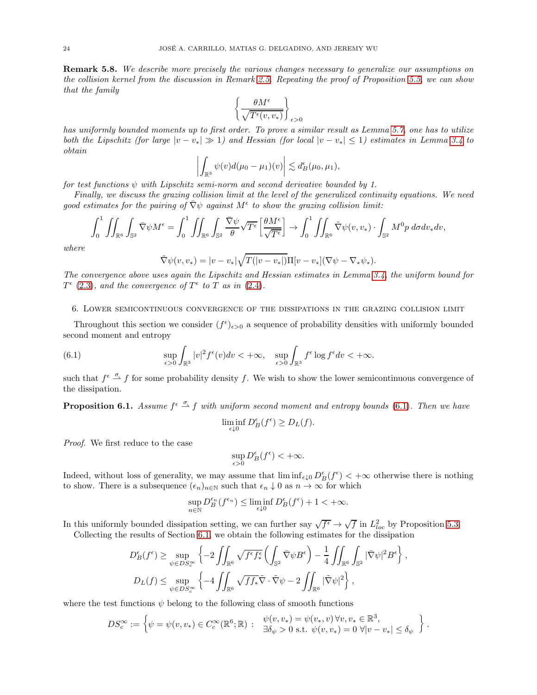Remark 5.8. We describe more precisely the various changes necessary to generalize our assumptions on the collision kernel from the discussion in Remark [2.5.](#page-5-5) Repeating the proof of Proposition [5.5,](#page-19-0) we can show that the family

$$
\left\{\frac{\theta M^{\epsilon}}{\sqrt{T^{\epsilon}(v,v_*)}}\right\}_{\epsilon>0}
$$

has uniformly bounded moments up to first order. To prove a similar result as Lemma [5.7,](#page-20-0) one has to utilize both the Lipschitz (for large  $|v - v_*| \gg 1$ ) and Hessian (for local  $|v - v_*| \le 1$ ) estimates in Lemma [3.4](#page-12-0) to obtain

$$
\left|\int_{\mathbb{R}^3} \psi(v) d(\mu_0 - \mu_1)(v)\right| \lesssim d_B^{\epsilon}(\mu_0, \mu_1),
$$

for test functions  $\psi$  with Lipschitz semi-norm and second derivative bounded by 1.

Finally, we discuss the grazing collision limit at the level of the generalized continuity equations. We need good estimates for the pairing of  $\bar{\nabla}\psi$  against  $M^{\epsilon}$  to show the grazing collision limit:

$$
\int_0^1 \iint_{\mathbb{R}^6} \int_{\mathbb{S}^2} \bar{\nabla} \psi M^{\epsilon} = \int_0^1 \iint_{\mathbb{R}^6} \int_{\mathbb{S}^2} \frac{\bar{\nabla} \psi}{\theta} \sqrt{T^{\epsilon}} \left[ \frac{\theta M^{\epsilon}}{\sqrt{T^{\epsilon}}} \right] \to \int_0^1 \iint_{\mathbb{R}^6} \tilde{\nabla} \psi(v, v_*) \cdot \int_{\mathbb{S}^2} M^0 p \, d\sigma dv_* dv,
$$

where

$$
\tilde{\nabla}\psi(v,v_*)=|v-v_*|\sqrt{T(|v-v_*|)}\Pi[v-v_*](\nabla\psi-\nabla_*\psi_*).
$$

The convergence above uses again the Lipschitz and Hessian estimates in Lemma [3.4,](#page-12-0) the uniform bound for  $T^{\epsilon}$  [\(2.3\)](#page-5-6), and the convergence of  $T^{\epsilon}$  to T as in [\(2.4\)](#page-5-7).

### <span id="page-23-0"></span>6. Lower semicontinuous convergence of the dissipations in the grazing collision limit

Throughout this section we consider  $(f^{\epsilon})_{\epsilon>0}$  a sequence of probability densities with uniformly bounded second moment and entropy

(6.1) 
$$
\sup_{\epsilon>0}\int_{\mathbb{R}^3}|v|^2f^{\epsilon}(v)dv < +\infty, \quad \sup_{\epsilon>0}\int_{\mathbb{R}^3}f^{\epsilon}\log f^{\epsilon}dv < +\infty.
$$

<span id="page-23-2"></span>such that  $f^{\epsilon} \stackrel{\sigma}{\rightarrow} f$  for some probability density f. We wish to show the lower semicontinuous convergence of the dissipation.

**Proposition 6.1.** Assume  $f^{\epsilon} \stackrel{\sigma}{\sim} f$  with uniform second moment and entropy bounds [\(6.1\)](#page-23-1). Then we have

<span id="page-23-1"></span>
$$
\liminf_{\epsilon \downarrow 0} D_B^{\epsilon}(f^{\epsilon}) \ge D_L(f).
$$

Proof. We first reduce to the case

$$
\sup_{\epsilon>0} D_B^{\epsilon}(f^{\epsilon}) < +\infty.
$$

Indeed, without loss of generality, we may assume that  $\liminf_{\epsilon \downarrow 0} D_B^{\epsilon}(f^{\epsilon}) < +\infty$  otherwise there is nothing to show. There is a subsequence  $(\epsilon_n)_{n\in\mathbb{N}}$  such that  $\epsilon_n\downarrow 0$  as  $n\to\infty$  for which

$$
\sup_{n\in\mathbb{N}} D_B^{\epsilon_n}(f^{\epsilon_n})\leq \liminf_{\epsilon\downarrow 0} D_B^{\epsilon}(f^{\epsilon})+1<+\infty.
$$

In this uniformly bounded dissipation setting, we can further say  $\sqrt{f^{\epsilon}} \to \sqrt{f}$  in  $L^{2}_{loc}$  by Proposition [5.3.](#page-18-2) Collecting the results of Section [6.1,](#page-24-1) we obtain the following estimates for the dissipation

$$
D_E^{\epsilon}(f^{\epsilon}) \ge \sup_{\psi \in DS_c^{\infty}} \left\{ -2 \iint_{\mathbb{R}^6} \sqrt{f^{\epsilon} f^{\epsilon}_{*}} \left( \int_{\mathbb{S}^2} \bar{\nabla} \psi B^{\epsilon} \right) - \frac{1}{4} \iint_{\mathbb{R}^6} \int_{\mathbb{S}^2} |\bar{\nabla} \psi|^2 B^{\epsilon} \right\},
$$
  

$$
D_L(f) \le \sup_{\psi \in DS_c^{\infty}} \left\{ -4 \iint_{\mathbb{R}^6} \sqrt{f f_* \tilde{\nabla}} \cdot \tilde{\nabla} \psi - 2 \iint_{\mathbb{R}^6} |\tilde{\nabla} \psi|^2 \right\},
$$

where the test functions  $\psi$  belong to the following class of smooth functions

$$
DS_c^\infty:=\left\{\psi=\psi(v,v_*)\in C_c^\infty(\mathbb{R}^6;\mathbb{R})\; \colon \begin{array}{l}\psi(v,v_*)=\psi(v_*,v)\,\forall v,v_*\in\mathbb{R}^3,\\\exists \delta_\psi>0\text{ s.t. }\psi(v,v_*)=0\,\,\forall |v-v_*|\le\delta_\psi\end{array}\right\}.
$$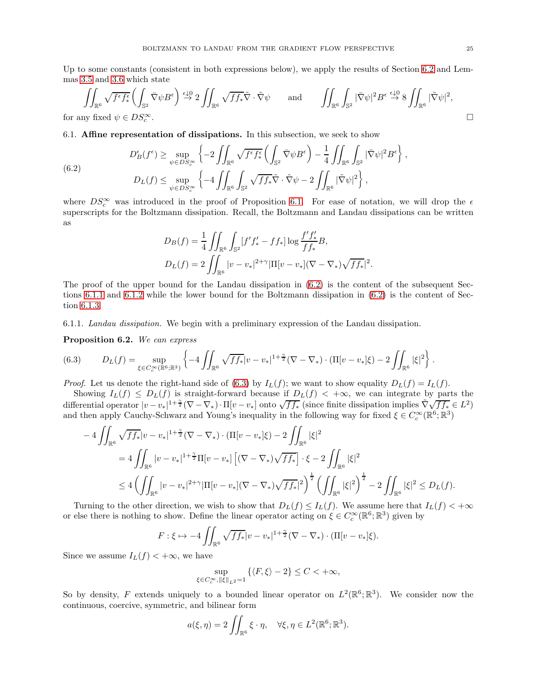Up to some constants (consistent in both expressions below), we apply the results of Section [6.2](#page-28-0) and Lemmas [3.5](#page-13-1) and [3.6](#page-14-0) which state

$$
\iint_{\mathbb{R}^6} \sqrt{f^{\epsilon} f_*^{\epsilon}} \left( \int_{\mathbb{S}^2} \bar{\nabla} \psi B^{\epsilon} \right) \stackrel{\epsilon \downarrow 0}{\rightarrow} 2 \iint_{\mathbb{R}^6} \sqrt{f f_*} \tilde{\nabla} \cdot \tilde{\nabla} \psi \quad \text{and} \quad \iint_{\mathbb{R}^6} \int_{\mathbb{S}^2} |\bar{\nabla} \psi|^2 B^{\epsilon} \stackrel{\epsilon \downarrow 0}{\rightarrow} 8 \iint_{\mathbb{R}^6} |\tilde{\nabla} \psi|^2,
$$
  
any fixed  $\psi \in DS_c^{\infty}$ .

<span id="page-24-1"></span>for any fixed  $\psi \in DS_c^{\infty}$ c

6.1. Affine representation of dissipations. In this subsection, we seek to show

<span id="page-24-2"></span>(6.2) 
$$
D_B^{\epsilon}(f^{\epsilon}) \ge \sup_{\psi \in DS_c^{\infty}} \left\{-2 \iint_{\mathbb{R}^6} \sqrt{f^{\epsilon} f^{\epsilon}_{*}} \left(\int_{\mathbb{S}^2} \bar{\nabla} \psi B^{\epsilon}\right) - \frac{1}{4} \iint_{\mathbb{R}^6} \int_{\mathbb{S}^2} |\bar{\nabla} \psi|^2 B^{\epsilon}\right\},
$$

$$
D_L(f) \le \sup_{\psi \in DS_c^{\infty}} \left\{-4 \iint_{\mathbb{R}^6} \int_{\mathbb{S}^2} \sqrt{f f_*} \tilde{\nabla} \cdot \tilde{\nabla} \psi - 2 \iint_{\mathbb{R}^6} |\tilde{\nabla} \psi|^2\right\},
$$

where  $DS_c^{\infty}$  was introduced in the proof of Proposition [6.1.](#page-23-2) For ease of notation, we will drop the  $\epsilon$ superscripts for the Boltzmann dissipation. Recall, the Boltzmann and Landau dissipations can be written as

$$
D_B(f) = \frac{1}{4} \iint_{\mathbb{R}^6} \int_{\mathbb{S}^2} [f' f'_* - f f_*] \log \frac{f' f'_*}{f f_*} B,
$$
  

$$
D_L(f) = 2 \iint_{\mathbb{R}^6} |v - v_*|^{2+\gamma} |\Pi[v - v_*](\nabla - \nabla_*) \sqrt{f f_*}|^2.
$$

The proof of the upper bound for the Landau dissipation in [\(6.2\)](#page-24-2) is the content of the subsequent Sections [6.1.1](#page-24-0) and [6.1.2](#page-26-0) while the lower bound for the Boltzmann dissipation in [\(6.2\)](#page-24-2) is the content of Section [6.1.3.](#page-27-0)

<span id="page-24-4"></span><span id="page-24-0"></span>6.1.1. Landau dissipation. We begin with a preliminary expression of the Landau dissipation.

Proposition 6.2. We can express

<span id="page-24-3"></span>
$$
(6.3) \t DL(f) = \sup_{\xi \in C_c^{\infty}(\mathbb{R}^6; \mathbb{R}^3)} \left\{ -4 \iint_{\mathbb{R}^6} \sqrt{f f_*} |v - v_*|^{1 + \frac{\gamma}{2}} (\nabla - \nabla_*) \cdot (\Pi [v - v_*] \xi) - 2 \iint_{\mathbb{R}^6} |\xi|^2 \right\}.
$$

*Proof.* Let us denote the right-hand side of [\(6.3\)](#page-24-3) by  $I_L(f)$ ; we want to show equality  $D_L(f) = I_L(f)$ .

Showing  $I_L(f) \leq D_L(f)$  is straight-forward because if  $D_L(f) < +\infty$ , we can integrate by parts the differential operator  $|v-v_*|^{1+\frac{\gamma}{2}}(\nabla-\nabla_*)\cdot\Pi[v-v_*]$  onto  $\sqrt{ff_*}$  (since finite dissipation implies  $\tilde{\nabla}\sqrt{ff_*}\in L^2$ ) and then apply Cauchy-Schwarz and Young's inequality in the following way for fixed  $\xi \in C_c^{\infty}(\mathbb{R}^6; \mathbb{R}^3)$ 

$$
-4 \iint_{\mathbb{R}^6} \sqrt{f f_*} |v - v_*|^{1 + \frac{\gamma}{2}} (\nabla - \nabla_*) \cdot (\Pi [v - v_*] \xi) - 2 \iint_{\mathbb{R}^6} |\xi|^2
$$
  
=  $4 \iint_{\mathbb{R}^6} |v - v_*|^{1 + \frac{\gamma}{2}} \Pi [v - v_*] \left[ (\nabla - \nabla_*) \sqrt{f f_*} \right] \cdot \xi - 2 \iint_{\mathbb{R}^6} |\xi|^2$   
 $\leq 4 \left( \iint_{\mathbb{R}^6} |v - v_*|^{2 + \gamma} |\Pi [v - v_*] (\nabla - \nabla_*) \sqrt{f f_*} |^2 \right)^{\frac{1}{2}} \left( \iint_{\mathbb{R}^6} |\xi|^2 \right)^{\frac{1}{2}} - 2 \iint_{\mathbb{R}^6} |\xi|^2 \leq D_L(f).$ 

Turning to the other direction, we wish to show that  $D_L(f) \leq I_L(f)$ . We assume here that  $I_L(f) < +\infty$ or else there is nothing to show. Define the linear operator acting on  $\xi \in C_c^{\infty}(\mathbb{R}^6; \mathbb{R}^3)$  given by

$$
F: \xi \mapsto -4 \iint_{\mathbb{R}^6} \sqrt{f f_*} |v - v_*|^{1+\frac{\gamma}{2}} (\nabla - \nabla_*) \cdot (\Pi [v - v_*] \xi).
$$

Since we assume  $I_L(f) < +\infty$ , we have

$$
\sup_{\xi \in C_c^{\infty}, \|\xi\|_{L^2} = 1} \left\{ \langle F, \xi \rangle - 2 \right\} \le C < +\infty,
$$

So by density, F extends uniquely to a bounded linear operator on  $L^2(\mathbb{R}^6;\mathbb{R}^3)$ . We consider now the continuous, coercive, symmetric, and bilinear form

$$
a(\xi, \eta) = 2 \iint_{\mathbb{R}^6} \xi \cdot \eta, \quad \forall \xi, \eta \in L^2(\mathbb{R}^6; \mathbb{R}^3).
$$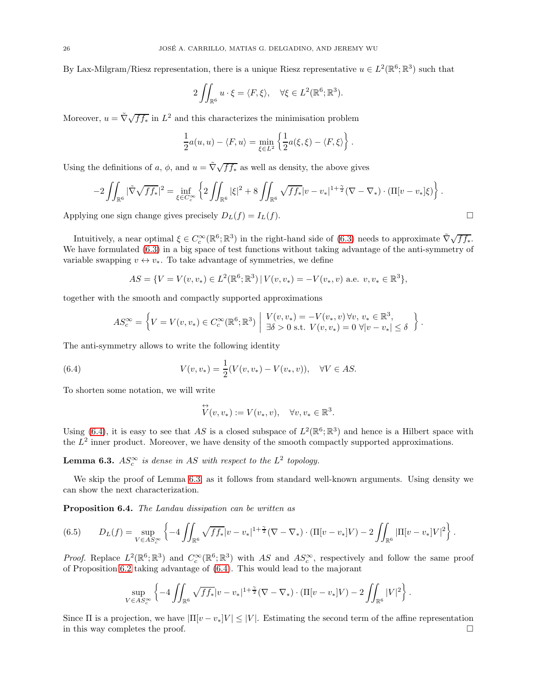By Lax-Milgram/Riesz representation, there is a unique Riesz representative  $u \in L^2(\mathbb{R}^6; \mathbb{R}^3)$  such that

$$
2\iint_{\mathbb{R}^6} u \cdot \xi = \langle F, \xi \rangle, \quad \forall \xi \in L^2(\mathbb{R}^6; \mathbb{R}^3).
$$

Moreover,  $u = \tilde{\nabla}\sqrt{ff_*}$  in  $L^2$  and this characterizes the minimisation problem

$$
\frac{1}{2}a(u, u) - \langle F, u \rangle = \min_{\xi \in L^2} \left\{ \frac{1}{2}a(\xi, \xi) - \langle F, \xi \rangle \right\}.
$$

Using the definitions of a,  $\phi$ , and  $u = \tilde{\nabla} \sqrt{f f_*}$  as well as density, the above gives

$$
-2\iint_{\mathbb{R}^6} |\tilde{\nabla} \sqrt{f f_*}|^2 = \inf_{\xi \in C_c^\infty} \left\{ 2 \iint_{\mathbb{R}^6} |\xi|^2 + 8 \iint_{\mathbb{R}^6} \sqrt{f f_*}|v - v_*|^{1 + \frac{\gamma}{2}} (\nabla - \nabla_*) \cdot (\Pi[v - v_*]\xi) \right\}.
$$

Applying one sign change gives precisely  $D_L(f) = I_L(f)$ .

Intuitively, a near optimal  $\xi \in C_c^{\infty}(\mathbb{R}^6; \mathbb{R}^3)$  in the right-hand side of [\(6.3\)](#page-24-3) needs to approximate  $\tilde{\nabla}\sqrt{ff_*}$ . We have formulated [\(6.3\)](#page-24-3) in a big space of test functions without taking advantage of the anti-symmetry of variable swapping  $v \leftrightarrow v_*$ . To take advantage of symmetries, we define

$$
AS = \{ V = V(v, v_*) \in L^2(\mathbb{R}^6; \mathbb{R}^3) | V(v, v_*) = -V(v_*, v) \text{ a.e. } v, v_* \in \mathbb{R}^3 \},
$$

together with the smooth and compactly supported approximations

$$
AS_c^{\infty} = \left\{ V = V(v, v_*) \in C_c^{\infty}(\mathbb{R}^6; \mathbb{R}^3) \middle| \begin{array}{l} V(v, v_*) = -V(v_*, v) \forall v, v_* \in \mathbb{R}^3, \\ \exists \delta > 0 \text{ s.t. } V(v, v_*) = 0 \ \forall |v - v_*| \le \delta \end{array} \right\}.
$$

The anti-symmetry allows to write the following identity

(6.4) 
$$
V(v, v_*) = \frac{1}{2}(V(v, v_*) - V(v_*, v)), \quad \forall V \in AS.
$$

To shorten some notation, we will write

<span id="page-25-0"></span>
$$
\overleftrightarrow{V}(v, v_*) := V(v_*, v), \quad \forall v, v_* \in \mathbb{R}^3.
$$

<span id="page-25-1"></span>Using [\(6.4\)](#page-25-0), it is easy to see that AS is a closed subspace of  $L^2(\mathbb{R}^6;\mathbb{R}^3)$  and hence is a Hilbert space with the  $L^2$  inner product. Moreover, we have density of the smooth compactly supported approximations.

**Lemma 6.3.**  $AS_c^{\infty}$  is dense in AS with respect to the  $L^2$  topology.

We skip the proof of Lemma [6.3,](#page-25-1) as it follows from standard well-known arguments. Using density we can show the next characterization.

Proposition 6.4. The Landau dissipation can be written as

<span id="page-25-2"></span>
$$
(6.5) \qquad D_{L}(f) = \sup_{V \in AS_{c}^{\infty}} \left\{ -4 \iint_{\mathbb{R}^{6}} \sqrt{f f_{*}} |v - v_{*}|^{1 + \frac{\gamma}{2}} (\nabla - \nabla_{*}) \cdot (\Pi[v - v_{*}]V) - 2 \iint_{\mathbb{R}^{6}} |\Pi[v - v_{*}]V|^{2} \right\}.
$$

*Proof.* Replace  $L^2(\mathbb{R}^6;\mathbb{R}^3)$  and  $C_c^{\infty}(\mathbb{R}^6;\mathbb{R}^3)$  with AS and  $AS_c^{\infty}$ , respectively and follow the same proof of Proposition [6.2](#page-24-4) taking advantage of [\(6.4\)](#page-25-0). This would lead to the majorant

$$
\sup_{V \in AS_c^{\infty}} \left\{ -4 \iint_{\mathbb{R}^6} \sqrt{f f_*} |v - v_*|^{1 + \frac{\gamma}{2}} (\nabla - \nabla_*) \cdot (\Pi [v - v_*] V) - 2 \iint_{\mathbb{R}^6} |V|^2 \right\}.
$$

Since Π is a projection, we have  $|\Pi[v - v_*]V| \leq |V|$ . Estimating the second term of the affine representation in this wav completes the proof. in this way completes the proof.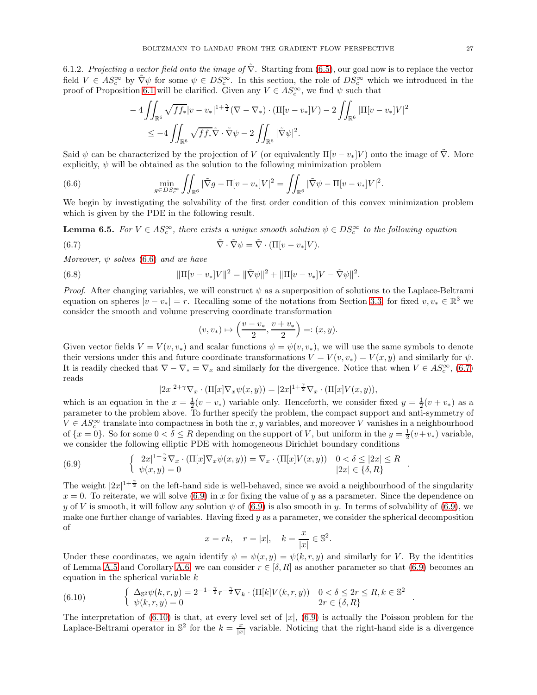<span id="page-26-0"></span>6.1.2. Projecting a vector field onto the image of  $\tilde{\nabla}$ . Starting from [\(6.5\)](#page-25-2), our goal now is to replace the vector field  $V \in AS_c^{\infty}$  by  $\tilde{\nabla}\psi$  for some  $\psi \in DS_c^{\infty}$ . In this section, the role of  $DS_c^{\infty}$  which we introduced in the proof of Proposition [6.1](#page-23-2) will be clarified. Given any  $V \in AS_c^{\infty}$ , we find  $\psi$  such that

<span id="page-26-1"></span>
$$
-4 \iint_{\mathbb{R}^6} \sqrt{f f_*} |v - v_*|^{1 + \frac{\gamma}{2}} (\nabla - \nabla_*) \cdot (\Pi[v - v_*]V) - 2 \iint_{\mathbb{R}^6} |\Pi[v - v_*]V|^2
$$
  

$$
\leq -4 \iint_{\mathbb{R}^6} \sqrt{f f_*} \tilde{\nabla} \cdot \tilde{\nabla} \psi - 2 \iint_{\mathbb{R}^6} |\tilde{\nabla} \psi|^2.
$$

Said  $\psi$  can be characterized by the projection of V (or equivalently  $\Pi[v-v_*]V$ ) onto the image of  $\tilde{\nabla}$ . More explicitly,  $\psi$  will be obtained as the solution to the following minimization problem

(6.6) 
$$
\min_{g \in DS_c^{\infty}} \iint_{\mathbb{R}^6} |\tilde{\nabla}g - \Pi[v - v_*]V|^2 = \iint_{\mathbb{R}^6} |\tilde{\nabla}\psi - \Pi[v - v_*]V|^2.
$$

<span id="page-26-6"></span>We begin by investigating the solvability of the first order condition of this convex minimization problem which is given by the PDE in the following result.

**Lemma 6.5.** For  $V \in AS_c^{\infty}$ , there exists a unique smooth solution  $\psi \in DS_c^{\infty}$  to the following equation

(6.7) 
$$
\tilde{\nabla} \cdot \tilde{\nabla} \psi = \tilde{\nabla} \cdot (\Pi[v - v_*]V).
$$

Moreover,  $\psi$  solves [\(6.6\)](#page-26-1) and we have

(6.8) 
$$
\|\Pi[v-v_*]V\|^2 = \|\tilde{\nabla}\psi\|^2 + \|\Pi[v-v_*]V - \tilde{\nabla}\psi\|^2.
$$

*Proof.* After changing variables, we will construct  $\psi$  as a superposition of solutions to the Laplace-Beltrami equation on spheres  $|v - v_*| = r$ . Recalling some of the notations from Section [3.3,](#page-10-0) for fixed  $v, v_* \in \mathbb{R}^3$  we consider the smooth and volume preserving coordinate transformation

<span id="page-26-5"></span><span id="page-26-2"></span>
$$
(v, v_*) \mapsto \left(\frac{v - v_*}{2}, \frac{v + v_*}{2}\right) =: (x, y).
$$

Given vector fields  $V = V(v, v_*)$  and scalar functions  $\psi = \psi(v, v_*)$ , we will use the same symbols to denote their versions under this and future coordinate transformations  $V = V(v, v_*) = V(x, y)$  and similarly for  $\psi$ . It is readily checked that  $\nabla - \nabla_* = \nabla_x$  and similarly for the divergence. Notice that when  $V \in AS_c^{\infty}$ , [\(6.7\)](#page-26-2) reads

$$
|2x|^{2+\gamma}\nabla_x \cdot (\Pi[x]\nabla_x \psi(x,y)) = |2x|^{1+\frac{\gamma}{2}}\nabla_x \cdot (\Pi[x]V(x,y)),
$$

which is an equation in the  $x = \frac{1}{2}(v - v_*)$  variable only. Henceforth, we consider fixed  $y = \frac{1}{2}(v + v_*)$  as a parameter to the problem above. To further specify the problem, the compact support and anti-symmetry of  $V \in AS_c^{\infty}$  translate into compactness in both the x, y variables, and moreover V vanishes in a neighbourhood of  $\{x=0\}$ . So for some  $0 < \delta \le R$  depending on the support of V, but uniform in the  $y = \frac{1}{2}(v+v_*)$  variable, we consider the following elliptic PDE with homogeneous Dirichlet boundary conditions

<span id="page-26-3"></span>(6.9) 
$$
\begin{cases} |2x|^{1+\frac{\gamma}{2}}\nabla_x \cdot (\Pi[x]\nabla_x \psi(x,y)) = \nabla_x \cdot (\Pi[x]V(x,y)) & 0 < \delta \leq |2x| \leq R \\ \psi(x,y) = 0 & |2x| \in \{\delta,R\} \end{cases}
$$

The weight  $|2x|^{1+\frac{\gamma}{2}}$  on the left-hand side is well-behaved, since we avoid a neighbourhood of the singularity  $x = 0$ . To reiterate, we will solve [\(6.9\)](#page-26-3) in x for fixing the value of y as a parameter. Since the dependence on y of V is smooth, it will follow any solution  $\psi$  of [\(6.9\)](#page-26-3) is also smooth in y. In terms of solvability of (6.9), we make one further change of variables. Having fixed  $y$  as a parameter, we consider the spherical decomposition of

$$
x = rk
$$
,  $r = |x|$ ,  $k = \frac{x}{|x|} \in \mathbb{S}^2$ .

Under these coordinates, we again identify  $\psi = \psi(x, y) = \psi(k, r, y)$  and similarly for V. By the identities of Lemma [A.5](#page-33-0) and Corollary [A.6,](#page-34-1) we can consider  $r \in [\delta, R]$  as another parameter so that [\(6.9\)](#page-26-3) becomes an equation in the spherical variable  $k$ 

<span id="page-26-4"></span>(6.10) 
$$
\begin{cases} \Delta_{\mathbb{S}^2} \psi(k,r,y) = 2^{-1-\frac{\gamma}{2}} r^{-\frac{\gamma}{2}} \nabla_k \cdot (\Pi[k] V(k,r,y)) & 0 < \delta \leq 2r \leq R, k \in \mathbb{S}^2\\ \psi(k,r,y) = 0 & 2r \in \{\delta, R\} \end{cases}
$$

The interpretation of  $(6.10)$  is that, at every level set of  $|x|$ ,  $(6.9)$  is actually the Poisson problem for the Laplace-Beltrami operator in  $\mathbb{S}^2$  for the  $k = \frac{x}{|x|}$  variable. Noticing that the right-hand side is a divergence

.

.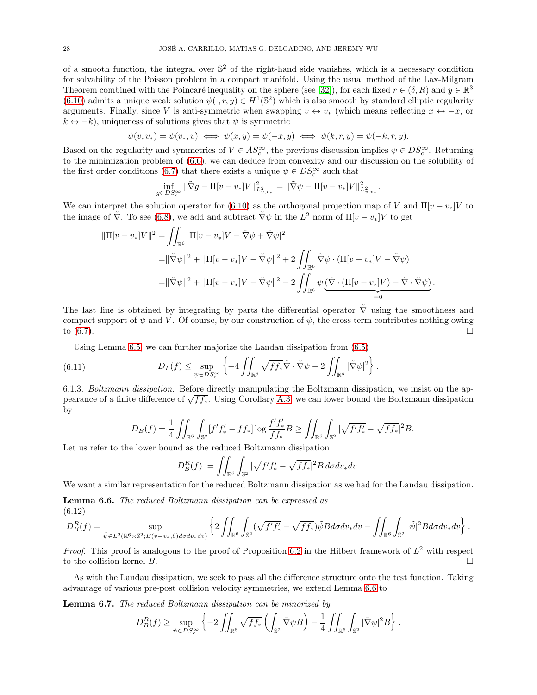<span id="page-27-3"></span>of a smooth function, the integral over  $\mathbb{S}^2$  of the right-hand side vanishes, which is a necessary condition for solvability of the Poisson problem in a compact manifold. Using the usual method of the Lax-Milgram Theorem combined with the Poincaré inequality on the sphere (see [\[32\]](#page-41-18)), for each fixed  $r \in (\delta, R)$  and  $y \in \mathbb{R}^3$  $(6.10)$  admits a unique weak solution  $\psi(\cdot, r, y) \in H^1(\mathbb{S}^2)$  which is also smooth by standard elliptic regularity arguments. Finally, since V is anti-symmetric when swapping  $v \leftrightarrow v_*$  (which means reflecting  $x \leftrightarrow -x$ , or  $k \leftrightarrow -k$ , uniqueness of solutions gives that  $\psi$  is symmetric

$$
\psi(v, v_*) = \psi(v_*, v) \iff \psi(x, y) = \psi(-x, y) \iff \psi(k, r, y) = \psi(-k, r, y).
$$

Based on the regularity and symmetries of  $V \in AS_c^{\infty}$ , the previous discussion implies  $\psi \in DS_c^{\infty}$ . Returning to the minimization problem of [\(6.6\)](#page-26-1), we can deduce from convexity and our discussion on the solubility of the first order conditions [\(6.7\)](#page-26-2) that there exists a unique  $\psi \in DS_c^{\infty}$  such that

$$
\inf_{g \in DS_c^{\infty}} \|\tilde{\nabla}g - \Pi[v - v_*]V\|_{L^2_{v,v_*}}^2 = \|\tilde{\nabla}\psi - \Pi[v - v_*]V\|_{L^2_{v,v_*}}^2
$$

.

We can interpret the solution operator for [\(6.10\)](#page-26-4) as the orthogonal projection map of V and  $\Pi[v - v_*]V$  to the image of  $\tilde{\nabla}$ . To see [\(6.8\)](#page-26-5), we add and subtract  $\tilde{\nabla}\psi$  in the  $L^2$  norm of  $\Pi[v-v_*]V$  to get

$$
\begin{split} \|\Pi[v-v_*]V\|^2 &= \iint_{\mathbb{R}^6} |\Pi[v-v_*]V - \tilde{\nabla}\psi + \tilde{\nabla}\psi|^2 \\ &= \|\tilde{\nabla}\psi\|^2 + \|\Pi[v-v_*]V - \tilde{\nabla}\psi\|^2 + 2\iint_{\mathbb{R}^6} \tilde{\nabla}\psi \cdot (\Pi[v-v_*]V - \tilde{\nabla}\psi) \\ &= \|\tilde{\nabla}\psi\|^2 + \|\Pi[v-v_*]V - \tilde{\nabla}\psi\|^2 - 2\iint_{\mathbb{R}^6} \psi \underbrace{(\tilde{\nabla} \cdot (\Pi[v-v_*]V) - \tilde{\nabla} \cdot \tilde{\nabla}\psi)}_{=0} . \end{split}
$$

The last line is obtained by integrating by parts the differential operator  $\tilde{\nabla}$  using the smoothness and compact support of  $\psi$  and V. Of course, by our construction of  $\psi$ , the cross term contributes nothing owing to  $(6.7)$ .

Using Lemma [6.5,](#page-26-6) we can further majorize the Landau dissipation from [\(6.5\)](#page-25-2)

(6.11) 
$$
D_L(f) \leq \sup_{\psi \in DS_c^{\infty}} \left\{-4 \iint_{\mathbb{R}^6} \sqrt{f f_*} \tilde{\nabla} \cdot \tilde{\nabla} \psi - 2 \iint_{\mathbb{R}^6} |\tilde{\nabla} \psi|^2 \right\}.
$$

<span id="page-27-0"></span>6.1.3. Boltzmann dissipation. Before directly manipulating the Boltzmann dissipation, we insist on the appearance of a finite difference of  $\sqrt{ff_*}$ . Using Corollary [A.3,](#page-32-2) we can lower bound the Boltzmann dissipation by

$$
D_B(f) = \frac{1}{4} \iint_{\mathbb{R}^6} \int_{\mathbb{S}^2} [f' f'_* - f f_*] \log \frac{f' f'_*}{f f_*} B \ge \iint_{\mathbb{R}^6} \int_{\mathbb{S}^2} |\sqrt{f' f'_*} - \sqrt{f f_*}|^2 B.
$$

Let us refer to the lower bound as the reduced Boltzmann dissipation

$$
D_B^R(f) := \iint_{\mathbb{R}^6} \int_{\mathbb{S}^2} |\sqrt{f' f'_*} - \sqrt{f f_*}|^2 B \, d\sigma dv_* dv.
$$

<span id="page-27-1"></span>We want a similar representation for the reduced Boltzmann dissipation as we had for the Landau dissipation.

Lemma 6.6. The reduced Boltzmann dissipation can be expressed as (6.12)

<span id="page-27-2"></span>
$$
D_B^R(f) = \sup_{\tilde{\psi} \in L^2(\mathbb{R}^6 \times \mathbb{S}^2; B(v-v_*,\theta) d\sigma dv_*dv)} \left\{ 2 \iint_{\mathbb{R}^6} \int_{\mathbb{S}^2} (\sqrt{f' f'_*} - \sqrt{f f_*}) \tilde{\psi} B d\sigma dv_*dv - \iint_{\mathbb{R}^6} \int_{\mathbb{S}^2} |\tilde{\psi}|^2 B d\sigma dv_*dv \right\}.
$$

*Proof.* This proof is analogous to the proof of Proposition [6.2](#page-24-4) in the Hilbert framework of  $L^2$  with respect to the collision kernel B.

As with the Landau dissipation, we seek to pass all the difference structure onto the test function. Taking advantage of various pre-post collision velocity symmetries, we extend Lemma [6.6](#page-27-1) to

Lemma 6.7. The reduced Boltzmann dissipation can be minorized by

$$
D_B^R(f)\geq \sup_{\psi\in DS_c^\infty} \left\{-2\iint_{\mathbb{R}^6}\sqrt{ff_*}\left(\int_{\mathbb{S}^2}\bar{\nabla}\psi B\right)-\frac{1}{4}\iint_{\mathbb{R}^6}\int_{\mathbb{S}^2}|\bar{\nabla}\psi|^2 B\right\}.
$$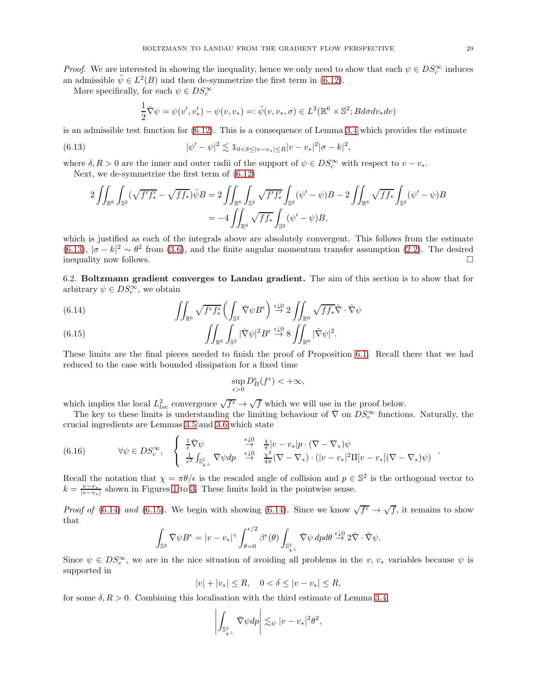*Proof.* We are interested in showing the inequality, hence we only need to show that each  $\psi \in DS_c^{\infty}$  induces an admissible  $\tilde{\psi} \in L^2(B)$  and then de-symmetrize the first term in [\(6.12\)](#page-27-2).

More specifically, for each  $\psi \in DS_c^{\infty}$ 

<span id="page-28-1"></span>
$$
\frac{1}{2}\overline{\nabla}\psi = \psi(v', v'_*) - \psi(v, v_*) =: \tilde{\psi}(v, v_*, \sigma) \in L^2(\mathbb{R}^6 \times \mathbb{S}^2; B d\sigma dv_* dv)
$$

is an admissible test function for [\(6.12\)](#page-27-2). This is a consequence of Lemma [3.4](#page-12-0) which provides the estimate

(6.13) 
$$
|\psi' - \psi|^2 \lesssim 1_{0 < \delta \leq |v - v_*| \leq R} |v - v_*|^2 |\sigma - k|^2,
$$

where  $\delta, R > 0$  are the inner and outer radii of the support of  $\psi \in DS_c^{\infty}$  with respect to  $v - v_*$ .

Next, we de-symmetrize the first term of [\(6.12\)](#page-27-2)

$$
2 \iint_{\mathbb{R}^6} \int_{\mathbb{S}^2} (\sqrt{f' f'_*} - \sqrt{f f_*}) \tilde{\psi} B = 2 \iint_{\mathbb{R}^6} \int_{\mathbb{S}^2} \sqrt{f' f'_*} \int_{\mathbb{S}^2} (\psi' - \psi) B - 2 \iint_{\mathbb{R}^6} \sqrt{f f_*} \int_{\mathbb{S}^2} (\psi' - \psi) B
$$
  
= 
$$
-4 \iint_{\mathbb{R}^6} \sqrt{f f_*} \int_{\mathbb{S}^2} (\psi' - \psi) B,
$$

which is justified as each of the integrals above are absolutely convergent. This follows from the estimate [\(6.13\)](#page-28-1),  $|\sigma - k|^2 \sim \theta^2$  from [\(3.6\)](#page-10-2), and the finite angular momentum transfer assumption [\(2.2\)](#page-5-1). The desired inequality now follows.

<span id="page-28-0"></span>6.2. Boltzmann gradient converges to Landau gradient. The aim of this section is to show that for arbitrary  $\psi \in DS_c^{\infty}$ , we obtain

<span id="page-28-2"></span>(6.14) 
$$
\iint_{\mathbb{R}^6} \sqrt{f^{\epsilon} f_{*}^{\epsilon}} \left( \int_{\mathbb{S}^2} \bar{\nabla} \psi B^{\epsilon} \right) \stackrel{\epsilon \downarrow 0}{\rightarrow} 2 \iint_{\mathbb{R}^6} \sqrt{f f_{*} \tilde{\nabla}} \cdot \tilde{\nabla} \psi
$$

<span id="page-28-3"></span>(6.15) 
$$
\iint_{\mathbb{R}^6} \int_{\mathbb{S}^2} |\bar{\nabla}\psi|^2 B^{\epsilon} \stackrel{\epsilon \downarrow 0}{\to} 8 \iint_{\mathbb{R}^6} |\tilde{\nabla}\psi|^2.
$$

These limits are the final pieces needed to finish the proof of Proposition [6.1.](#page-23-2) Recall there that we had reduced to the case with bounded dissipation for a fixed time

$$
\sup_{\epsilon>0} D_B^{\epsilon}(f^{\epsilon}) < +\infty,
$$

which implies the local  $L^2_{loc}$  convergence  $\sqrt{f^{\epsilon}} \to \sqrt{f}$  which we will use in the proof below.

The key to these limits is understanding the limiting behaviour of  $\overline{\nabla}$  on  $DS_c^{\infty}$  functions. Naturally, the crucial ingredients are Lemmas [3.5](#page-13-1) and [3.6](#page-14-0) which state

<span id="page-28-4"></span>(6.16) 
$$
\forall \psi \in DS_c^{\infty}, \quad \begin{cases} \frac{1}{\epsilon} \overline{\nabla} \psi & \stackrel{\epsilon \downarrow 0}{\rightarrow} \frac{\chi}{\pi} |v - v_*| p \cdot (\nabla - \nabla_*) \psi \\ \frac{1}{\epsilon^2} \int_{\mathbb{S}_{k}^1} \overline{\nabla} \psi dp & \stackrel{\epsilon \downarrow 0}{\rightarrow} \frac{\chi^2}{4\pi} (\nabla - \nabla_*) \cdot (|v - v_*|^2 \Pi [v - v_*] (\nabla - \nabla_*) \psi) \end{cases}
$$

Recall the notation that  $\chi = \pi \theta / \epsilon$  is the rescaled angle of collision and  $p \in \mathbb{S}^2$  is the orthogonal vector to  $k = \frac{v - v_*}{|v - v_*|}$  shown in Figures [1](#page-8-1) to [3.](#page-10-1) These limits hold in the pointwise sense.

*Proof of* [\(6.14\)](#page-28-2) and [\(6.15\)](#page-28-3). We begin with showing [\(6.14\)](#page-28-2). Since we know  $\sqrt{f^{\epsilon}} \to \sqrt{f}$ , it remains to show that

$$
\int_{\mathbb{S}^2} \bar{\nabla} \psi B^{\epsilon} = |v - v_*|^{\gamma} \int_{\theta=0}^{\epsilon/2} \beta^{\epsilon}(\theta) \int_{\mathbb{S}^1_{k\perp}} \bar{\nabla} \psi \, dp d\theta \stackrel{\epsilon \downarrow 0}{\rightarrow} 2\tilde{\nabla} \cdot \tilde{\nabla} \psi.
$$

Since  $\psi \in DS_c^{\infty}$ , we are in the nice situation of avoiding all problems in the v,  $v_*$  variables because  $\psi$  is supported in

 $|v| + |v_*| \le R$ ,  $0 < \delta \le |v - v_*| \le R$ ,

for some  $\delta, R > 0$ . Combining this localisation with the third estimate of Lemma [3.4,](#page-12-0)

$$
\left| \int_{\mathbb{S}^1_{k^\perp}} \bar{\nabla} \psi dp \right| \lesssim_{\psi} |v - v_*|^2 \theta^2,
$$

.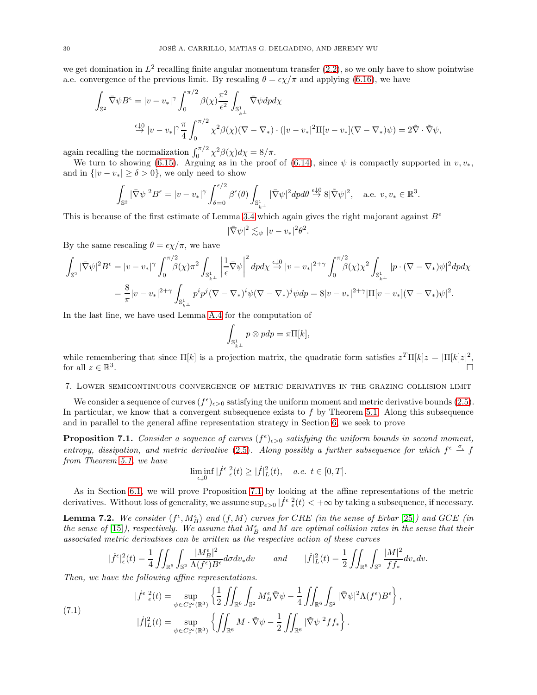<span id="page-29-4"></span>we get domination in  $L^2$  recalling finite angular momentum transfer  $(2.2)$ , so we only have to show pointwise a.e. convergence of the previous limit. By rescaling  $\theta = \epsilon \chi/\pi$  and applying [\(6.16\)](#page-28-4), we have

$$
\int_{\mathbb{S}^2} \bar{\nabla} \psi B^{\epsilon} = |v - v_*|^{\gamma} \int_0^{\pi/2} \beta(\chi) \frac{\pi^2}{\epsilon^2} \int_{\mathbb{S}^1_{k\perp}} \bar{\nabla} \psi dp d\chi
$$
\n
$$
\xrightarrow{\epsilon \downarrow 0} |v - v_*|^{\gamma} \frac{\pi}{4} \int_0^{\pi/2} \chi^2 \beta(\chi) (\nabla - \nabla_*) \cdot (|v - v_*|^2 \Pi [v - v_*] (\nabla - \nabla_*) \psi) = 2 \tilde{\nabla} \cdot \tilde{\nabla} \psi,
$$

again recalling the normalization  $\int_0^{\pi/2} \chi^2 \beta(\chi) d\chi = 8/\pi$ .

We turn to showing [\(6.15\)](#page-28-3). Arguing as in the proof of [\(6.14\)](#page-28-2), since  $\psi$  is compactly supported in  $v, v_*$ , and in  $\{|v - v_{*}| \ge \delta > 0\}$ , we only need to show

$$
\int_{\mathbb{S}^2} |\bar{\nabla}\psi|^2 B^{\epsilon} = |v - v_*|^{\gamma} \int_{\theta=0}^{\epsilon/2} \beta^{\epsilon}(\theta) \int_{\mathbb{S}_{k}^1} |\bar{\nabla}\psi|^2 dp d\theta \stackrel{\epsilon \downarrow 0}{\rightarrow} 8|\tilde{\nabla}\psi|^2, \quad \text{a.e. } v, v_* \in \mathbb{R}^3.
$$

This is because of the first estimate of Lemma [3.4](#page-12-0) which again gives the right majorant against  $B^{\epsilon}$ 

$$
|\bar{\nabla}\psi|^2 \lesssim_{\psi} |v - v_*|^2 \theta^2
$$

.

By the same rescaling  $\theta = \epsilon \chi/\pi$ , we have

$$
\int_{\mathbb{S}^2} |\bar{\nabla}\psi|^2 B^{\epsilon} = |v - v_*|^{\gamma} \int_0^{\pi/2} \beta(\chi) \pi^2 \int_{\mathbb{S}_{k\perp}^1} \left| \frac{1}{\epsilon} \bar{\nabla}\psi \right|^2 dp d\chi \stackrel{\epsilon \downarrow 0}{\to} |v - v_*|^{2+\gamma} \int_0^{\pi/2} \beta(\chi) \chi^2 \int_{\mathbb{S}_{k\perp}^1} |p \cdot (\nabla - \nabla_*) \psi|^2 dp d\chi
$$
  
= 
$$
\frac{8}{\pi} |v - v_*|^{2+\gamma} \int_{\mathbb{S}_{k\perp}^1} p^i p^j (\nabla - \nabla_*)^i \psi (\nabla - \nabla_*)^j \psi dp = 8 |v - v_*|^{2+\gamma} |\Pi[v - v_*] (\nabla - \nabla_*) \psi|^2.
$$

In the last line, we have used Lemma [A.4](#page-32-1) for the computation of

$$
\int_{\mathbb{S}^1_{k^\perp}} p \otimes p dp = \pi \Pi[k],
$$

while remembering that since  $\Pi[k]$  is a projection matrix, the quadratic form satisfies  $z^T\Pi[k]z = |\Pi[k]z|^2$ , for all  $z \in \mathbb{R}^3$ .

## <span id="page-29-0"></span>7. Lower semicontinuous convergence of metric derivatives in the grazing collision limit

We consider a sequence of curves  $(f^{\epsilon})_{\epsilon>0}$  satisfying the uniform moment and metric derivative bounds [\(2.5\)](#page-5-4). In particular, we know that a convergent subsequence exists to  $f$  by Theorem [5.1.](#page-18-1) Along this subsequence and in parallel to the general affine representation strategy in Section [6,](#page-23-0) we seek to prove

<span id="page-29-1"></span>**Proposition 7.1.** Consider a sequence of curves  $(f^{\epsilon})_{\epsilon>0}$  satisfying the uniform bounds in second moment, entropy, dissipation, and metric derivative [\(2.5\)](#page-5-4). Along possibly a further subsequence for which  $f^{\epsilon} \stackrel{\sigma}{\sim} f$ from Theorem [5.1,](#page-18-1) we have

$$
\liminf_{\epsilon \downarrow 0} |\dot{f}^{\epsilon}|_{\epsilon}^{2}(t) \geq |\dot{f}|_{L}^{2}(t), \quad a.e. \ t \in [0, T].
$$

<span id="page-29-3"></span>As in Section [6.1,](#page-24-1) we will prove Proposition [7.1](#page-29-1) by looking at the affine representations of the metric derivatives. Without loss of generality, we assume  $\sup_{\epsilon>0} |\dot{f}^{\epsilon}|_{\epsilon}^2(t) < +\infty$  by taking a subsequence, if necessary.

**Lemma 7.2.** We consider  $(f^{\epsilon}, M^{\epsilon}_{B})$  and  $(f, M)$  curves for CRE (in the sense of Erbar [\[25\]](#page-41-4)) and GCE (in the sense of [\[15\]](#page-40-3)), respectively. We assume that  $M_B^{\epsilon}$  and M are optimal collision rates in the sense that their associated metric derivatives can be written as the respective action of these curves

$$
|\dot{f}^{\epsilon}|_{\epsilon}^{2}(t) = \frac{1}{4} \iint_{\mathbb{R}^{6}} \int_{\mathbb{S}^{2}} \frac{|M_{B}^{\epsilon}|^{2}}{\Lambda(f^{\epsilon})B^{\epsilon}} d\sigma dv_{*} dv \quad and \quad |\dot{f}|_{L}^{2}(t) = \frac{1}{2} \iint_{\mathbb{R}^{6}} \int_{\mathbb{S}^{2}} \frac{|M|^{2}}{f f_{*}} dv_{*} dv.
$$

Then, we have the following affine representations.

<span id="page-29-2"></span>(7.1) 
$$
|\dot{f}^{\epsilon}|_{\epsilon}^{2}(t) = \sup_{\psi \in C_{c}^{\infty}(\mathbb{R}^{3})} \left\{ \frac{1}{2} \iint_{\mathbb{R}^{6}} \int_{\mathbb{S}^{2}} M_{B}^{\epsilon} \overline{\nabla} \psi - \frac{1}{4} \iint_{\mathbb{R}^{6}} \int_{\mathbb{S}^{2}} |\overline{\nabla} \psi|^{2} \Lambda(f^{\epsilon}) B^{\epsilon} \right\},
$$

$$
|\dot{f}|_{L}^{2}(t) = \sup_{\psi \in C_{c}^{\infty}(\mathbb{R}^{3})} \left\{ \iint_{\mathbb{R}^{6}} M \cdot \tilde{\nabla} \psi - \frac{1}{2} \iint_{\mathbb{R}^{6}} |\tilde{\nabla} \psi|^{2} f f_{*} \right\}.
$$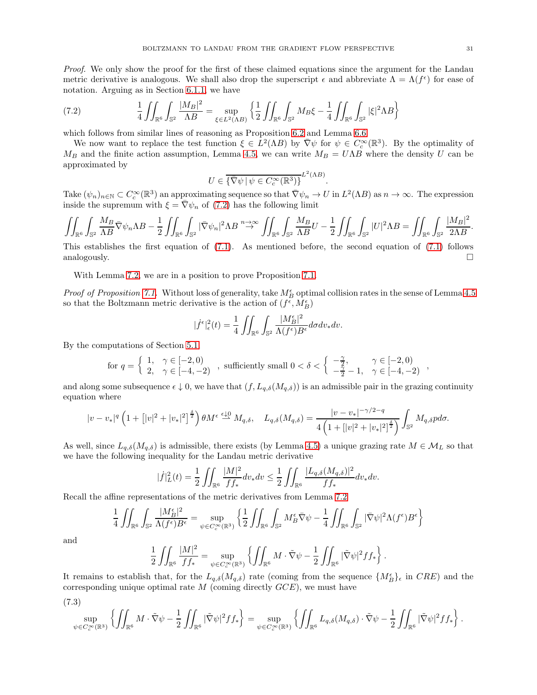<span id="page-30-0"></span>(7.2) 
$$
\frac{1}{4} \iint_{\mathbb{R}^6} \int_{\mathbb{S}^2} \frac{|M_B|^2}{\Lambda B} = \sup_{\xi \in L^2(\Lambda B)} \left\{ \frac{1}{2} \iint_{\mathbb{R}^6} \int_{\mathbb{S}^2} M_B \xi - \frac{1}{4} \iint_{\mathbb{R}^6} \int_{\mathbb{S}^2} |\xi|^2 \Lambda B \right\}
$$

which follows from similar lines of reasoning as Proposition [6.2](#page-24-4) and Lemma [6.6.](#page-27-1)

We now want to replace the test function  $\xi \in L^2(\Lambda B)$  by  $\overline{\nabla}\psi$  for  $\psi \in C_c^{\infty}(\mathbb{R}^3)$ . By the optimality of  $M_B$  and the finite action assumption, Lemma [4.5,](#page-17-1) we can write  $M_B = U\Lambda B$  where the density U can be approximated by

$$
U \in \overline{\{\nabla \psi \, | \, \psi \in C_c^{\infty}(\mathbb{R}^3)\}}^{L^2(\Lambda B)}.
$$

Take  $(\psi_n)_{n \in \mathbb{N}} \subset C_c^{\infty}(\mathbb{R}^3)$  an approximating sequence so that  $\overline{\nabla}\psi_n \to U$  in  $L^2(\Lambda B)$  as  $n \to \infty$ . The expression inside the supremum with  $\xi = \bar{\nabla}\psi_n$  of [\(7.2\)](#page-30-0) has the following limit

$$
\iint_{\mathbb{R}^6} \int_{\mathbb{S}^2} \frac{M_B}{\Lambda B} \bar{\nabla} \psi_n \Lambda B - \frac{1}{2} \iint_{\mathbb{R}^6} \int_{\mathbb{S}^2} |\bar{\nabla} \psi_n|^2 \Lambda B \stackrel{n \to \infty}{\to} \iint_{\mathbb{R}^6} \int_{\mathbb{S}^2} \frac{M_B}{\Lambda B} U - \frac{1}{2} \iint_{\mathbb{R}^6} \int_{\mathbb{S}^2} |U|^2 \Lambda B = \iint_{\mathbb{R}^6} \int_{\mathbb{S}^2} \frac{|M_B|^2}{2\Lambda B}.
$$

This establishes the first equation of [\(7.1\)](#page-29-2). As mentioned before, the second equation of [\(7.1\)](#page-29-2) follows analogously.  $\qquad \qquad \Box$ 

With Lemma [7.2,](#page-29-3) we are in a position to prove Proposition [7.1.](#page-29-1)

*Proof of Proposition [7.1.](#page-29-1)* Without loss of generality, take  $M_B^{\epsilon}$  optimal collision rates in the sense of Lemma [4.5](#page-17-1) so that the Boltzmann metric derivative is the action of  $(f^\epsilon,M_B^\epsilon)$ 

$$
|\dot{f}^{\epsilon}|_{\epsilon}^{2}(t) = \frac{1}{4} \iint_{\mathbb{R}^{6}} \int_{\mathbb{S}^{2}} \frac{|M_{B}^{\epsilon}|^{2}}{\Lambda(f^{\epsilon})B^{\epsilon}} d\sigma dv_{*} dv.
$$

By the computations of Section [5.1,](#page-21-0)

$$
\text{for } q = \left\{ \begin{array}{ll} 1, & \gamma \in [-2,0) \\ 2, & \gamma \in [-4,-2) \end{array} \right., \text{ sufficiently small } 0 < \delta < \left\{ \begin{array}{ll} -\frac{\gamma}{2}, & \gamma \in [-2,0) \\ -\frac{\gamma}{2}-1, & \gamma \in [-4,-2) \end{array} \right.,
$$

and along some subsequence  $\epsilon \downarrow 0$ , we have that  $(f, L_{q,\delta}(M_{q,\delta}))$  is an admissible pair in the grazing continuity equation where

$$
|v-v_*|^q \left(1+\left[|v|^2+|v_*|^2\right]^{\frac{\delta}{2}}\right) \theta M^{\epsilon} \stackrel{\epsilon \downarrow 0}{\rightharpoonup} M_{q,\delta}, \quad L_{q,\delta}(M_{q,\delta}) = \frac{|v-v_*|^{-\gamma/2-q}}{4\left(1+\left[|v|^2+|v_*|^2\right]^{\frac{\delta}{2}}\right)} \int_{\mathbb{S}^2} M_{q,\delta} p d\sigma.
$$

As well, since  $L_{q,\delta}(M_{q,\delta})$  is admissible, there exists (by Lemma [4.5\)](#page-17-1) a unique grazing rate  $M \in \mathcal{M}_L$  so that we have the following inequality for the Landau metric derivative

$$
|f|_L^2(t) = \frac{1}{2} \iint_{\mathbb{R}^6} \frac{|M|^2}{f f_*} dv_* dv \le \frac{1}{2} \iint_{\mathbb{R}^6} \frac{|L_{q,\delta}(M_{q,\delta})|^2}{f f_*} dv_* dv.
$$

Recall the affine representations of the metric derivatives from Lemma [7.2](#page-29-3)

$$
\frac{1}{4} \iint_{\mathbb{R}^6} \int_{\mathbb{S}^2} \frac{|M_B^{\epsilon}|^2}{\Lambda(f^{\epsilon})B^{\epsilon}} = \sup_{\psi \in C_c^{\infty}(\mathbb{R}^3)} \left\{ \frac{1}{2} \iint_{\mathbb{R}^6} \int_{\mathbb{S}^2} M_B^{\epsilon} \overline{\nabla} \psi - \frac{1}{4} \iint_{\mathbb{R}^6} \int_{\mathbb{S}^2} |\overline{\nabla} \psi|^2 \Lambda(f^{\epsilon}) B^{\epsilon} \right\}
$$

and

$$
\frac{1}{2} \iint_{\mathbb{R}^6} \frac{|M|^2}{f f_*} = \sup_{\psi \in C_c^{\infty}(\mathbb{R}^3)} \left\{ \iint_{\mathbb{R}^6} M \cdot \tilde{\nabla} \psi - \frac{1}{2} \iint_{\mathbb{R}^6} |\tilde{\nabla} \psi|^2 f f_* \right\}.
$$

It remains to establish that, for the  $L_{q,\delta}(M_{q,\delta})$  rate (coming from the sequence  $\{M_B^{\epsilon}\}_\epsilon$  in  $CRE$ ) and the corresponding unique optimal rate  $M$  (coming directly  $GCE$ ), we must have

<span id="page-30-1"></span>
$$
(7.3)
$$

$$
\sup_{\psi \in C_c^\infty(\mathbb{R}^3)} \left\{ \iint_{\mathbb{R}^6} M \cdot \tilde{\nabla} \psi - \frac{1}{2} \iint_{\mathbb{R}^6} |\tilde{\nabla} \psi|^2 f f_* \right\} = \sup_{\psi \in C_c^\infty(\mathbb{R}^3)} \left\{ \iint_{\mathbb{R}^6} L_{q,\delta}(M_{q,\delta}) \cdot \tilde{\nabla} \psi - \frac{1}{2} \iint_{\mathbb{R}^6} |\tilde{\nabla} \psi|^2 f f_* \right\}.
$$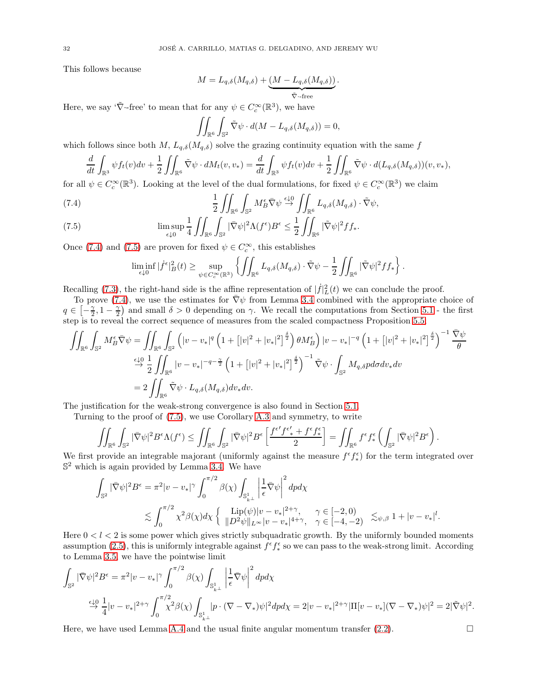This follows because

$$
M=L_{q,\delta}(M_{q,\delta})+\underbrace{(M-L_{q,\delta}(M_{q,\delta}))}_{\bar{\nabla}\cdot\text{-free}}.
$$

Here, we say ' $\tilde{\nabla}$ -free' to mean that for any  $\psi \in C_c^{\infty}(\mathbb{R}^3)$ , we have

$$
\iint_{\mathbb{R}^6} \int_{\mathbb{S}^2} \tilde{\nabla} \psi \cdot d(M - L_{q,\delta}(M_{q,\delta})) = 0,
$$

which follows since both M,  $L_{q,\delta}(M_{q,\delta})$  solve the grazing continuity equation with the same f

$$
\frac{d}{dt} \int_{\mathbb{R}^3} \psi f_t(v) dv + \frac{1}{2} \iint_{\mathbb{R}^6} \tilde{\nabla} \psi \cdot dM_t(v, v_*) = \frac{d}{dt} \int_{\mathbb{R}^3} \psi f_t(v) dv + \frac{1}{2} \iint_{\mathbb{R}^6} \tilde{\nabla} \psi \cdot d(L_{q, \delta}(M_{q, \delta}))(v, v_*),
$$

for all  $\psi \in C_c^{\infty}(\mathbb{R}^3)$ . Looking at the level of the dual formulations, for fixed  $\psi \in C_c^{\infty}(\mathbb{R}^3)$  we claim

<span id="page-31-0"></span>(7.4) 
$$
\frac{1}{2} \iint_{\mathbb{R}^6} \int_{\mathbb{S}^2} M_B^{\epsilon} \overline{\nabla} \psi \stackrel{\epsilon \downarrow 0}{\rightarrow} \iint_{\mathbb{R}^6} L_{q,\delta}(M_{q,\delta}) \cdot \widetilde{\nabla} \psi,
$$

<span id="page-31-1"></span>(7.5) 
$$
\limsup_{\epsilon \downarrow 0} \frac{1}{4} \iint_{\mathbb{R}^6} \int_{\mathbb{S}^2} |\bar{\nabla} \psi|^2 \Lambda(f^{\epsilon}) B^{\epsilon} \leq \frac{1}{2} \iint_{\mathbb{R}^6} |\tilde{\nabla} \psi|^2 f f_*.
$$

Once [\(7.4\)](#page-31-0) and [\(7.5\)](#page-31-1) are proven for fixed  $\psi \in C_c^{\infty}$ , this establishes

$$
\liminf_{\epsilon \downarrow 0} |\dot{f}^{\epsilon}|^2_B(t) \ge \sup_{\psi \in C_c^{\infty}(\mathbb{R}^3)} \left\{ \iint_{\mathbb{R}^6} L_{q,\delta}(M_{q,\delta}) \cdot \tilde{\nabla} \psi - \frac{1}{2} \iint_{\mathbb{R}^6} |\tilde{\nabla} \psi|^2 f f_* \right\}.
$$

Recalling [\(7.3\)](#page-30-1), the right-hand side is the affine representation of  $|f|_L^2(t)$  we can conclude the proof.

To prove [\(7.4\)](#page-31-0), we use the estimates for  $\bar{\nabla}\psi$  from Lemma [3.4](#page-12-0) combined with the appropriate choice of  $q \in \left[-\frac{\gamma}{2}, 1-\frac{\gamma}{2}\right)$  and small  $\delta > 0$  depending on  $\gamma$ . We recall the computations from Section [5.1](#page-21-0) - the first step is to reveal the correct sequence of measures from the scaled compactness Proposition [5.5;](#page-19-0)

$$
\iint_{\mathbb{R}^6} \int_{\mathbb{S}^2} M_B^{\epsilon} \bar{\nabla} \psi = \iint_{\mathbb{R}^6} \int_{\mathbb{S}^2} \left( |v - v_*|^q \left( 1 + \left[ |v|^2 + |v_*|^2 \right]^{\frac{\delta}{2}} \right) \theta M_B^{\epsilon} \right) |v - v_*|^{-q} \left( 1 + \left[ |v|^2 + |v_*|^2 \right]^{\frac{\delta}{2}} \right)^{-1} \frac{\bar{\nabla} \psi}{\theta}
$$
  
\n
$$
\stackrel{\epsilon \downarrow 0}{\rightarrow} \frac{1}{2} \iint_{\mathbb{R}^6} |v - v_*|^{-q - \frac{\gamma}{2}} \left( 1 + \left[ |v|^2 + |v_*|^2 \right]^{\frac{\delta}{2}} \right)^{-1} \bar{\nabla} \psi \cdot \int_{\mathbb{S}^2} M_{q,\delta} p d\sigma dv_* dv
$$
  
\n
$$
= 2 \iint_{\mathbb{R}^6} \bar{\nabla} \psi \cdot L_{q,\delta}(M_{q,\delta}) dv_* dv.
$$

The justification for the weak-strong convergence is also found in Section [5.1.](#page-21-0)

Turning to the proof of [\(7.5\)](#page-31-1), we use Corollary [A.3](#page-32-2) and symmetry, to write

$$
\iint_{\mathbb{R}^6}\int_{\mathbb{S}^2} |\bar{\nabla} \psi|^2 B^{\epsilon} \Lambda(f^{\epsilon}) \le \iint_{\mathbb{R}^6}\int_{\mathbb{S}^2} |\bar{\nabla} \psi|^2 B^{\epsilon} \left[ \frac{f^{\epsilon'} f^{\epsilon'}_{*} + f^{\epsilon} f^{\epsilon}_{*}}{2} \right] = \iint_{\mathbb{R}^6} f^{\epsilon} f^{\epsilon}_{*} \left( \int_{\mathbb{S}^2} |\bar{\nabla} \psi|^2 B^{\epsilon} \right).
$$

We first provide an integrable majorant (uniformly against the measure  $f^{\epsilon} f_{*}^{\epsilon}$ ∗ ) for the term integrated over  $\mathbb{S}^2$  which is again provided by Lemma [3.4.](#page-12-0) We have

$$
\int_{\mathbb{S}^2} |\bar{\nabla}\psi|^2 B^{\epsilon} = \pi^2 |v - v_*|^\gamma \int_0^{\pi/2} \beta(\chi) \int_{\mathbb{S}^1_{k^\perp}} \left|\frac{1}{\epsilon} \bar{\nabla}\psi\right|^2 dp d\chi
$$
  
\$\lesssim \int\_0^{\pi/2} \chi^2 \beta(\chi) d\chi \left\{\begin{array}{c} \text{Lip}(\psi) |v - v\_\*|^{2+\gamma}, \\ \|D^2 \psi\|\_{L^\infty} |v - v\_\*|^{4+\gamma}, \quad \gamma \in [-2, 0) \\ \chi^2 \in [-4, -2] \end{array} \right\} \lesssim\_{\psi, \beta} 1 + |v - v\_\*|^l.

Here  $0 < l < 2$  is some power which gives strictly subquadratic growth. By the uniformly bounded moments assumption [\(2.5\)](#page-5-4), this is uniformly integrable against  $f^{\epsilon} f_{*}^{\epsilon}$ ∗ so we can pass to the weak-strong limit. According to Lemma [3.5,](#page-13-1) we have the pointwise limit

$$
\int_{\mathbb{S}^2} |\bar{\nabla}\psi|^2 B^{\epsilon} = \pi^2 |v - v_*|^{\gamma} \int_0^{\pi/2} \beta(\chi) \int_{\mathbb{S}^1_{k\perp}} \left|\frac{1}{\epsilon} \bar{\nabla} \psi\right|^2 dp d\chi
$$
  
\n
$$
\xrightarrow{\epsilon \downarrow 0} \frac{1}{4} |v - v_*|^{2+\gamma} \int_0^{\pi/2} \chi^2 \beta(\chi) \int_{\mathbb{S}^1_{k\perp}} |p \cdot (\nabla - \nabla_*) \psi|^2 dp d\chi = 2|v - v_*|^{2+\gamma} |\Pi[v - v_*](\nabla - \nabla_*) \psi|^2 = 2|\bar{\nabla}\psi|^2.
$$

Here, we have used Lemma [A.4](#page-32-1) and the usual finite angular momentum transfer  $(2.2)$ .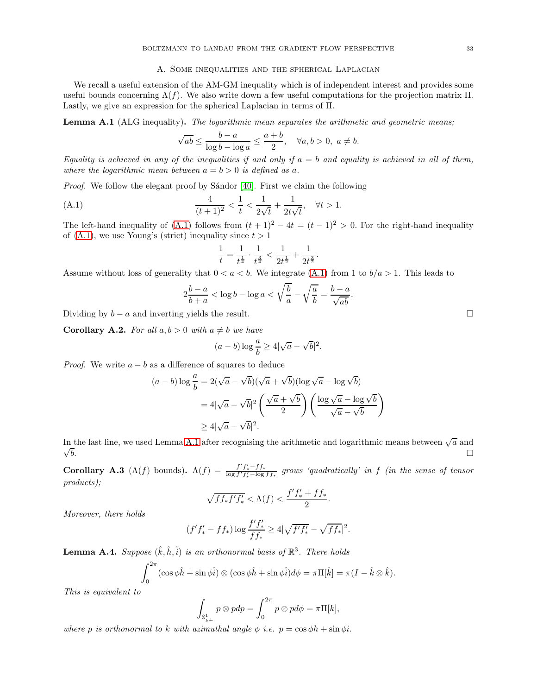#### A. Some inequalities and the spherical Laplacian

<span id="page-32-5"></span><span id="page-32-0"></span>We recall a useful extension of the AM-GM inequality which is of independent interest and provides some useful bounds concerning  $\Lambda(f)$ . We also write down a few useful computations for the projection matrix Π. Lastly, we give an expression for the spherical Laplacian in terms of Π.

<span id="page-32-4"></span>Lemma A.1 (ALG inequality). The logarithmic mean separates the arithmetic and geometric means;

$$
\sqrt{ab} \le \frac{b-a}{\log b - \log a} \le \frac{a+b}{2}, \quad \forall a, b > 0, \ a \ne b.
$$

Equality is achieved in any of the inequalities if and only if  $a = b$  and equality is achieved in all of them, where the logarithmic mean between  $a = b > 0$  is defined as a.

Proof. We follow the elegant proof by Sándor [\[40\]](#page-41-19). First we claim the following

(A.1) 
$$
\frac{4}{(t+1)^2} < \frac{1}{t} < \frac{1}{2\sqrt{t}} + \frac{1}{2t\sqrt{t}}, \quad \forall t > 1.
$$

The left-hand inequality of [\(A.1\)](#page-32-3) follows from  $(t + 1)^2 - 4t = (t - 1)^2 > 0$ . For the right-hand inequality of  $(A.1)$ , we use Young's (strict) inequality since  $t > 1$ 

<span id="page-32-3"></span>
$$
\frac{1}{t} = \frac{1}{t^{\frac{1}{4}}}\cdot \frac{1}{t^{\frac{3}{4}}} < \frac{1}{2t^{\frac{1}{2}}} + \frac{1}{2t^{\frac{3}{2}}}.
$$

Assume without loss of generality that  $0 < a < b$ . We integrate [\(A.1\)](#page-32-3) from 1 to  $b/a > 1$ . This leads to

$$
2\frac{b-a}{b+a} < \log b - \log a < \sqrt{\frac{b}{a}} - \sqrt{\frac{a}{b}} = \frac{b-a}{\sqrt{ab}}.
$$

Dividing by  $b - a$  and inverting yields the result.

**Corollary A.2.** For all  $a, b > 0$  with  $a \neq b$  we have

$$
(a-b)\log\frac{a}{b} \ge 4|\sqrt{a}-\sqrt{b}|^2
$$

.

*Proof.* We write  $a - b$  as a difference of squares to deduce

$$
(a - b) \log \frac{a}{b} = 2(\sqrt{a} - \sqrt{b})(\sqrt{a} + \sqrt{b})(\log \sqrt{a} - \log \sqrt{b})
$$

$$
= 4|\sqrt{a} - \sqrt{b}|^2 \left(\frac{\sqrt{a} + \sqrt{b}}{2}\right) \left(\frac{\log \sqrt{a} - \log \sqrt{b}}{\sqrt{a} - \sqrt{b}}\right)
$$

$$
\geq 4|\sqrt{a} - \sqrt{b}|^2.
$$

In the last line, we used Lemma [A.1](#page-32-4) after recognising the arithmetic and logarithmic means between  $\sqrt{a}$  and  $\sqrt{b}$ . b.  $\Box$ 

<span id="page-32-2"></span>**Corollary A.3** ( $\Lambda(f)$  bounds).  $\Lambda(f) = \frac{f'f'_{*}-f f_{*}}{\log f'f'_{*}-\log f f_{*}}$  grows 'quadratically' in f (in the sense of tensor products);

$$
\sqrt{ff_*f'f'_*} < \Lambda(f) < \frac{f'f'_* + ff_*}{2}.
$$

Moreover, there holds

$$
(f'f'_{*} - ff_{*}) \log \frac{f'f'_{*}}{ff_{*}} \ge 4|\sqrt{f'f'_{*}} - \sqrt{ff_{*}}|^{2}.
$$

<span id="page-32-1"></span>**Lemma A.4.** Suppose  $(\hat{k}, \hat{h}, \hat{i})$  is an orthonormal basis of  $\mathbb{R}^3$ . There holds

$$
\int_0^{2\pi} (\cos \phi \hat{h} + \sin \phi \hat{i}) \otimes (\cos \phi \hat{h} + \sin \phi \hat{i}) d\phi = \pi \Pi[\hat{k}] = \pi (I - \hat{k} \otimes \hat{k}).
$$

This is equivalent to

$$
\int_{\mathbb{S}^1_{k^\perp}} p \otimes p dp = \int_0^{2\pi} p \otimes p d\phi = \pi \Pi[k],
$$

where p is orthonormal to k with azimuthal angle  $\phi$  i.e.  $p = \cos \phi h + \sin \phi i$ .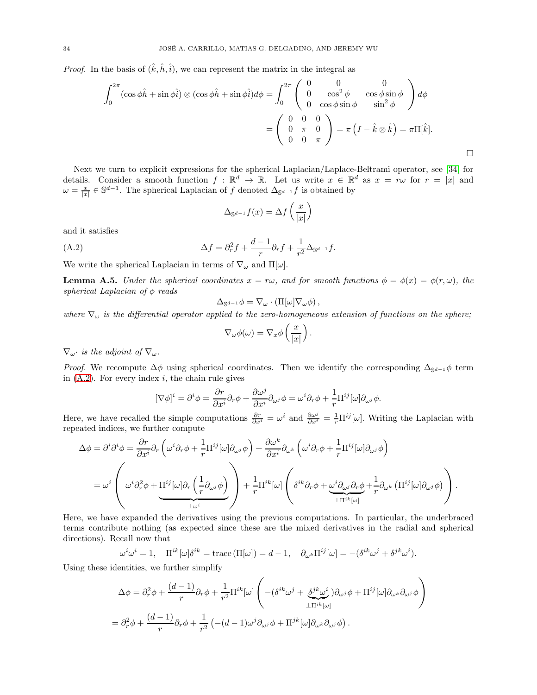<span id="page-33-2"></span>*Proof.* In the basis of  $(\hat{k}, \hat{h}, \hat{i})$ , we can represent the matrix in the integral as

$$
\int_0^{2\pi} (\cos\phi \hat{h} + \sin\phi \hat{i}) \otimes (\cos\phi \hat{h} + \sin\phi \hat{i}) d\phi = \int_0^{2\pi} \begin{pmatrix} 0 & 0 & 0 \\ 0 & \cos^2\phi & \cos\phi\sin\phi \\ 0 & \cos\phi\sin\phi & \sin^2\phi \end{pmatrix} d\phi
$$

$$
= \begin{pmatrix} 0 & 0 & 0 \\ 0 & \pi & 0 \\ 0 & 0 & \pi \end{pmatrix} = \pi \left( I - \hat{k} \otimes \hat{k} \right) = \pi \Pi[\hat{k}].
$$

Next we turn to explicit expressions for the spherical Laplacian/Laplace-Beltrami operator, see [\[34\]](#page-41-20) for details. Consider a smooth function  $f : \mathbb{R}^d \to \mathbb{R}$ . Let us write  $x \in \mathbb{R}^d$  as  $x = r\omega$  for  $r = |x|$  and  $\omega = \frac{x}{|x|} \in \mathbb{S}^{d-1}$ . The spherical Laplacian of f denoted  $\Delta_{\mathbb{S}^{d-1}} f$  is obtained by

<span id="page-33-1"></span>
$$
\Delta_{\mathbb{S}^{d-1}} f(x) = \Delta f\left(\frac{x}{|x|}\right)
$$

and it satisfies

(A.2) 
$$
\Delta f = \partial_r^2 f + \frac{d-1}{r} \partial_r f + \frac{1}{r^2} \Delta_{\mathbb{S}^{d-1}} f.
$$

<span id="page-33-0"></span>We write the spherical Laplacian in terms of  $\nabla_{\omega}$  and  $\Pi[\omega]$ .

**Lemma A.5.** Under the spherical coordinates  $x = r\omega$ , and for smooth functions  $\phi = \phi(x) = \phi(r, \omega)$ , the spherical Laplacian of  $\phi$  reads

$$
\Delta_{\mathbb{S}^{d-1}}\phi=\nabla_\omega\cdot\left(\Pi[\omega]\nabla_\omega\phi\right),\,
$$

where  $\nabla_{\omega}$  is the differential operator applied to the zero-homogeneous extension of functions on the sphere;

$$
\nabla_{\omega}\phi(\omega) = \nabla_x\phi\left(\frac{x}{|x|}\right).
$$

 $\nabla_{\omega}$  is the adjoint of  $\nabla_{\omega}$ .

*Proof.* We recompute  $\Delta \phi$  using spherical coordinates. Then we identify the corresponding  $\Delta_{\mathbb{S}^{d-1}}\phi$  term in  $(A.2)$ . For every index i, the chain rule gives

$$
[\nabla \phi]^i = \partial^i \phi = \frac{\partial r}{\partial x^i} \partial_r \phi + \frac{\partial \omega^j}{\partial x^i} \partial_{\omega^j} \phi = \omega^i \partial_r \phi + \frac{1}{r} \Pi^{ij} [\omega] \partial_{\omega^j} \phi.
$$

Here, we have recalled the simple computations  $\frac{\partial r}{\partial x^i} = \omega^i$  and  $\frac{\partial \omega^j}{\partial x^i} = \frac{1}{r} \Pi^{ij}[\omega]$ . Writing the Laplacian with repeated indices, we further compute

$$
\Delta \phi = \partial^i \partial^i \phi = \frac{\partial r}{\partial x^i} \partial_r \left( \omega^i \partial_r \phi + \frac{1}{r} \Pi^{ij} [\omega] \partial_{\omega^j} \phi \right) + \frac{\partial \omega^k}{\partial x^i} \partial_{\omega^k} \left( \omega^i \partial_r \phi + \frac{1}{r} \Pi^{ij} [\omega] \partial_{\omega^j} \phi \right)
$$
  

$$
= \omega^i \left( \omega^i \partial_r^2 \phi + \Pi^{ij} [\omega] \partial_r \left( \frac{1}{r} \partial_{\omega^j} \phi \right) \right) + \frac{1}{r} \Pi^{ik} [\omega] \left( \delta^{ik} \partial_r \phi + \frac{\omega^i \partial_{\omega^j} \partial_r \phi}{\Pi^{ik} [\omega]} + \frac{1}{r} \partial_{\omega^k} \left( \Pi^{ij} [\omega] \partial_{\omega^j} \phi \right) \right).
$$

Here, we have expanded the derivatives using the previous computations. In particular, the underbraced terms contribute nothing (as expected since these are the mixed derivatives in the radial and spherical directions). Recall now that

$$
\omega^{i}\omega^{i} = 1, \quad \Pi^{ik}[\omega]\delta^{ik} = \text{trace}(\Pi[\omega]) = d - 1, \quad \partial_{\omega^{k}}\Pi^{ij}[\omega] = -(\delta^{ik}\omega^{j} + \delta^{jk}\omega^{i}).
$$

Using these identities, we further simplify

$$
\Delta \phi = \partial_r^2 \phi + \frac{(d-1)}{r} \partial_r \phi + \frac{1}{r^2} \Pi^{ik} [\omega] \left( -(\delta^{ik} \omega^j + \underbrace{\delta^{jk} \omega^i}_{\perp \Pi^{ik} [\omega]}) \partial_{\omega^j} \phi + \Pi^{ij} [\omega] \partial_{\omega^k} \partial_{\omega^j} \phi \right)
$$
  
=  $\partial_r^2 \phi + \frac{(d-1)}{r} \partial_r \phi + \frac{1}{r^2} \left( -(d-1) \omega^j \partial_{\omega^j} \phi + \Pi^{jk} [\omega] \partial_{\omega^k} \partial_{\omega^j} \phi \right).$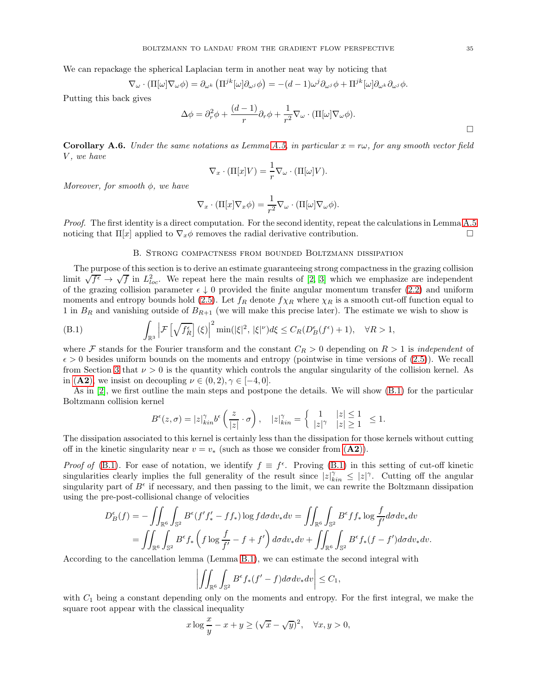<span id="page-34-3"></span>We can repackage the spherical Laplacian term in another neat way by noticing that

$$
\nabla_{\omega} \cdot (\Pi[\omega] \nabla_{\omega} \phi) = \partial_{\omega^k} (\Pi^{jk}[\omega] \partial_{\omega^j} \phi) = -(d-1) \omega^j \partial_{\omega^j} \phi + \Pi^{jk}[\omega] \partial_{\omega^k} \partial_{\omega^j} \phi.
$$

Putting this back gives

$$
\Delta \phi = \partial_r^2 \phi + \frac{(d-1)}{r} \partial_r \phi + \frac{1}{r^2} \nabla_\omega \cdot (\Pi[\omega] \nabla_\omega \phi).
$$

<span id="page-34-1"></span>**Corollary A.6.** Under the same notations as Lemma [A.5,](#page-33-0) in particular  $x = r\omega$ , for any smooth vector field V, we have

$$
\nabla_x \cdot (\Pi[x]V) = \frac{1}{r} \nabla_\omega \cdot (\Pi[\omega]V).
$$

Moreover, for smooth  $\phi$ , we have

$$
\nabla_x \cdot (\Pi[x] \nabla_x \phi) = \frac{1}{r^2} \nabla_\omega \cdot (\Pi[\omega] \nabla_\omega \phi).
$$

<span id="page-34-0"></span>Proof. The first identity is a direct computation. For the second identity, repeat the calculations in Lemma [A.5](#page-33-0) noticing that  $\Pi[x]$  applied to  $\nabla_x \phi$  removes the radial derivative contribution.

## <span id="page-34-2"></span>B. Strong compactness from bounded Boltzmann dissipation

The purpose of this section is to derive an estimate guaranteeing strong compactness in the grazing collision limit  $\sqrt{f^{\epsilon}} \to \sqrt{f}$  in  $L_{loc}^2$ . We repeat here the main results of [\[2,](#page-40-9) [3\]](#page-40-7) which we emphasize are independent of the grazing collision parameter  $\epsilon \downarrow 0$  provided the finite angular momentum transfer [\(2.2\)](#page-5-1) and uniform moments and entropy bounds hold [\(2.5\)](#page-5-4). Let  $f_R$  denote  $f_{\chi_R}$  where  $\chi_R$  is a smooth cut-off function equal to 1 in  $B_R$  and vanishing outside of  $B_{R+1}$  (we will make this precise later). The estimate we wish to show is

(B.1) 
$$
\int_{\mathbb{R}^3} \left| \mathcal{F}\left[\sqrt{f_R^{\epsilon}}\right](\xi)\right|^2 \min(|\xi|^2, |\xi|^{\nu}) d\xi \leq C_R(D_B^{\epsilon}(f^{\epsilon}) + 1), \quad \forall R > 1,
$$

where F stands for the Fourier transform and the constant  $C_R > 0$  depending on  $R > 1$  is *independent* of  $\epsilon > 0$  besides uniform bounds on the moments and entropy (pointwise in time versions of [\(2.5\)](#page-5-4)). We recall from Section [3](#page-7-1) that  $\nu > 0$  is the quantity which controls the angular singularity of the collision kernel. As in ([A2](#page-4-1)), we insist on decoupling  $\nu \in (0, 2), \gamma \in [-4, 0].$ 

As in [\[2\]](#page-40-9), we first outline the main steps and postpone the details. We will show [\(B.1\)](#page-34-2) for the particular Boltzmann collision kernel

$$
B^{\epsilon}(z,\sigma) = |z|_{kin}^{\gamma} b^{\epsilon}\left(\frac{z}{|z|} \cdot \sigma\right), \quad |z|_{kin}^{\gamma} = \left\{\begin{array}{cc} 1 & |z| \leq 1 \\ |z|^{\gamma} & |z| \geq 1 \end{array} \leq 1. \right.
$$

The dissipation associated to this kernel is certainly less than the dissipation for those kernels without cutting off in the kinetic singularity near  $v = v_*$  (such as those we consider from  $(\mathbf{A2})$  $(\mathbf{A2})$  $(\mathbf{A2})$ ).

*Proof of* [\(B.1\)](#page-34-2). For ease of notation, we identify  $f \equiv f^{\epsilon}$ . Proving [\(B.1\)](#page-34-2) in this setting of cut-off kinetic singularities clearly implies the full generality of the result since  $|z|_{kin}^{\gamma} \leq |z|^{\gamma}$ . Cutting off the angular singularity part of  $B^{\epsilon}$  if necessary, and then passing to the limit, we can rewrite the Boltzmann dissipation using the pre-post-collisional change of velocities

$$
D_B^{\epsilon}(f) = -\iint_{\mathbb{R}^6} \int_{\mathbb{S}^2} B^{\epsilon}(f'f'_{*} - ff_{*}) \log f d\sigma dv_{*} dv = \iint_{\mathbb{R}^6} \int_{\mathbb{S}^2} B^{\epsilon}ff_{*} \log \frac{f}{f'} d\sigma dv_{*} dv
$$
  
= 
$$
\iint_{\mathbb{R}^6} \int_{\mathbb{S}^2} B^{\epsilon}f_{*} \left(f \log \frac{f}{f'} - f + f'\right) d\sigma dv_{*} dv + \iint_{\mathbb{R}^6} \int_{\mathbb{S}^2} B^{\epsilon}f_{*} (f - f') d\sigma dv_{*} dv.
$$

According to the cancellation lemma (Lemma [B.1\)](#page-35-0), we can estimate the second integral with

$$
\left| \iint_{\mathbb{R}^6} \int_{\mathbb{S}^2} B^{\epsilon} f_* (f' - f) d\sigma dv_* dv \right| \leq C_1,
$$

with  $C_1$  being a constant depending only on the moments and entropy. For the first integral, we make the square root appear with the classical inequality

$$
x \log \frac{x}{y} - x + y \ge (\sqrt{x} - \sqrt{y})^2, \quad \forall x, y > 0,
$$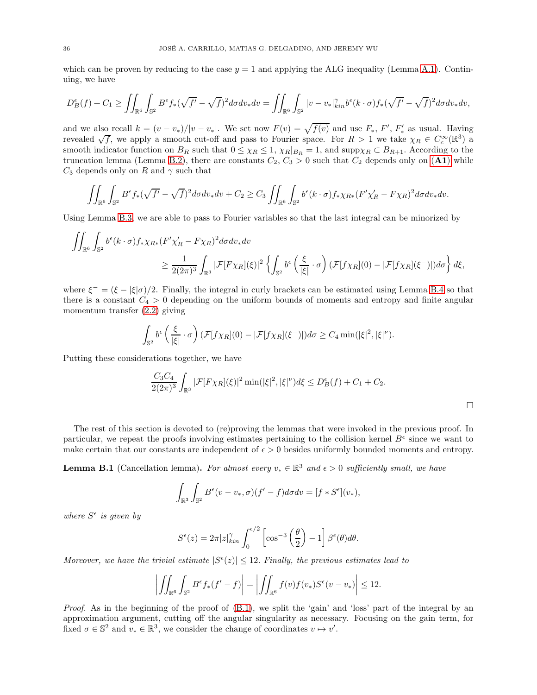which can be proven by reducing to the case  $y = 1$  and applying the ALG inequality (Lemma [A.1\)](#page-32-4). Continuing, we have

$$
D_B^{\epsilon}(f) + C_1 \ge \iint_{\mathbb{R}^6} \int_{\mathbb{S}^2} B^{\epsilon} f_{*} (\sqrt{f'} - \sqrt{f})^2 d\sigma dv_{*} dv = \iint_{\mathbb{R}^6} \int_{\mathbb{S}^2} |v - v_{*}|_{kin}^{\gamma} b^{\epsilon}(k \cdot \sigma) f_{*} (\sqrt{f'} - \sqrt{f})^2 d\sigma dv_{*} dv,
$$

and we also recall  $k = (v - v_*)/|v - v_*|$ . We set now  $F(v) = \sqrt{f(v)}$  and use  $F_*, F', F'_*$  as usual. Having revealed  $\sqrt{f}$ , we apply a smooth cut-off and pass to Fourier space. For  $R > 1$  we take  $\chi_R \in C_c^{\infty}(\mathbb{R}^3)$  a smooth indicator function on  $B_R$  such that  $0 \leq \chi_R \leq 1$ ,  $\chi_R|_{B_R} = 1$ , and  $\text{supp}\chi_R \subset B_{R+1}$ . According to the truncation lemma (Lemma [B.2\)](#page-37-0), there are constants  $C_2, C_3 > 0$  such that  $C_2$  depends only on ([A1](#page-4-2)) while  $C_3$  depends only on R and  $\gamma$  such that

$$
\iint_{\mathbb{R}^6} \int_{\mathbb{S}^2} B^{\epsilon} f_*(\sqrt{f'} - \sqrt{f})^2 d\sigma dv_* dv + C_2 \ge C_3 \iint_{\mathbb{R}^6} \int_{\mathbb{S}^2} b^{\epsilon}(k \cdot \sigma) f_* \chi_{R*}(F' \chi'_R - F \chi_R)^2 d\sigma dv_* dv.
$$

Using Lemma [B.3,](#page-38-0) we are able to pass to Fourier variables so that the last integral can be minorized by

$$
\iint_{\mathbb{R}^6} \int_{\mathbb{S}^2} b^{\epsilon}(k \cdot \sigma) f_* \chi_{R*} (F' \chi'_R - F \chi_R)^2 d\sigma dv_* dv
$$
  

$$
\geq \frac{1}{2(2\pi)^3} \int_{\mathbb{R}^3} |\mathcal{F}[F \chi_R](\xi)|^2 \left\{ \int_{\mathbb{S}^2} b^{\epsilon} \left( \frac{\xi}{|\xi|} \cdot \sigma \right) (\mathcal{F}[f \chi_R](0) - |\mathcal{F}[f \chi_R](\xi^-)|) d\sigma \right\} d\xi,
$$

where  $\xi^- = (\xi - |\xi|\sigma)/2$ . Finally, the integral in curly brackets can be estimated using Lemma [B.4](#page-39-0) so that there is a constant  $C_4 > 0$  depending on the uniform bounds of moments and entropy and finite angular momentum transfer [\(2.2\)](#page-5-1) giving

$$
\int_{\mathbb{S}^2} b^{\epsilon} \left( \frac{\xi}{|\xi|} \cdot \sigma \right) (\mathcal{F}[f\chi_R](0) - |\mathcal{F}[f\chi_R](\xi^-)|) d\sigma \ge C_4 \min(|\xi|^2, |\xi|^\nu).
$$

Putting these considerations together, we have

$$
\frac{C_3 C_4}{2(2\pi)^3} \int_{\mathbb{R}^3} |\mathcal{F}[F\chi_R](\xi)|^2 \min(|\xi|^2, |\xi|^\nu) d\xi \le D_B^{\epsilon}(f) + C_1 + C_2.
$$

The rest of this section is devoted to (re)proving the lemmas that were invoked in the previous proof. In particular, we repeat the proofs involving estimates pertaining to the collision kernel  $B^{\epsilon}$  since we want to make certain that our constants are independent of  $\epsilon > 0$  besides uniformly bounded moments and entropy.

<span id="page-35-0"></span>**Lemma B.1** (Cancellation lemma). For almost every  $v_* \in \mathbb{R}^3$  and  $\epsilon > 0$  sufficiently small, we have

$$
\int_{\mathbb{R}^3} \int_{\mathbb{S}^2} B^{\epsilon}(v - v_*, \sigma) (f' - f) d\sigma dv = [f * S^{\epsilon}](v_*),
$$

where  $S^{\epsilon}$  is given by

$$
S^{\epsilon}(z) = 2\pi |z|_{kin}^{\gamma} \int_0^{\epsilon/2} \left[ \cos^{-3}\left(\frac{\theta}{2}\right) - 1 \right] \beta^{\epsilon}(\theta) d\theta.
$$

Moreover, we have the trivial estimate  $|S^{\epsilon}(z)| \leq 12$ . Finally, the previous estimates lead to

$$
\left| \iint_{\mathbb{R}^6} \int_{\mathbb{S}^2} B^{\epsilon} f_{*}(f'-f) \right| = \left| \iint_{\mathbb{R}^6} f(v) f(v_{*}) S^{\epsilon}(v-v_{*}) \right| \leq 12.
$$

Proof. As in the beginning of the proof of  $(B.1)$ , we split the 'gain' and 'loss' part of the integral by an approximation argument, cutting off the angular singularity as necessary. Focusing on the gain term, for fixed  $\sigma \in \mathbb{S}^2$  and  $v_* \in \mathbb{R}^3$ , we consider the change of coordinates  $v \mapsto v'$ .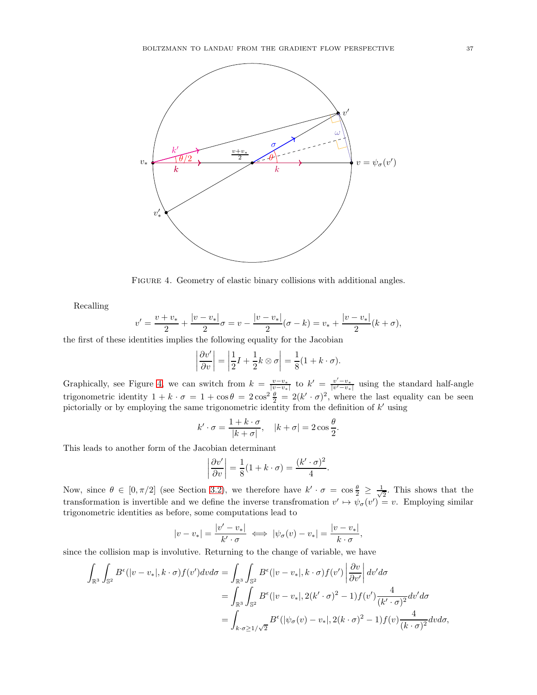

<span id="page-36-0"></span>FIGURE 4. Geometry of elastic binary collisions with additional angles.

Recalling

$$
v' = \frac{v + v_*}{2} + \frac{|v - v_*|}{2}\sigma = v - \frac{|v - v_*|}{2}(\sigma - k) = v_* + \frac{|v - v_*|}{2}(k + \sigma),
$$

the first of these identities implies the following equality for the Jacobian

$$
\left|\frac{\partial v'}{\partial v}\right| = \left|\frac{1}{2}I + \frac{1}{2}k\otimes\sigma\right| = \frac{1}{8}(1 + k \cdot \sigma).
$$

Graphically, see Figure [4,](#page-36-0) we can switch from  $k = \frac{v-v_*}{|v-v_*|}$  to  $k' = \frac{v'-v_*}{|v'-v_*|}$  using the standard half-angle trigonometric identity  $1 + k \cdot \sigma = 1 + \cos \theta = 2 \cos^2 \frac{\theta}{2} = 2(k' \cdot \sigma)^2$ , where the last equality can be seen pictorially or by employing the same trigonometric identity from the definition of k' using

$$
k' \cdot \sigma = \frac{1 + k \cdot \sigma}{|k + \sigma|}, \quad |k + \sigma| = 2 \cos \frac{\theta}{2}.
$$

This leads to another form of the Jacobian determinant

$$
\left|\frac{\partial v'}{\partial v}\right| = \frac{1}{8}(1 + k \cdot \sigma) = \frac{(k' \cdot \sigma)^2}{4}.
$$

Now, since  $\theta \in [0, \pi/2]$  (see Section [3.2\)](#page-8-0), we therefore have  $k' \cdot \sigma = \cos \frac{\theta}{2} \ge \frac{1}{\sqrt{\theta}}$  $\frac{1}{2}$ . This shows that the transformation is invertible and we define the inverse transfromation  $v' \mapsto \psi_{\sigma}(v') = v$ . Employing similar trigonometric identities as before, some computations lead to

$$
|v - v_*| = \frac{|v' - v_*|}{k' \cdot \sigma} \iff |\psi_{\sigma}(v) - v_*| = \frac{|v - v_*|}{k \cdot \sigma},
$$

since the collision map is involutive. Returning to the change of variable, we have

$$
\int_{\mathbb{R}^3} \int_{\mathbb{S}^2} B^{\epsilon}(|v-v_*|, k \cdot \sigma) f(v') dv d\sigma = \int_{\mathbb{R}^3} \int_{\mathbb{S}^2} B^{\epsilon}(|v-v_*|, k \cdot \sigma) f(v') \left| \frac{\partial v}{\partial v'} \right| dv' d\sigma
$$
  
\n
$$
= \int_{\mathbb{R}^3} \int_{\mathbb{S}^2} B^{\epsilon}(|v-v_*|, 2(k' \cdot \sigma)^2 - 1) f(v') \frac{4}{(k' \cdot \sigma)^2} dv' d\sigma
$$
  
\n
$$
= \int_{k \cdot \sigma \ge 1/\sqrt{2}} B^{\epsilon}(|\psi_{\sigma}(v) - v_*|, 2(k \cdot \sigma)^2 - 1) f(v) \frac{4}{(k \cdot \sigma)^2} dv d\sigma,
$$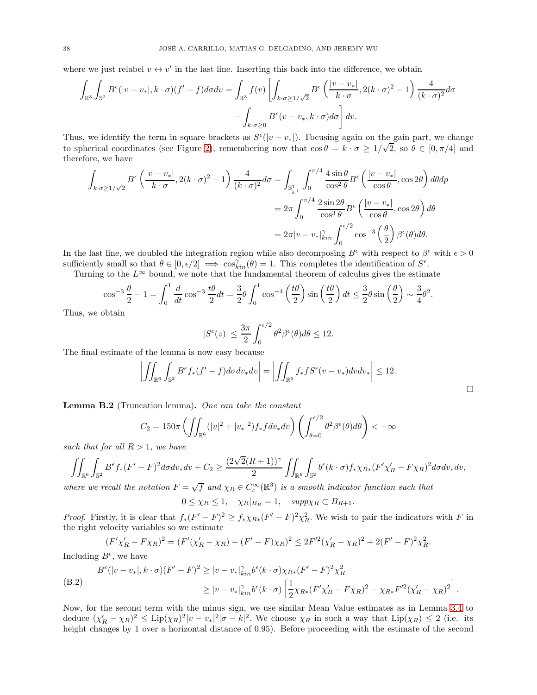where we just relabel  $v \leftrightarrow v'$  in the last line. Inserting this back into the difference, we obtain

$$
\int_{\mathbb{R}^3} \int_{\mathbb{S}^2} B^{\epsilon}(|v - v_*|, k \cdot \sigma)(f' - f) d\sigma dv = \int_{\mathbb{R}^3} f(v) \left[ \int_{k \cdot \sigma \ge 1/\sqrt{2}} B^{\epsilon} \left( \frac{|v - v_*|}{k \cdot \sigma}, 2(k \cdot \sigma)^2 - 1 \right) \frac{4}{(k \cdot \sigma)^2} d\sigma \right. \\
\left. - \int_{k \cdot \sigma \ge 0} B^{\epsilon}(v - v_*, k \cdot \sigma) d\sigma \right] dv.
$$

Thus, we identify the term in square brackets as  $S^{\epsilon}(|v-v_*|)$ . Focusing again on the gain part, we change to spherical coordinates (see Figure [2\)](#page-9-0), remembering now that  $\cos \theta = k \cdot \sigma \ge 1/\sqrt{2}$ , so  $\theta \in [0, \pi/4]$  and therefore, we have

$$
\int_{k \cdot \sigma \ge 1/\sqrt{2}} B^{\epsilon} \left( \frac{|v - v_{*}|}{k \cdot \sigma}, 2(k \cdot \sigma)^{2} - 1 \right) \frac{4}{(k \cdot \sigma)^{2}} d\sigma = \int_{\mathbb{S}_{k}^{1}} \int_{0}^{\pi/4} \frac{4 \sin \theta}{\cos^{2} \theta} B^{\epsilon} \left( \frac{|v - v_{*}|}{\cos \theta}, \cos 2\theta \right) d\theta d\mathbf{p}
$$

$$
= 2\pi \int_{0}^{\pi/4} \frac{2 \sin 2\theta}{\cos^{3} \theta} B^{\epsilon} \left( \frac{|v - v_{*}|}{\cos \theta}, \cos 2\theta \right) d\theta
$$

$$
= 2\pi |v - v_{*}|_{kin}^{\gamma} \int_{0}^{\epsilon/2} \cos^{-3} \left( \frac{\theta}{2} \right) \beta^{\epsilon}(\theta) d\theta.
$$

In the last line, we doubled the integration region while also decomposing  $B^{\epsilon}$  with respect to  $\beta^{\epsilon}$  with  $\epsilon > 0$ sufficiently small so that  $\theta \in [0, \epsilon/2] \implies \cos_{kin}^{\gamma}(\theta) = 1$ . This completes the identification of  $S^{\epsilon}$ .

Turning to the  $L^{\infty}$  bound, we note that the fundamental theorem of calculus gives the estimate

$$
\cos^{-3}\frac{\theta}{2} - 1 = \int_0^1 \frac{d}{dt} \cos^{-3}\frac{t\theta}{2} dt = \frac{3}{2}\theta \int_0^1 \cos^{-4}\left(\frac{t\theta}{2}\right) \sin\left(\frac{t\theta}{2}\right) dt \le \frac{3}{2}\theta \sin\left(\frac{\theta}{2}\right) \sim \frac{3}{4}\theta^2
$$

.

 $\Box$ 

Thus, we obtain

$$
|S^\epsilon(z)| \leq \frac{3\pi}{2} \int_0^{\epsilon/2} \theta^2 \beta^\epsilon(\theta) d\theta \leq 12.
$$

The final estimate of the lemma is now easy because

$$
\left| \iint_{\mathbb{R}^6} \int_{\mathbb{S}^2} B^{\epsilon} f_*(f'-f) d\sigma dv_* dv \right| = \left| \iint_{\mathbb{R}^6} f_* f S^{\epsilon}(v-v_*) dv dv_* \right| \leq 12.
$$

<span id="page-37-0"></span>Lemma B.2 (Truncation lemma). One can take the constant

$$
C_2 = 150\pi \left( \iint_{\mathbb{R}^6} (|v|^2 + |v_*|^2) f_* f dv_* dv \right) \left( \int_{\theta=0}^{\epsilon/2} \theta^2 \beta^{\epsilon}(\theta) d\theta \right) < +\infty
$$

such that for all  $R > 1$ , we have

$$
\iint_{\mathbb{R}^6}\int_{\mathbb{S}^2}B^\epsilon f_*(F'-F)^2d\sigma dv_*dv+C_2\geq \frac{(2\sqrt{2}(R+1))^\gamma}{2}\iint_{\mathbb{R}^6}\int_{\mathbb{S}^2}b^\epsilon(k\cdot\sigma)f_*\chi_{R*}(F'\chi_R'-F\chi_R)^2d\sigma dv_*dv,
$$

where we recall the notation  $F = \sqrt{f}$  and  $\chi_R \in C_c^{\infty}(\mathbb{R}^3)$  is a smooth indicator function such that

$$
0 \le \chi_R \le 1, \quad \chi_R|_{B_R} = 1, \quad supp \chi_R \subset B_{R+1}.
$$

*Proof.* Firstly, it is clear that  $f_*(F'-F)^2 \ge f_* \chi_{R*}(F'-F)^2 \chi_R^2$ . We wish to pair the indicators with F in the right velocity variables so we estimate

$$
(F'\chi'_R - F\chi_R)^2 = (F'(\chi'_R - \chi_R) + (F' - F)\chi_R)^2 \le 2F'^2(\chi'_R - \chi_R)^2 + 2(F' - F)^2\chi_R^2.
$$

Including  $B^{\epsilon}$ , we have

<span id="page-37-1"></span>
$$
B^{\epsilon}(|v-v_*|, k \cdot \sigma)(F'-F)^2 \ge |v-v_*|^{\gamma}_{kin} b^{\epsilon}(k \cdot \sigma) \chi_{R*}(F'-F)^2 \chi^2_R
$$
  
\n
$$
\ge |v-v_*|^{\gamma}_{kin} b^{\epsilon}(k \cdot \sigma) \left[ \frac{1}{2} \chi_{R*}(F'\chi'_R - F\chi_R)^2 - \chi_{R*} F'^2(\chi'_R - \chi_R)^2 \right].
$$

Now, for the second term with the minus sign, we use similar Mean Value estimates as in Lemma [3.4](#page-12-0) to deduce  $(\chi'_R - \chi_R)^2 \leq \text{Lip}(\chi_R)^2 |v - v_*|^2 |\sigma - k|^2$ . We choose  $\chi_R$  in such a way that  $\text{Lip}(\chi_R) \leq 2$  (i.e. its height changes by 1 over a horizontal distance of 0.95). Before proceeding with the estimate of the second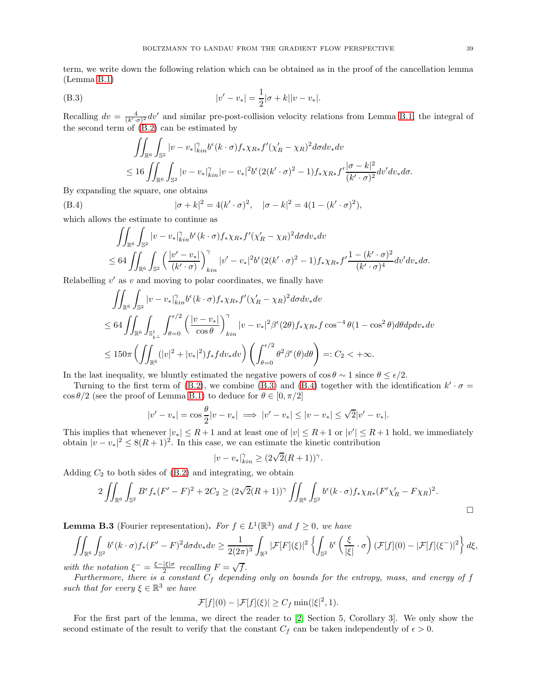<span id="page-38-3"></span>(B.3) 
$$
|v' - v_*| = \frac{1}{2} |\sigma + k||v - v_*|.
$$

Recalling  $dv = \frac{4}{(k'\cdot\sigma)^2}dv'$  and similar pre-post-collision velocity relations from Lemma [B.1,](#page-35-0) the integral of the second term of [\(B.2\)](#page-37-1) can be estimated by

<span id="page-38-1"></span>
$$
\iint_{\mathbb{R}^6} \int_{\mathbb{S}^2} |v - v_*|_{kin}^{\gamma} b^{\epsilon}(k \cdot \sigma) f_* \chi_{R*} f'(\chi'_R - \chi_R)^2 d\sigma dv_* dv
$$
  

$$
\leq 16 \iint_{\mathbb{R}^6} \int_{\mathbb{S}^2} |v - v_*|_{kin}^{\gamma} |v - v_*|^2 b^{\epsilon} (2(k' \cdot \sigma)^2 - 1) f_* \chi_{R*} f' \frac{|\sigma - k|^2}{(k' \cdot \sigma)^2} dv' dv_* d\sigma.
$$

By expanding the square, one obtains

(B.4) 
$$
|\sigma + k|^2 = 4(k' \cdot \sigma)^2, \quad |\sigma - k|^2 = 4(1 - (k' \cdot \sigma)^2),
$$

which allows the estimate to continue as

<span id="page-38-2"></span>
$$
\iint_{\mathbb{R}^6} \int_{\mathbb{S}^2} |v - v_*|_{kin}^{\gamma} b^{\epsilon}(k \cdot \sigma) f_* \chi_{R*} f'(\chi_R' - \chi_R)^2 d\sigma dv_* dv
$$
  
\n
$$
\leq 64 \iint_{\mathbb{R}^6} \int_{\mathbb{S}^2} \left( \frac{|v' - v_*|}{(k' \cdot \sigma)} \right)_{kin}^{\gamma} |v' - v_*|^2 b^{\epsilon} (2(k' \cdot \sigma)^2 - 1) f_* \chi_{R*} f' \frac{1 - (k' \cdot \sigma)^2}{(k' \cdot \sigma)^4} dv' dv_* d\sigma.
$$

Relabelling  $v'$  as  $v$  and moving to polar coordinates, we finally have

$$
\iint_{\mathbb{R}^6} \int_{\mathbb{S}^2} |v - v_*|_{kin}^{\gamma} b^{\epsilon}(k \cdot \sigma) f_* \chi_{R*} f'(\chi'_R - \chi_R)^2 d\sigma dv_* dv
$$
  
\n
$$
\leq 64 \iint_{\mathbb{R}^6} \int_{\mathbb{S}_{k\perp}^1} \int_{\theta=0}^{\epsilon/2} \left( \frac{|v - v_*|}{\cos \theta} \right)_{kin}^{\gamma} |v - v_*|^2 \beta^{\epsilon} (2\theta) f_* \chi_{R*} f \cos^{-4} \theta (1 - \cos^2 \theta) d\theta dp dv_* dv
$$
  
\n
$$
\leq 150\pi \left( \iint_{\mathbb{R}^6} (|v|^2 + |v_*|^2) f_* f dv_* dv \right) \left( \int_{\theta=0}^{\epsilon/2} \theta^2 \beta^{\epsilon}(\theta) d\theta \right) =: C_2 < +\infty.
$$

In the last inequality, we bluntly estimated the negative powers of  $\cos \theta \sim 1$  since  $\theta \leq \epsilon/2$ .

Turning to the first term of  $(B.2)$ , we combine  $(B.3)$  and  $(B.4)$  together with the identification  $k' \cdot \sigma =$  $\cos \theta/2$  (see the proof of Lemma [B.1\)](#page-35-0) to deduce for  $\theta \in [0, \pi/2]$ 

$$
|v'-v_*| = \cos \frac{\theta}{2}|v-v_*| \implies |v'-v_*| \le |v-v_*| \le \sqrt{2}|v'-v_*|.
$$

This implies that whenever  $|v_*| \leq R+1$  and at least one of  $|v| \leq R+1$  or  $|v'| \leq R+1$  hold, we immediately obtain  $|v - v_*|^2 \leq 8(R+1)^2$ . In this case, we can estimate the kinetic contribution

$$
|v - v_*|_{kin}^{\gamma} \ge (2\sqrt{2}(R+1))^{\gamma}.
$$

Adding  $C_2$  to both sides of  $(B.2)$  and integrating, we obtain

$$
2\iint_{\mathbb{R}^6} \int_{\mathbb{S}^2} B^{\epsilon} f_*(F'-F)^2 + 2C_2 \ge (2\sqrt{2}(R+1))^{\gamma} \iint_{\mathbb{R}^6} \int_{\mathbb{S}^2} b^{\epsilon}(k \cdot \sigma) f_* \chi_{R*}(F'\chi'_R - F\chi_R)^2.
$$

<span id="page-38-0"></span>**Lemma B.3** (Fourier representation). For  $f \in L^1(\mathbb{R}^3)$  and  $f \ge 0$ , we have

$$
\iint_{\mathbb{R}^6}\int_{\mathbb{S}^2} b^{\epsilon}(k \cdot \sigma)f_*(F'-F)^2d\sigma dv_*dv \geq \frac{1}{2(2\pi)^3}\int_{\mathbb{R}^3} |\mathcal{F}[F](\xi)|^2 \left\{ \int_{\mathbb{S}^2} b^{\epsilon}\left( \frac{\xi}{|\xi|} \cdot \sigma \right) (\mathcal{F}[f](0) - |\mathcal{F}[f](\xi^-)|^2 \right\} d\xi,
$$

with the notation  $\xi^- = \frac{\xi - |\xi|\sigma}{2}$  recalling  $F = \sqrt{f}$ .

Furthermore, there is a constant  $C_f$  depending only on bounds for the entropy, mass, and energy of f such that for every  $\xi \in \mathbb{R}^3$  we have

$$
\mathcal{F}[f](0) - |\mathcal{F}[f](\xi)| \ge C_f \min(|\xi|^2, 1).
$$

For the first part of the lemma, we direct the reader to [\[2,](#page-40-9) Section 5, Corollary 3]. We only show the second estimate of the result to verify that the constant  $C_f$  can be taken independently of  $\epsilon > 0$ .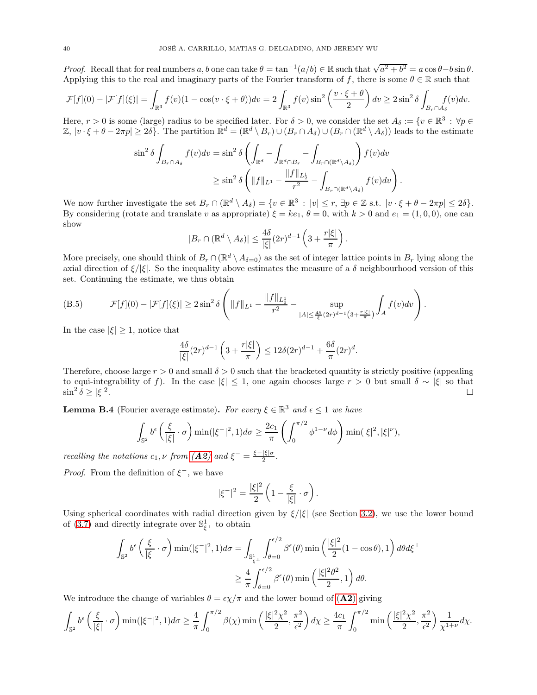*Proof.* Recall that for real numbers a, b one can take  $\theta = \tan^{-1}(a/b) \in \mathbb{R}$  such that  $\sqrt{a^2 + b^2} = a \cos \theta - b \sin \theta$ . Applying this to the real and imaginary parts of the Fourier transform of f, there is some  $\theta \in \mathbb{R}$  such that

$$
\mathcal{F}[f](0) - |\mathcal{F}[f](\xi)| = \int_{\mathbb{R}^3} f(v)(1 - \cos(v \cdot \xi + \theta)) dv = 2 \int_{\mathbb{R}^3} f(v) \sin^2\left(\frac{v \cdot \xi + \theta}{2}\right) dv \ge 2 \sin^2 \delta \int_{B_r \cap A_\delta} f(v) dv.
$$

Here,  $r > 0$  is some (large) radius to be specified later. For  $\delta > 0$ , we consider the set  $A_{\delta} := \{v \in \mathbb{R}^3 : \forall p \in \mathbb{R}^3\}$  $\mathbb{Z}, |v \cdot \xi + \theta - 2\pi p| \ge 2\delta\}.$  The partition  $\mathbb{R}^d = (\mathbb{R}^d \setminus B_r) \cup (B_r \cap A_\delta) \cup (B_r \cap (\mathbb{R}^d \setminus A_\delta))$  leads to the estimate

$$
\sin^2 \delta \int_{B_r \cap A_\delta} f(v) dv = \sin^2 \delta \left( \int_{\mathbb{R}^d} - \int_{\mathbb{R}^d \cap B_r} - \int_{B_r \cap (\mathbb{R}^d \setminus A_\delta)} \right) f(v) dv
$$
  

$$
\geq \sin^2 \delta \left( \|f\|_{L^1} - \frac{\|f\|_{L^1_2}}{r^2} - \int_{B_r \cap (\mathbb{R}^d \setminus A_\delta)} f(v) dv \right).
$$

We now further investigate the set  $B_r \cap (\mathbb{R}^d \setminus A_\delta) = \{v \in \mathbb{R}^3 : |v| \le r, \exists p \in \mathbb{Z} \text{ s.t. } |v \cdot \xi + \theta - 2\pi p| \le 2\delta\}.$ By considering (rotate and translate v as appropriate)  $\xi = ke_1$ ,  $\theta = 0$ , with  $k > 0$  and  $e_1 = (1, 0, 0)$ , one can show

$$
|B_r \cap (\mathbb{R}^d \setminus A_\delta)| \le \frac{4\delta}{|\xi|} (2r)^{d-1} \left(3 + \frac{r|\xi|}{\pi}\right).
$$

More precisely, one should think of  $B_r \cap (\mathbb{R}^d \setminus A_{\delta=0})$  as the set of integer lattice points in  $B_r$  lying along the axial direction of  $\xi/|\xi|$ . So the inequality above estimates the measure of a  $\delta$  neighbourhood version of this set. Continuing the estimate, we thus obtain

(B.5) 
$$
\mathcal{F}[f](0) - |\mathcal{F}[f](\xi)| \geq 2 \sin^2 \delta \left( \|f\|_{L^1} - \frac{\|f\|_{L^1}}{r^2} - \sup_{|A| \leq \frac{4\delta}{|\xi|} (2r)^{d-1} (3 + \frac{r|\xi|}{\pi})} \int_A f(v) dv \right).
$$

In the case  $|\xi| \geq 1$ , notice that

$$
\frac{4\delta}{|\xi|}(2r)^{d-1}\left(3+\frac{r|\xi|}{\pi}\right)\leq 12\delta(2r)^{d-1}+\frac{6\delta}{\pi}(2r)^d.
$$

Therefore, choose large  $r > 0$  and small  $\delta > 0$  such that the bracketed quantity is strictly positive (appealing to equi-integrability of f). In the case  $|\xi| \leq 1$ , one again chooses large  $r > 0$  but small  $\delta \sim |\xi|$  so that  $\sin^2 \delta > |\xi|^2$  $\sin^2 \delta \ge |\xi|^2$ .

<span id="page-39-0"></span>**Lemma B.4** (Fourier average estimate). For every  $\xi \in \mathbb{R}^3$  and  $\epsilon \leq 1$  we have

$$
\int_{\mathbb{S}^2} b^{\epsilon} \left( \frac{\xi}{|\xi|} \cdot \sigma \right) \min(|\xi^{-}|^2, 1) d\sigma \ge \frac{2c_1}{\pi} \left( \int_0^{\pi/2} \phi^{1-\nu} d\phi \right) \min(|\xi|^2, |\xi|^{\nu}),
$$

recalling the notations  $c_1, \nu$  from  $(\mathbf{A2})$  $(\mathbf{A2})$  $(\mathbf{A2})$  and  $\xi^- = \frac{\xi - |\xi|\sigma}{2}$ .

*Proof.* From the definition of  $\xi^-$ , we have

$$
|\xi^{-}|^{2} = \frac{|\xi|^{2}}{2} \left( 1 - \frac{\xi}{|\xi|} \cdot \sigma \right).
$$

Using spherical coordinates with radial direction given by  $\xi/|\xi|$  (see Section [3.2\)](#page-8-0), we use the lower bound of [\(3.7\)](#page-10-5) and directly integrate over  $\mathbb{S}^1_{\xi^\perp}$  to obtain

$$
\int_{\mathbb{S}^2} b^{\epsilon} \left( \frac{\xi}{|\xi|} \cdot \sigma \right) \min(|\xi^{-}|^2, 1) d\sigma = \int_{\mathbb{S}^1_{\xi^{\perp}}} \int_{\theta=0}^{\epsilon/2} \beta^{\epsilon}(\theta) \min \left( \frac{|\xi|^2}{2} (1 - \cos \theta), 1 \right) d\theta d\xi^{\perp}
$$

$$
\geq \frac{4}{\pi} \int_{\theta=0}^{\epsilon/2} \beta^{\epsilon}(\theta) \min \left( \frac{|\xi|^2 \theta^2}{2}, 1 \right) d\theta.
$$

We introduce the change of variables  $\theta = \epsilon \chi/\pi$  and the lower bound of ([A2](#page-4-1)) giving

$$
\int_{\mathbb{S}^2} b^{\epsilon} \left( \frac{\xi}{|\xi|} \cdot \sigma \right) \min(|\xi|^{-2}, 1) d\sigma \ge \frac{4}{\pi} \int_0^{\pi/2} \beta(\chi) \min\left( \frac{|\xi|^2 \chi^2}{2}, \frac{\pi^2}{\epsilon^2} \right) d\chi \ge \frac{4c_1}{\pi} \int_0^{\pi/2} \min\left( \frac{|\xi|^2 \chi^2}{2}, \frac{\pi^2}{\epsilon^2} \right) \frac{1}{\chi^{1+\nu}} d\chi.
$$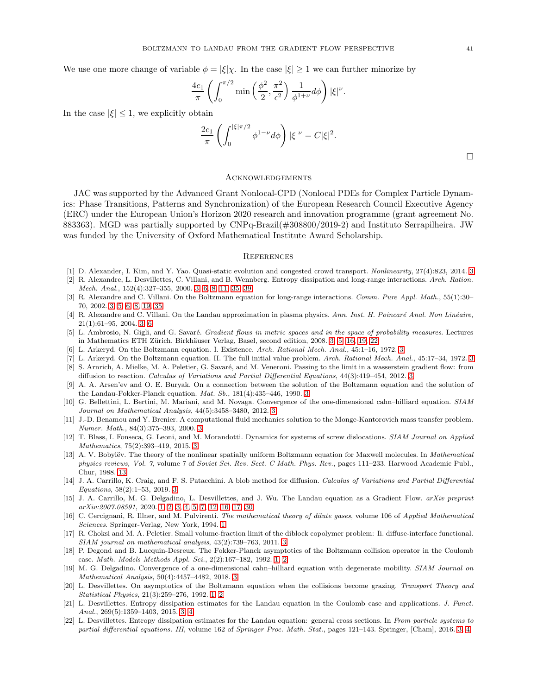We use one more change of variable  $\phi = |\xi| \chi$ . In the case  $|\xi| \geq 1$  we can further minorize by

$$
\frac{4c_1}{\pi} \left( \int_0^{\pi/2} \min\left( \frac{\phi^2}{2}, \frac{\pi^2}{\epsilon^2} \right) \frac{1}{\phi^{1+\nu}} d\phi \right) |\xi|^\nu.
$$

In the case  $|\xi| \leq 1$ , we explicitly obtain

$$
\frac{2c_1}{\pi} \left( \int_0^{|\xi|\pi/2} \phi^{1-\nu} d\phi \right) |\xi|^\nu = C |\xi|^2.
$$

Acknowledgements

JAC was supported by the Advanced Grant Nonlocal-CPD (Nonlocal PDEs for Complex Particle Dynamics: Phase Transitions, Patterns and Synchronization) of the European Research Council Executive Agency (ERC) under the European Union's Horizon 2020 research and innovation programme (grant agreement No. 883363). MGD was partially supported by CNPq-Brazil(#308800/2019-2) and Instituto Serrapilheira. JW was funded by the University of Oxford Mathematical Institute Award Scholarship.

#### **REFERENCES**

- <span id="page-40-19"></span><span id="page-40-9"></span>[1] D. Alexander, I. Kim, and Y. Yao. Quasi-static evolution and congested crowd transport. Nonlinearity, 27(4):823, 2014. [3](#page-2-0)
- [2] R. Alexandre, L. Desvillettes, C. Villani, and B. Wennberg. Entropy dissipation and long-range interactions. Arch. Ration. Mech. Anal., 152(4):327–355, 2000. [3,](#page-2-0) [6,](#page-5-8) [8,](#page-7-4) [11,](#page-10-6) [35,](#page-34-3) [39](#page-38-3)
- <span id="page-40-7"></span>[3] R. Alexandre and C. Villani. On the Boltzmann equation for long-range interactions. Comm. Pure Appl. Math., 55(1):30– 70, 2002. [3,](#page-2-0) [5,](#page-4-5) [6,](#page-5-8) [8,](#page-7-4) [19,](#page-18-3) [35](#page-34-3)
- <span id="page-40-8"></span>[4] R. Alexandre and C. Villani. On the Landau approximation in plasma physics. Ann. Inst. H. Poincaré Anal. Non Linéaire, 21(1):61–95, 2004. [3,](#page-2-0) [6](#page-5-8)
- <span id="page-40-13"></span>[5] L. Ambrosio, N. Gigli, and G. Savaré. Gradient flows in metric spaces and in the space of probability measures. Lectures in Mathematics ETH Zürich. Birkhäuser Verlag, Basel, second edition, 2008. [3,](#page-2-0) [5,](#page-4-5) [16,](#page-15-3) [19,](#page-18-3) [22](#page-21-2)
- <span id="page-40-5"></span><span id="page-40-4"></span>[6] L. Arkeryd. On the Boltzmann equation. I. Existence. Arch. Rational Mech. Anal., 45:1–16, 1972. [3](#page-2-0)
- <span id="page-40-17"></span>[7] L. Arkeryd. On the Boltzmann equation. II. The full initial value problem. Arch. Rational Mech. Anal., 45:17–34, 1972. [3](#page-2-0) [8] S. Arnrich, A. Mielke, M. A. Peletier, G. Savaré, and M. Veneroni. Passing to the limit in a wasserstein gradient flow: from
- <span id="page-40-6"></span>diffusion to reaction. Calculus of Variations and Partial Differential Equations, 44(3):419–454, 2012. [3](#page-2-0)
- [9] A. A. Arsen'ev and O. E. Buryak. On a connection between the solution of the Boltzmann equation and the solution of the Landau-Fokker-Planck equation. Mat. Sb., 181(4):435–446, 1990. [3](#page-2-0)
- <span id="page-40-15"></span>[10] G. Bellettini, L. Bertini, M. Mariani, and M. Novaga. Convergence of the one-dimensional cahn–hilliard equation. SIAM Journal on Mathematical Analysis, 44(5):3458–3480, 2012. [3](#page-2-0)
- <span id="page-40-12"></span>[11] J.-D. Benamou and Y. Brenier. A computational fluid mechanics solution to the Monge-Kantorovich mass transfer problem. Numer. Math., 84(3):375–393, 2000. [3](#page-2-0)
- <span id="page-40-20"></span>[12] T. Blass, I. Fonseca, G. Leoni, and M. Morandotti. Dynamics for systems of screw dislocations. SIAM Journal on Applied Mathematics, 75(2):393–419, 2015. [3](#page-2-0)
- <span id="page-40-21"></span>[13] A. V. Bobylëv. The theory of the nonlinear spatially uniform Boltzmann equation for Maxwell molecules. In Mathematical physics reviews, Vol. 7, volume 7 of Soviet Sci. Rev. Sect. C Math. Phys. Rev., pages 111–233. Harwood Academic Publ., Chur, 1988. [13](#page-12-2)
- <span id="page-40-18"></span>[14] J. A. Carrillo, K. Craig, and F. S. Patacchini. A blob method for diffusion. Calculus of Variations and Partial Differential Equations, 58(2):1–53, 2019. [3](#page-2-0)
- <span id="page-40-3"></span>[15] J. A. Carrillo, M. G. Delgadino, L. Desvillettes, and J. Wu. The Landau equation as a Gradient Flow. arXiv preprint arXiv:2007.08591, 2020. [1,](#page-0-2) [2,](#page-1-0) [3,](#page-2-0) [4,](#page-3-4) [5,](#page-4-5) [7,](#page-6-0) [12,](#page-11-6) [16,](#page-15-3) [17,](#page-16-0) [30](#page-29-4)
- <span id="page-40-0"></span>[16] C. Cercignani, R. Illner, and M. Pulvirenti. The mathematical theory of dilute gases, volume 106 of Applied Mathematical Sciences. Springer-Verlag, New York, 1994. [1](#page-0-2)
- <span id="page-40-14"></span>[17] R. Choksi and M. A. Peletier. Small volume-fraction limit of the diblock copolymer problem: Ii. diffuse-interface functional. SIAM journal on mathematical analysis, 43(2):739–763, 2011. [3](#page-2-0)
- <span id="page-40-1"></span>[18] P. Degond and B. Lucquin-Desreux. The Fokker-Planck asymptotics of the Boltzmann collision operator in the Coulomb case. Math. Models Methods Appl. Sci., 2(2):167–182, 1992. [1,](#page-0-2) [2](#page-1-0)
- <span id="page-40-16"></span>[19] M. G. Delgadino. Convergence of a one-dimensional cahn-hilliard equation with degenerate mobility. SIAM Journal on Mathematical Analysis, 50(4):4457–4482, 2018. [3](#page-2-0)
- <span id="page-40-2"></span>[20] L. Desvillettes. On asymptotics of the Boltzmann equation when the collisions become grazing. Transport Theory and Statistical Physics, 21(3):259–276, 1992. [1,](#page-0-2) [2](#page-1-0)
- <span id="page-40-10"></span>[21] L. Desvillettes. Entropy dissipation estimates for the Landau equation in the Coulomb case and applications. J. Funct. Anal., 269(5):1359–1403, 2015. [3,](#page-2-0) [4](#page-3-4)
- <span id="page-40-11"></span>[22] L. Desvillettes. Entropy dissipation estimates for the Landau equation: general cross sections. In From particle systems to partial differential equations. III, volume 162 of Springer Proc. Math. Stat., pages 121-143. Springer, [Cham], 2016. [3,](#page-2-0) [4](#page-3-4)